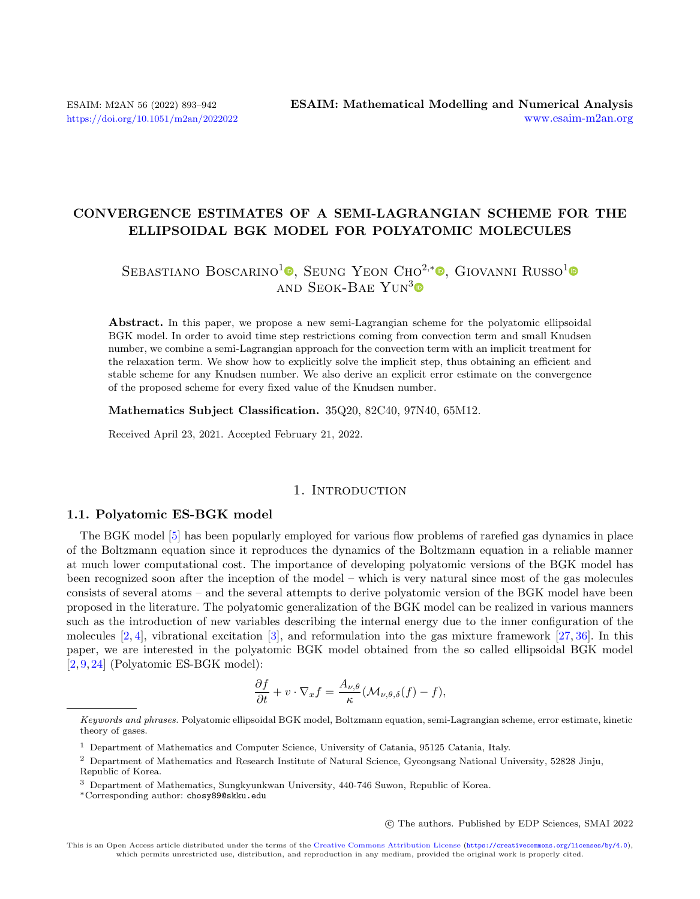# CONVERGENCE ESTIMATES OF A SEMI-LAGRANGIAN SCHEME FOR THE ELLIPSOIDAL BGK MODEL FOR POLYATOMIC MOLECULES

# SEBASTIANO BOSCARINO<sup>1</sup><sup>®</sup>[,](https://orcid.org/0000-0002-6139-0925) Seung Yeon Cho<sup>2,\*</sup>®, Giovanni Russo<sup>[1](https://orcid.org/0000-0003-4215-1926)</sup> AND SEOK-BAE YUN<sup>[3](https://orcid.org/0000-0001-9827-0639)</sup> $\bullet$

Abstract. In this paper, we propose a new semi-Lagrangian scheme for the polyatomic ellipsoidal BGK model. In order to avoid time step restrictions coming from convection term and small Knudsen number, we combine a semi-Lagrangian approach for the convection term with an implicit treatment for the relaxation term. We show how to explicitly solve the implicit step, thus obtaining an efficient and stable scheme for any Knudsen number. We also derive an explicit error estimate on the convergence of the proposed scheme for every fixed value of the Knudsen number.

Mathematics Subject Classification. 35Q20, 82C40, 97N40, 65M12.

Received April 23, 2021. Accepted February 21, 2022.

## 1. INTRODUCTION

## 1.1. Polyatomic ES-BGK model

The BGK model [\[5\]](#page-48-0) has been popularly employed for various flow problems of rarefied gas dynamics in place of the Boltzmann equation since it reproduces the dynamics of the Boltzmann equation in a reliable manner at much lower computational cost. The importance of developing polyatomic versions of the BGK model has been recognized soon after the inception of the model – which is very natural since most of the gas molecules consists of several atoms – and the several attempts to derive polyatomic version of the BGK model have been proposed in the literature. The polyatomic generalization of the BGK model can be realized in various manners such as the introduction of new variables describing the internal energy due to the inner configuration of the molecules  $[2, 4]$  $[2, 4]$ , vibrational excitation  $[3]$ , and reformulation into the gas mixture framework  $[27, 36]$  $[27, 36]$ . In this paper, we are interested in the polyatomic BGK model obtained from the so called ellipsoidal BGK model [\[2,](#page-47-0) [9,](#page-48-5) [24\]](#page-48-6) (Polyatomic ES-BGK model):

$$
\frac{\partial f}{\partial t} + v \cdot \nabla_x f = \frac{A_{\nu,\theta}}{\kappa} (\mathcal{M}_{\nu,\theta,\delta}(f) - f),
$$

○c The authors. Published by EDP Sciences, SMAI 2022

Keywords and phrases. Polyatomic ellipsoidal BGK model, Boltzmann equation, semi-Lagrangian scheme, error estimate, kinetic theory of gases.

<sup>1</sup> Department of Mathematics and Computer Science, University of Catania, 95125 Catania, Italy.

<sup>2</sup> Department of Mathematics and Research Institute of Natural Science, Gyeongsang National University, 52828 Jinju, Republic of Korea.

<sup>3</sup> Department of Mathematics, Sungkyunkwan University, 440-746 Suwon, Republic of Korea.

<sup>\*</sup>Corresponding author: [chosy89@skku.edu](mailto:chosy89@skku.edu)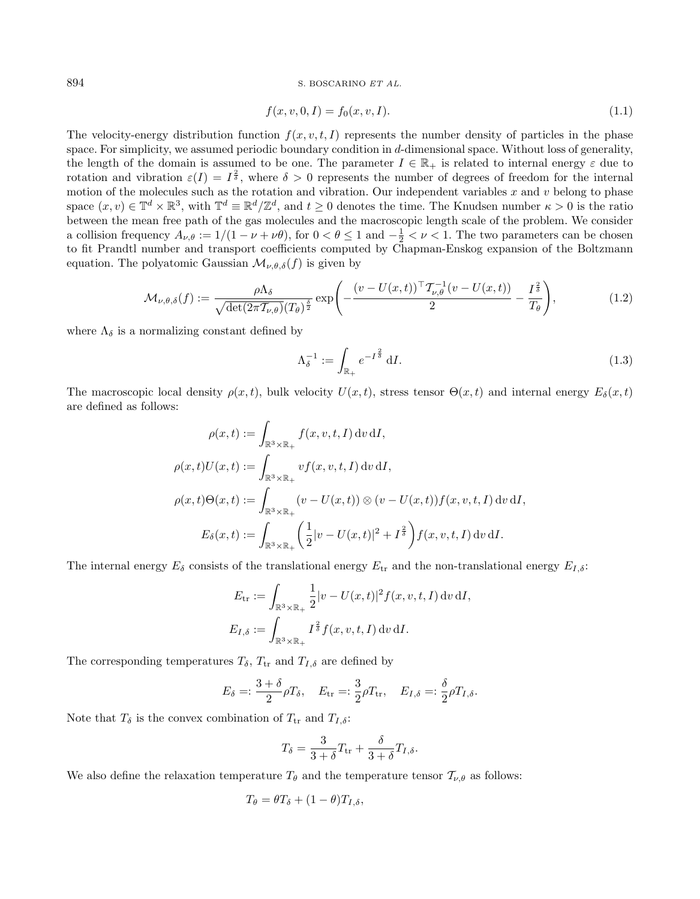<span id="page-1-1"></span><span id="page-1-0"></span>
$$
f(x, v, 0, I) = f_0(x, v, I). \tag{1.1}
$$

The velocity-energy distribution function  $f(x, v, t, I)$  represents the number density of particles in the phase space. For simplicity, we assumed periodic boundary condition in  $d$ -dimensional space. Without loss of generality, the length of the domain is assumed to be one. The parameter  $I \in \mathbb{R}_+$  is related to internal energy  $\varepsilon$  due to rotation and vibration  $\varepsilon(I) = I^{\frac{2}{\delta}}$ , where  $\delta > 0$  represents the number of degrees of freedom for the internal motion of the molecules such as the rotation and vibration. Our independent variables  $x$  and  $v$  belong to phase space  $(x, v) \in \mathbb{T}^d \times \mathbb{R}^3$ , with  $\mathbb{T}^d \equiv \mathbb{R}^d/\mathbb{Z}^d$ , and  $t \geq 0$  denotes the time. The Knudsen number  $\kappa > 0$  is the ratio between the mean free path of the gas molecules and the macroscopic length scale of the problem. We consider a collision frequency  $A_{\nu,\theta} := 1/(1 - \nu + \nu\theta)$ , for  $0 < \theta \le 1$  and  $-\frac{1}{2} < \nu < 1$ . The two parameters can be chosen to fit Prandtl number and transport coefficients computed by Chapman-Enskog expansion of the Boltzmann equation. The polyatomic Gaussian  $\mathcal{M}_{\nu,\theta,\delta}(f)$  is given by

$$
\mathcal{M}_{\nu,\theta,\delta}(f) := \frac{\rho \Lambda_{\delta}}{\sqrt{\det(2\pi \mathcal{T}_{\nu,\theta})(T_{\theta})^{\frac{\delta}{2}}}} \exp\left(-\frac{(v - U(x,t))^{\top} \mathcal{T}_{\nu,\theta}^{-1} (v - U(x,t))}{2} - \frac{I^{\frac{2}{\delta}}}{T_{\theta}}\right),\tag{1.2}
$$

where  $\Lambda_{\delta}$  is a normalizing constant defined by

<span id="page-1-2"></span>
$$
\Lambda_{\delta}^{-1} := \int_{\mathbb{R}_+} e^{-I^{\frac{2}{\delta}}} \, \mathrm{d}I. \tag{1.3}
$$

The macroscopic local density  $\rho(x, t)$ , bulk velocity  $U(x, t)$ , stress tensor  $\Theta(x, t)$  and internal energy  $E_{\delta}(x, t)$ are defined as follows:

$$
\rho(x,t) := \int_{\mathbb{R}^3 \times \mathbb{R}_+} f(x, v, t, I) dv dI,
$$
  
\n
$$
\rho(x,t)U(x,t) := \int_{\mathbb{R}^3 \times \mathbb{R}_+} vf(x, v, t, I) dv dI,
$$
  
\n
$$
\rho(x,t)\Theta(x,t) := \int_{\mathbb{R}^3 \times \mathbb{R}_+} (v - U(x,t)) \otimes (v - U(x,t)) f(x, v, t, I) dv dI,
$$
  
\n
$$
E_{\delta}(x,t) := \int_{\mathbb{R}^3 \times \mathbb{R}_+} \left(\frac{1}{2}|v - U(x,t)|^2 + I^{\frac{2}{\delta}}\right) f(x, v, t, I) dv dI.
$$

The internal energy  $E_{\delta}$  consists of the translational energy  $E_{tr}$  and the non-translational energy  $E_{I,\delta}$ :

$$
E_{\text{tr}} := \int_{\mathbb{R}^3 \times \mathbb{R}_+} \frac{1}{2} |v - U(x, t)|^2 f(x, v, t, I) \, dv \, dI,
$$
  

$$
E_{I, \delta} := \int_{\mathbb{R}^3 \times \mathbb{R}_+} I^{\frac{2}{\delta}} f(x, v, t, I) \, dv \, dI.
$$

The corresponding temperatures  $T_{\delta}$ ,  $T_{tr}$  and  $T_{I,\delta}$  are defined by

$$
E_\delta=:\frac{3+\delta}{2}\rho T_\delta,\quad E_{\rm tr}=:\frac{3}{2}\rho T_{\rm tr},\quad E_{I,\delta}=:\frac{\delta}{2}\rho T_{I,\delta}.
$$

Note that  $T_{\delta}$  is the convex combination of  $T_{tr}$  and  $T_{I,\delta}$ :

$$
T_{\delta} = \frac{3}{3+\delta}T_{\rm tr} + \frac{\delta}{3+\delta}T_{I,\delta}.
$$

We also define the relaxation temperature  $T_{\theta}$  and the temperature tensor  $\mathcal{T}_{\nu,\theta}$  as follows:

$$
T_{\theta} = \theta T_{\delta} + (1 - \theta) T_{I, \delta},
$$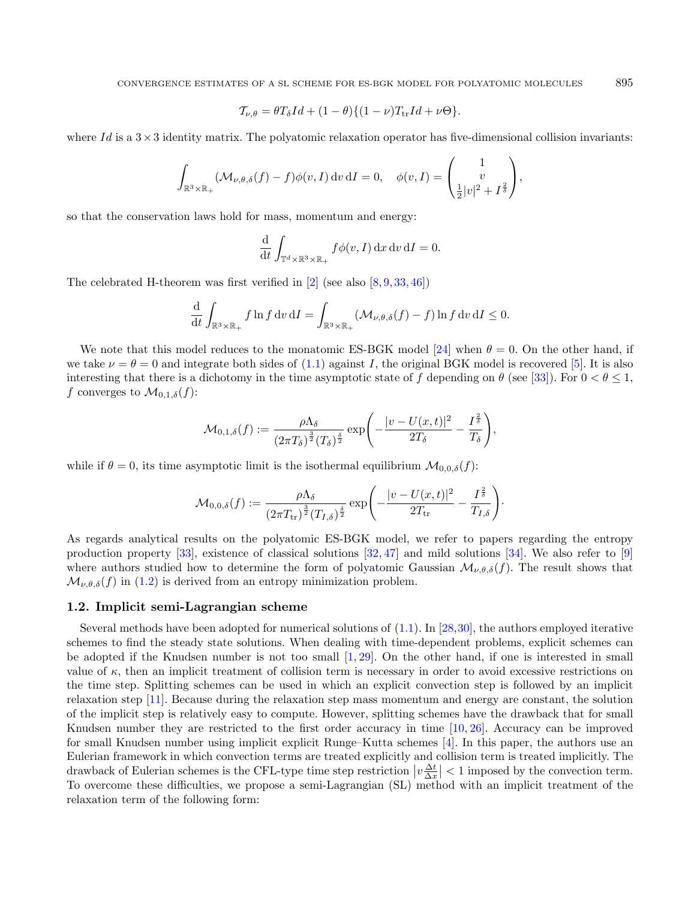$$
\mathcal{T}_{\nu,\theta} = \theta T_{\delta} Id + (1 - \theta) \{ (1 - \nu) T_{\rm tr} Id + \nu \Theta \}.
$$

where Id is a  $3\times3$  identity matrix. The polyatomic relaxation operator has five-dimensional collision invariants:

$$
\int_{\mathbb{R}^3 \times \mathbb{R}_+} (\mathcal{M}_{\nu,\theta,\delta}(f) - f) \phi(v,I) dv dI = 0, \quad \phi(v,I) = \begin{pmatrix} 1 \\ v \\ \frac{1}{2} |v|^2 + I^{\frac{2}{\delta}} \end{pmatrix},
$$

so that the conservation laws hold for mass, momentum and energy:

$$
\frac{\mathrm{d}}{\mathrm{d}t} \int_{\mathbb{T}^d \times \mathbb{R}^3 \times \mathbb{R}_+} f \phi(v, I) \, \mathrm{d}x \, \mathrm{d}v \, \mathrm{d}I = 0.
$$

The celebrated H-theorem was first verified in [\[2\]](#page-47-0) (see also [\[8,](#page-48-7) [9,](#page-48-5) [33,](#page-48-8) [46\]](#page-49-0))

$$
\frac{\mathrm{d}}{\mathrm{d}t} \int_{\mathbb{R}^3 \times \mathbb{R}_+} f \ln f \, \mathrm{d}v \, \mathrm{d}I = \int_{\mathbb{R}^3 \times \mathbb{R}_+} (\mathcal{M}_{\nu,\theta,\delta}(f) - f) \ln f \, \mathrm{d}v \, \mathrm{d}I \le 0.
$$

We note that this model reduces to the monatomic ES-BGK model [\[24\]](#page-48-6) when  $\theta = 0$ . On the other hand, if we take  $\nu = \theta = 0$  and integrate both sides of [\(1.1\)](#page-1-0) against *I*, the original BGK model is recovered [\[5\]](#page-48-0). It is also interesting that there is a dichotomy in the time asymptotic state of f depending on  $\theta$  (see [\[33\]](#page-48-8)). For  $0 < \theta \le 1$ , f converges to  $\mathcal{M}_{0,1,\delta}(f)$ :

$$
\mathcal{M}_{0,1,\delta}(f) := \frac{\rho \Lambda_{\delta}}{(2\pi T_{\delta})^{\frac{3}{2}}(T_{\delta})^{\frac{\delta}{2}}} \exp\left(-\frac{|v - U(x,t)|^2}{2T_{\delta}} - \frac{I^{\frac{2}{\delta}}}{T_{\delta}}\right),\,
$$

while if  $\theta = 0$ , its time asymptotic limit is the isothermal equilibrium  $\mathcal{M}_{0,0,\delta}(f)$ :

$$
\mathcal{M}_{0,0,\delta}(f) := \frac{\rho \Lambda_{\delta}}{(2\pi T_{\text{tr}})^{\frac{3}{2}}(T_{I,\delta})^{\frac{\delta}{2}}} \exp\left(-\frac{|v - U(x,t)|^2}{2T_{\text{tr}}}-\frac{I^{\frac{2}{\delta}}}{T_{I,\delta}}\right).
$$

As regards analytical results on the polyatomic ES-BGK model, we refer to papers regarding the entropy production property [\[33\]](#page-48-8), existence of classical solutions [\[32,](#page-48-9) [47\]](#page-49-1) and mild solutions [\[34\]](#page-48-10). We also refer to [\[9\]](#page-48-5) where authors studied how to determine the form of polyatomic Gaussian  $\mathcal{M}_{\nu,\theta,\delta}(f)$ . The result shows that  $\mathcal{M}_{\nu,\theta,\delta}(f)$  in [\(1.2\)](#page-1-1) is derived from an entropy minimization problem.

#### 1.2. Implicit semi-Lagrangian scheme

Several methods have been adopted for numerical solutions of [\(1.1\)](#page-1-0). In [\[28,](#page-48-11)[30\]](#page-48-12), the authors employed iterative schemes to find the steady state solutions. When dealing with time-dependent problems, explicit schemes can be adopted if the Knudsen number is not too small [\[1,](#page-47-1) [29\]](#page-48-13). On the other hand, if one is interested in small value of  $\kappa$ , then an implicit treatment of collision term is necessary in order to avoid excessive restrictions on the time step. Splitting schemes can be used in which an explicit convection step is followed by an implicit relaxation step [\[11\]](#page-48-14). Because during the relaxation step mass momentum and energy are constant, the solution of the implicit step is relatively easy to compute. However, splitting schemes have the drawback that for small Knudsen number they are restricted to the first order accuracy in time [\[10,](#page-48-15) [26\]](#page-48-16). Accuracy can be improved for small Knudsen number using implicit explicit Runge–Kutta schemes [\[4\]](#page-48-1). In this paper, the authors use an Eulerian framework in which convection terms are treated explicitly and collision term is treated implicitly. The drawback of Eulerian schemes is the CFL-type time step restriction  $\left|v \frac{\Delta t}{\Delta x}\right| < 1$  imposed by the convection term. To overcome these difficulties, we propose a semi-Lagrangian (SL) method with an implicit treatment of the relaxation term of the following form: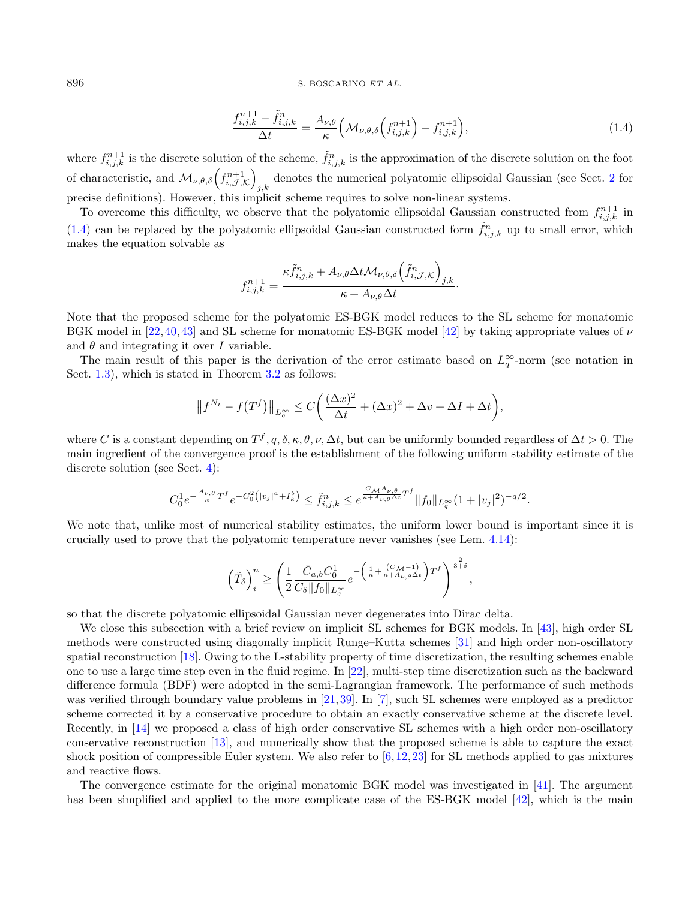<span id="page-3-0"></span>
$$
\frac{f_{i,j,k}^{n+1} - \tilde{f}_{i,j,k}^n}{\Delta t} = \frac{A_{\nu,\theta}}{\kappa} \left( \mathcal{M}_{\nu,\theta,\delta} \left( f_{i,j,k}^{n+1} \right) - f_{i,j,k}^{n+1} \right),\tag{1.4}
$$

where  $f_{i,j,k}^{n+1}$  is the discrete solution of the scheme,  $\tilde{f}_{i,j,k}^n$  is the approximation of the discrete solution on the foot of characteristic, and  $\mathcal{M}_{\nu,\theta,\delta}\left(f_{i,\mathcal{J},\mathcal{K}}^{n+1}\right)$ denotes the numerical polyatomic ellipsoidal Gaussian (see Sect. [2](#page-4-0) for  $j,k$ precise definitions). However, this implicit scheme requires to solve non-linear systems.

To overcome this difficulty, we observe that the polyatomic ellipsoidal Gaussian constructed from  $f_{i,j,k}^{n+1}$  in [\(1.4\)](#page-3-0) can be replaced by the polyatomic ellipsoidal Gaussian constructed form  $\tilde{f}_{i,j,k}^n$  up to small error, which makes the equation solvable as

$$
f_{i,j,k}^{n+1} = \frac{\kappa \tilde{f}_{i,j,k}^n + A_{\nu,\theta} \Delta t \mathcal{M}_{\nu,\theta,\delta} \left(\tilde{f}_{i,\mathcal{J},\mathcal{K}}^n\right)_{j,k}}{\kappa + A_{\nu,\theta} \Delta t}.
$$

Note that the proposed scheme for the polyatomic ES-BGK model reduces to the SL scheme for monatomic BGK model in [\[22,](#page-48-17)[40,](#page-49-2)[43\]](#page-49-3) and SL scheme for monatomic ES-BGK model [\[42\]](#page-49-4) by taking appropriate values of  $\nu$ and  $\theta$  and integrating it over  $I$  variable.

The main result of this paper is the derivation of the error estimate based on  $L_q^{\infty}$ -norm (see notation in Sect. [1.3\)](#page-4-1), which is stated in Theorem [3.2](#page-12-0) as follows:

$$
||f^{N_t} - f(T^f)||_{L_q^{\infty}} \le C\bigg(\frac{(\Delta x)^2}{\Delta t} + (\Delta x)^2 + \Delta v + \Delta I + \Delta t\bigg),
$$

where C is a constant depending on  $T^f, q, \delta, \kappa, \theta, \nu, \Delta t$ , but can be uniformly bounded regardless of  $\Delta t > 0$ . The main ingredient of the convergence proof is the establishment of the following uniform stability estimate of the discrete solution (see Sect. [4\)](#page-12-1):

$$
C_0^1 e^{-\frac{A_{\nu,\theta}}{\kappa} T^f} e^{-C_0^2 (|v_j|^a + I_k^b)} \leq \tilde{f}_{i,j,k}^n \leq e^{\frac{C_{\mathcal{M}^{A_{\nu,\theta}}}}{\kappa + A_{\nu,\theta} \Delta t} T^f} \|f_0\|_{L^\infty_q} (1+|v_j|^2)^{-q/2}.
$$

We note that, unlike most of numerical stability estimates, the uniform lower bound is important since it is crucially used to prove that the polyatomic temperature never vanishes (see Lem. [4.14\)](#page-24-0):

$$
\left(\tilde{T}_\delta\right)_i^n\geq \left(\frac{1}{2}\frac{\bar{C}_{a,b}C_0^1}{C_\delta\|f_0\|_{L^\infty_q}}e^{-\left(\frac{1}{\kappa}+\frac{(C_{\mathcal{M}}-1)}{\kappa+A_{\nu,\theta}\Delta t}\right) T^f}\right)^{\frac{2}{3+\delta}},
$$

so that the discrete polyatomic ellipsoidal Gaussian never degenerates into Dirac delta.

We close this subsection with a brief review on implicit SL schemes for BGK models. In [\[43\]](#page-49-3), high order SL methods were constructed using diagonally implicit Runge–Kutta schemes [\[31\]](#page-48-18) and high order non-oscillatory spatial reconstruction [\[18\]](#page-48-19). Owing to the L-stability property of time discretization, the resulting schemes enable one to use a large time step even in the fluid regime. In [\[22\]](#page-48-17), multi-step time discretization such as the backward difference formula (BDF) were adopted in the semi-Lagrangian framework. The performance of such methods was verified through boundary value problems in [\[21,](#page-48-20)[39\]](#page-49-5). In [\[7\]](#page-48-21), such SL schemes were employed as a predictor scheme corrected it by a conservative procedure to obtain an exactly conservative scheme at the discrete level. Recently, in [\[14\]](#page-48-22) we proposed a class of high order conservative SL schemes with a high order non-oscillatory conservative reconstruction [\[13\]](#page-48-23), and numerically show that the proposed scheme is able to capture the exact shock position of compressible Euler system. We also refer to  $[6,12,23]$  $[6,12,23]$  $[6,12,23]$  for SL methods applied to gas mixtures and reactive flows.

The convergence estimate for the original monatomic BGK model was investigated in [\[41\]](#page-49-6). The argument has been simplified and applied to the more complicate case of the ES-BGK model [\[42\]](#page-49-4), which is the main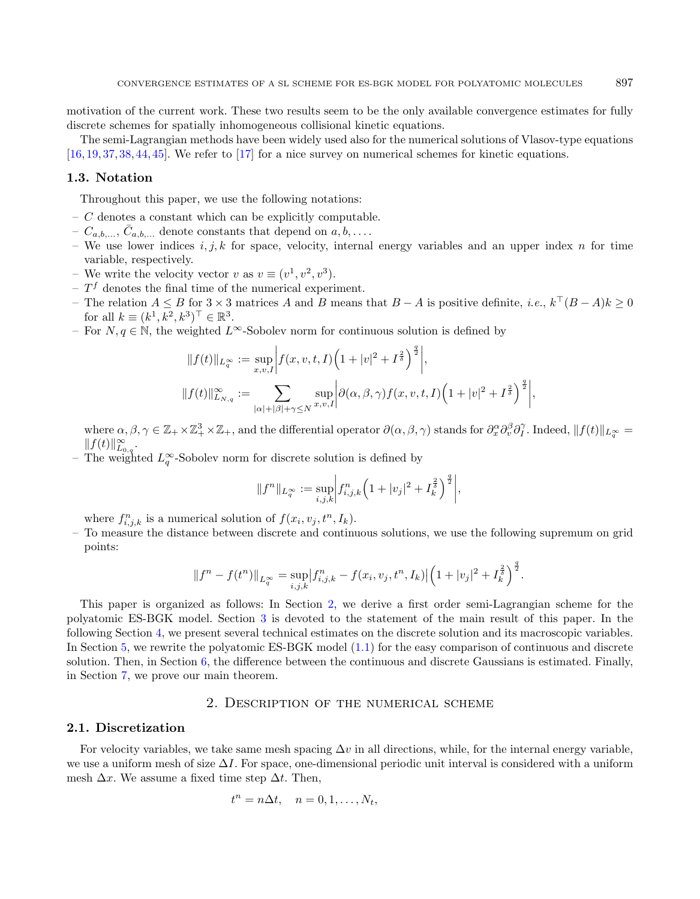motivation of the current work. These two results seem to be the only available convergence estimates for fully discrete schemes for spatially inhomogeneous collisional kinetic equations.

The semi-Lagrangian methods have been widely used also for the numerical solutions of Vlasov-type equations [\[16,](#page-48-27) [19,](#page-48-28) [37,](#page-48-29) [38,](#page-49-7) [44,](#page-49-8) [45\]](#page-49-9). We refer to [\[17\]](#page-48-30) for a nice survey on numerical schemes for kinetic equations.

#### <span id="page-4-1"></span>1.3. Notation

Throughout this paper, we use the following notations:

- $C$  denotes a constant which can be explicitly computable.
- $C_{a,b,\ldots}, \bar{C}_{a,b,\ldots}$  denote constants that depend on  $a, b, \ldots$ .
- We use lower indices  $i, j, k$  for space, velocity, internal energy variables and an upper index  $n$  for time variable, respectively.
- We write the velocity vector v as  $v \equiv (v^1, v^2, v^3)$ .
- $-T<sup>f</sup>$  denotes the final time of the numerical experiment.
- − The relation  $A \leq B$  for  $3 \times 3$  matrices A and B means that  $B A$  is positive definite, *i.e.*,  $k^{\top} (B A) k \geq 0$ for all  $k \equiv (k^1, k^2, k^3)^\top \in \mathbb{R}^3$ .
- For  $N, q \in \mathbb{N}$ , the weighted  $L^{\infty}$ -Sobolev norm for continuous solution is defined by

$$
||f(t)||_{L_q^{\infty}} := \sup_{x,v,I} \left| f(x,v,t,I) \left( 1 + |v|^2 + I^{\frac{2}{\delta}} \right)^{\frac{q}{2}} \right|,
$$
  

$$
||f(t)||_{L_{N,q}}^{\infty} := \sum_{|\alpha|+|\beta|+\gamma \le N} \sup_{x,v,I} \left| \partial(\alpha,\beta,\gamma) f(x,v,t,I) \left( 1 + |v|^2 + I^{\frac{2}{\delta}} \right)^{\frac{q}{2}} \right|,
$$

where  $\alpha, \beta, \gamma \in \mathbb{Z}_+ \times \mathbb{Z}_+^3 \times \mathbb{Z}_+$ , and the differential operator  $\partial(\alpha, \beta, \gamma)$  stands for  $\partial_x^{\alpha} \partial_v^{\beta} \partial_l^{\gamma}$ . Indeed,  $||f(t)||_{L_q^{\infty}} =$  $|| f(t) ||_{L_{0,q}}^{\infty}.$ 

− The weighted  $L_q^{\infty}$ -Sobolev norm for discrete solution is defined by

$$
||f^n||_{L_q^{\infty}} := \sup_{i,j,k} \left| f_{i,j,k}^n \left( 1 + |v_j|^2 + I_k^{\frac{2}{\delta}} \right)^{\frac{q}{2}} \right|,
$$

where  $f_{i,j,k}^n$  is a numerical solution of  $f(x_i, v_j, t^n, I_k)$ .

– To measure the distance between discrete and continuous solutions, we use the following supremum on grid points:

$$
||f^{n}-f(t^{n})||_{L^{\infty}_{q}}=\sup_{i,j,k}|f^{n}_{i,j,k}-f(x_{i},v_{j},t^{n},I_{k})|\Big(1+|v_{j}|^{2}+I_{k}^{\frac{2}{\delta}}\Big)^{\frac{q}{2}}.
$$

This paper is organized as follows: In Section [2,](#page-4-0) we derive a first order semi-Lagrangian scheme for the polyatomic ES-BGK model. Section [3](#page-11-0) is devoted to the statement of the main result of this paper. In the following Section [4,](#page-12-1) we present several technical estimates on the discrete solution and its macroscopic variables. In Section [5,](#page-26-0) we rewrite the polyatomic ES-BGK model [\(1.1\)](#page-1-0) for the easy comparison of continuous and discrete solution. Then, in Section [6,](#page-32-0) the difference between the continuous and discrete Gaussians is estimated. Finally, in Section [7,](#page-43-0) we prove our main theorem.

#### 2. Description of the numerical scheme

#### <span id="page-4-0"></span>2.1. Discretization

For velocity variables, we take same mesh spacing  $\Delta v$  in all directions, while, for the internal energy variable. we use a uniform mesh of size  $\Delta I$ . For space, one-dimensional periodic unit interval is considered with a uniform mesh  $\Delta x$ . We assume a fixed time step  $\Delta t$ . Then,

$$
t^n = n\Delta t, \quad n = 0, 1, \dots, N_t,
$$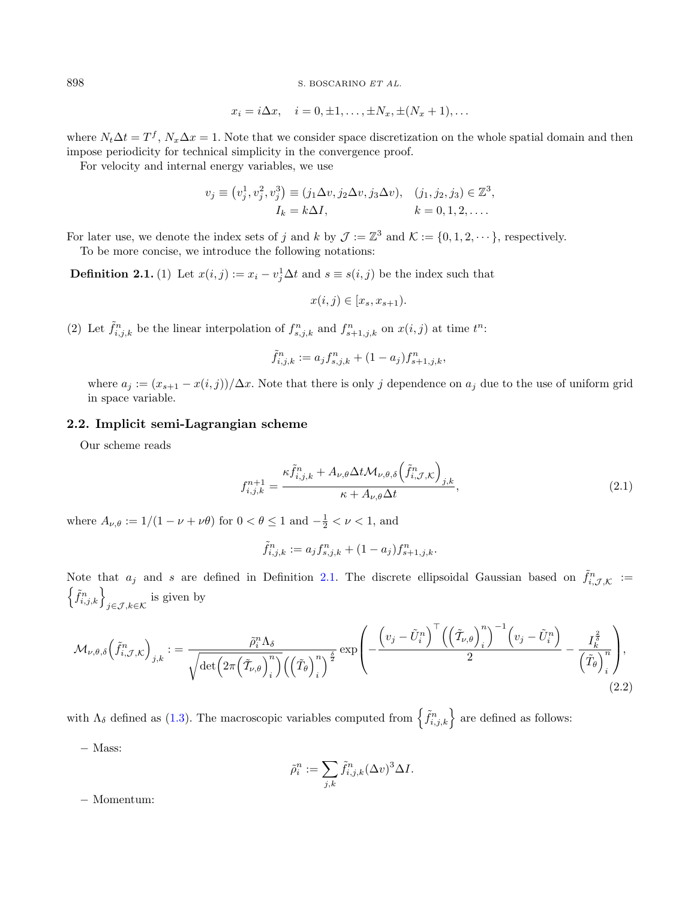<span id="page-5-0"></span>
$$
x_i = i\Delta x, \quad i = 0, \pm 1, \dots, \pm N_x, \pm (N_x + 1), \dots
$$

where  $N_t \Delta t = T^f$ ,  $N_x \Delta x = 1$ . Note that we consider space discretization on the whole spatial domain and then impose periodicity for technical simplicity in the convergence proof.

For velocity and internal energy variables, we use

$$
v_j \equiv (v_j^1, v_j^2, v_j^3) \equiv (j_1 \Delta v, j_2 \Delta v, j_3 \Delta v), \quad (j_1, j_2, j_3) \in \mathbb{Z}^3, I_k = k \Delta I, \qquad k = 0, 1, 2, ....
$$

For later use, we denote the index sets of j and k by  $\mathcal{J} := \mathbb{Z}^3$  and  $\mathcal{K} := \{0, 1, 2, \dots\}$ , respectively.

To be more concise, we introduce the following notations:

**Definition 2.1.** (1) Let  $x(i, j) := x_i - v_j^1 \Delta t$  and  $s \equiv s(i, j)$  be the index such that

<span id="page-5-1"></span>
$$
x(i,j) \in [x_s, x_{s+1}).
$$

(2) Let  $\tilde{f}_{i,j,k}^n$  be the linear interpolation of  $f_{s,j,k}^n$  and  $f_{s+1,j,k}^n$  on  $x(i,j)$  at time  $t^n$ :

$$
\tilde{f}_{i,j,k}^n := a_j f_{s,j,k}^n + (1 - a_j) f_{s+1,j,k}^n,
$$

where  $a_j := (x_{s+1} - x(i, j))/\Delta x$ . Note that there is only j dependence on  $a_j$  due to the use of uniform grid in space variable.

## 2.2. Implicit semi-Lagrangian scheme

Our scheme reads

$$
f_{i,j,k}^{n+1} = \frac{\kappa \tilde{f}_{i,j,k}^n + A_{\nu,\theta} \Delta t \mathcal{M}_{\nu,\theta,\delta} \left(\tilde{f}_{i,\mathcal{J},\mathcal{K}}^n\right)_{j,k}}{\kappa + A_{\nu,\theta} \Delta t},\tag{2.1}
$$

where  $A_{\nu,\theta} := 1/(1 - \nu + \nu\theta)$  for  $0 < \theta \le 1$  and  $-\frac{1}{2} < \nu < 1$ , and

<span id="page-5-2"></span>
$$
\tilde{f}_{i,j,k}^n := a_j f_{s,j,k}^n + (1 - a_j) f_{s+1,j,k}^n.
$$

Note that  $a_j$  and s are defined in Definition [2.1.](#page-5-0) The discrete ellipsoidal Gaussian based on  $\tilde{f}_{i,\mathcal{J},\mathcal{K}}^n$  :=  $\left\{\tilde{f}_{i,j,k}^n\right\}_{j\in\mathcal{J},k\in\mathcal{K}}$  is given by

$$
\mathcal{M}_{\nu,\theta,\delta}\left(\tilde{f}_{i,\mathcal{J},\mathcal{K}}^{n}\right)_{j,k} := \frac{\tilde{\rho}_{i}^{n}\Lambda_{\delta}}{\sqrt{\det\left(2\pi\left(\tilde{\mathcal{I}}_{\nu,\theta}\right)_{i}^{n}\right)\left(\left(\tilde{\mathcal{I}}_{\theta}\right)_{i}^{n}\right)^{\frac{\delta}{2}}}}\exp\left(-\frac{\left(v_{j}-\tilde{U}_{i}^{n}\right)^{\top}\left(\left(\tilde{\mathcal{I}}_{\nu,\theta}\right)_{i}^{n}\right)^{-1}\left(v_{j}-\tilde{U}_{i}^{n}\right)}{2}-\frac{I_{\tilde{\lambda}}^{\frac{\delta}{2}}}{\left(\tilde{\mathcal{I}}_{\theta}\right)_{i}^{n}\right)},\tag{2.2}
$$

with  $\Lambda_{\delta}$  defined as [\(1.3\)](#page-1-2). The macroscopic variables computed from  $\left\{ \tilde{f}_{i,j,k}^{n}\right\}$  are defined as follows:

− Mass:

$$
\tilde{\rho}_i^n := \sum_{j,k} \tilde{f}_{i,j,k}^n (\Delta v)^3 \Delta I.
$$

− Momentum: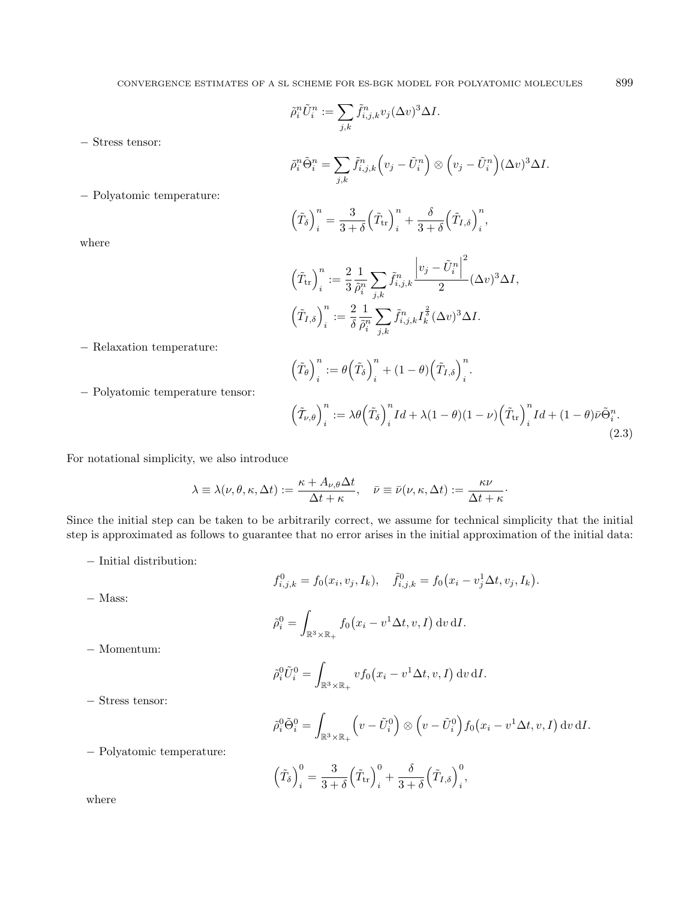$\tilde{\rho}_i^n\tilde{U}_i^n:=\sum$ 

 $(\tilde{T}_{\theta})^n$ 

 $_{j,k}$ 

− Stress tensor:

$$
\tilde{\rho}_i^n \tilde{\Theta}_i^n = \sum_{j,k} \tilde{f}_{i,j,k}^n \left( v_j - \tilde{U}_i^n \right) \otimes \left( v_j - \tilde{U}_i^n \right) (\Delta v)^3 \Delta I.
$$

− Polyatomic temperature:

$$
\left(\tilde{T}_{\delta}\right)^n_i = \frac{3}{3+\delta} \left(\tilde{T}_{\rm tr}\right)^n_i + \frac{\delta}{3+\delta} \left(\tilde{T}_{I,\delta}\right)^n_i,
$$

 $\tilde{f}_{i,j,k}^n v_j(\Delta v)^3 \Delta I.$ 

where

$$
\left(\tilde{T}_{tr}\right)_i^n := \frac{2}{3} \frac{1}{\tilde{\rho}_i^n} \sum_{j,k} \tilde{f}_{i,j,k}^n \frac{\left|v_j - \tilde{U}_i^n\right|^2}{2} (\Delta v)^3 \Delta I,
$$

$$
\left(\tilde{T}_{I,\delta}\right)_i^n := \frac{2}{\delta} \frac{1}{\tilde{\rho}_i^n} \sum_{j,k} \tilde{f}_{i,j,k}^n I_k^{\frac{2}{\delta}} (\Delta v)^3 \Delta I.
$$

<span id="page-6-0"></span> $\sum_{i}^{n} + (1 - \theta) \left( \tilde{T}_{I, \delta} \right)_{i}^{n}.$ 

− Relaxation temperature:

− Polyatomic temperature tensor:

$$
\left(\tilde{T}_{\nu,\theta}\right)_i^n := \lambda \theta \left(\tilde{T}_{\delta}\right)_i^n Id + \lambda (1-\theta)(1-\nu) \left(\tilde{T}_{\text{tr}}\right)_i^n Id + (1-\theta) \bar{\nu} \tilde{\Theta}_i^n. \tag{2.3}
$$

For notational simplicity, we also introduce

$$
\lambda \equiv \lambda(\nu, \theta, \kappa, \Delta t) := \frac{\kappa + A_{\nu, \theta} \Delta t}{\Delta t + \kappa}, \quad \bar{\nu} \equiv \bar{\nu}(\nu, \kappa, \Delta t) := \frac{\kappa \nu}{\Delta t + \kappa}.
$$

 $\frac{n}{i} := \theta \left( \tilde{T}_\delta \right)_i^n$ 

Since the initial step can be taken to be arbitrarily correct, we assume for technical simplicity that the initial step is approximated as follows to guarantee that no error arises in the initial approximation of the initial data:

 $\mathbb{R}^3\times\mathbb{R}_+$ 

− Initial distribution:

$$
f_{i,j,k}^0 = f_0(x_i, v_j, I_k), \quad \tilde{f}_{i,j,k}^0 = f_0(x_i - v_j^1 \Delta t, v_j, I_k).
$$
  

$$
\tilde{\rho}_i^0 = \int_{-\infty}^{\infty} f_0(x_i - v^1 \Delta t, v, I) \, dv \, dI.
$$

$$
-
$$
 Momentum:

− Mass:

$$
\tilde{\rho}_i^0 \tilde{U}_i^0 = \int_{\mathbb{R}^3 \times \mathbb{R}_+} v f_0(x_i - v^1 \Delta t, v, I) \, dv \, dI.
$$

− Stress tensor:

$$
\tilde{\rho}_i^0 \tilde{\Theta}_i^0 = \int_{\mathbb{R}^3 \times \mathbb{R}_+} \left( v - \tilde{U}_i^0 \right) \otimes \left( v - \tilde{U}_i^0 \right) f_0 \left( x_i - v^1 \Delta t, v, I \right) dv \, dI.
$$

− Polyatomic temperature:

$$
\left(\tilde{T}_{\delta}\right)_{i}^{0} = \frac{3}{3+\delta} \left(\tilde{T}_{\text{tr}}\right)_{i}^{0} + \frac{\delta}{3+\delta} \left(\tilde{T}_{I,\delta}\right)_{i}^{0},
$$

where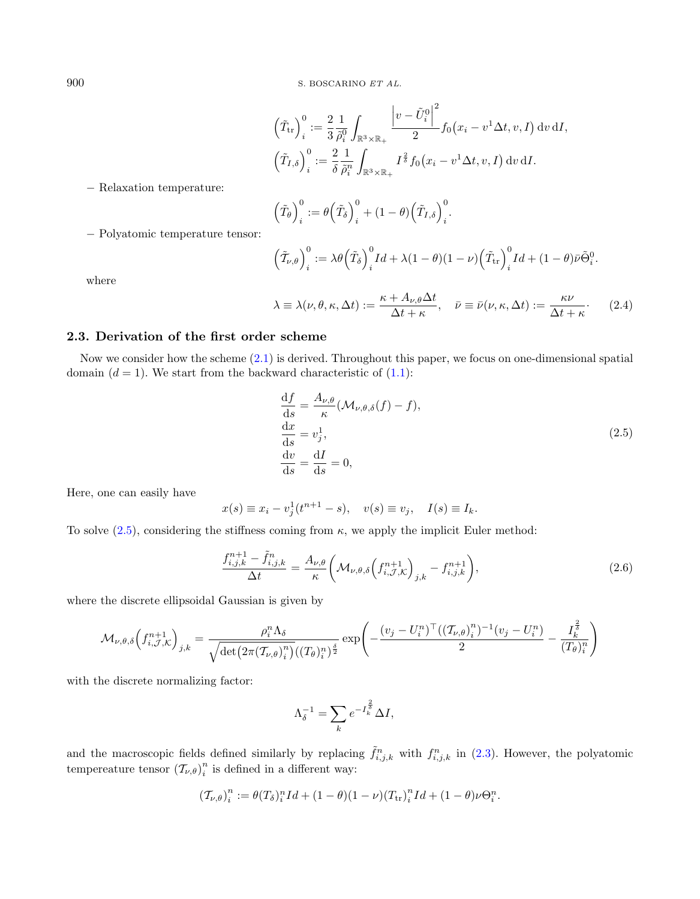<span id="page-7-2"></span>
$$
\left(\tilde{T}_{tr}\right)_i^0 := \frac{2}{3} \frac{1}{\tilde{\rho}_i^0} \int_{\mathbb{R}^3 \times \mathbb{R}_+} \frac{\left|v - \tilde{U}_i^0\right|^2}{2} f_0(x_i - v^1 \Delta t, v, I) dv dI,
$$
  

$$
\left(\tilde{T}_{I, \delta}\right)_i^0 := \frac{2}{\delta} \frac{1}{\tilde{\rho}_i^n} \int_{\mathbb{R}^3 \times \mathbb{R}_+} I^{\frac{2}{\delta}} f_0(x_i - v^1 \Delta t, v, I) dv dI.
$$

− Relaxation temperature:

$$
\left(\tilde{T}_{\theta}\right)_{i}^{0} := \theta\left(\tilde{T}_{\delta}\right)_{i}^{0} + (1 - \theta)\left(\tilde{T}_{I,\delta}\right)_{i}^{0}.
$$

− Polyatomic temperature tensor:

<span id="page-7-0"></span>
$$
\left(\tilde{T}_{\nu,\theta}\right)_i^0 := \lambda \theta \left(\tilde{T}_{\delta}\right)_i^0 Id + \lambda (1-\theta)(1-\nu) \left(\tilde{T}_{\rm tr}\right)_i^0 Id + (1-\theta) \bar{\nu} \tilde{\Theta}_i^0.
$$

where

$$
\lambda \equiv \lambda(\nu, \theta, \kappa, \Delta t) := \frac{\kappa + A_{\nu, \theta} \Delta t}{\Delta t + \kappa}, \quad \bar{\nu} \equiv \bar{\nu}(\nu, \kappa, \Delta t) := \frac{\kappa \nu}{\Delta t + \kappa}.
$$
 (2.4)

#### 2.3. Derivation of the first order scheme

Now we consider how the scheme [\(2.1\)](#page-5-1) is derived. Throughout this paper, we focus on one-dimensional spatial domain  $(d = 1)$ . We start from the backward characteristic of  $(1.1)$ :

<span id="page-7-1"></span>
$$
\frac{df}{ds} = \frac{A_{\nu,\theta}}{\kappa} (\mathcal{M}_{\nu,\theta,\delta}(f) - f),
$$
  
\n
$$
\frac{dx}{ds} = v_j^1,
$$
  
\n
$$
\frac{dv}{ds} = \frac{dI}{ds} = 0,
$$
\n(2.5)

Here, one can easily have

$$
x(s) \equiv x_i - v_j^1(t^{n+1} - s), \quad v(s) \equiv v_j, \quad I(s) \equiv I_k.
$$

To solve [\(2.5\)](#page-7-0), considering the stiffness coming from  $\kappa$ , we apply the implicit Euler method:

$$
\frac{f_{i,j,k}^{n+1} - \tilde{f}_{i,j,k}^n}{\Delta t} = \frac{A_{\nu,\theta}}{\kappa} \left( \mathcal{M}_{\nu,\theta,\delta} \left( f_{i,\mathcal{J},\mathcal{K}}^{n+1} \right)_{j,k} - f_{i,j,k}^{n+1} \right),\tag{2.6}
$$

where the discrete ellipsoidal Gaussian is given by

$$
\mathcal{M}_{\nu,\theta,\delta}\left(f_{i,\mathcal{J},\mathcal{K}}^{n+1}\right)_{j,k} = \frac{\rho_i^n \Lambda_\delta}{\sqrt{\det\left(2\pi(\mathcal{T}_{\nu,\theta})_i^n\right) \left((\mathcal{T}_{\theta})_i^n\right)^{\frac{\delta}{2}}}} \exp\left(-\frac{(v_j - U_i^n)^\top \left((\mathcal{T}_{\nu,\theta})_i^n\right)^{-1} (v_j - U_i^n)}{2} - \frac{I_k^{\frac{2}{\delta}}}{(\mathcal{T}_{\theta})_i^n}\right)
$$

with the discrete normalizing factor:

$$
\Lambda_{\delta}^{-1} = \sum_{k} e^{-I_{k}^{\frac{2}{\delta}}} \Delta I,
$$

and the macroscopic fields defined similarly by replacing  $\tilde{f}_{i,j,k}^n$  with  $f_{i,j,k}^n$  in [\(2.3\)](#page-6-0). However, the polyatomic tempereature tensor  $(\mathcal{T}_{\nu,\theta})_i^n$  $\binom{n}{i}$  is defined in a different way:

$$
\left(\mathcal{T}_{\nu,\theta}\right)_i^n:=\theta(T_\delta)_i^nId+(1-\theta)(1-\nu)\big(T_{\mathrm{tr}}\big)_i^nId+(1-\theta)\nu\Theta_i^n.
$$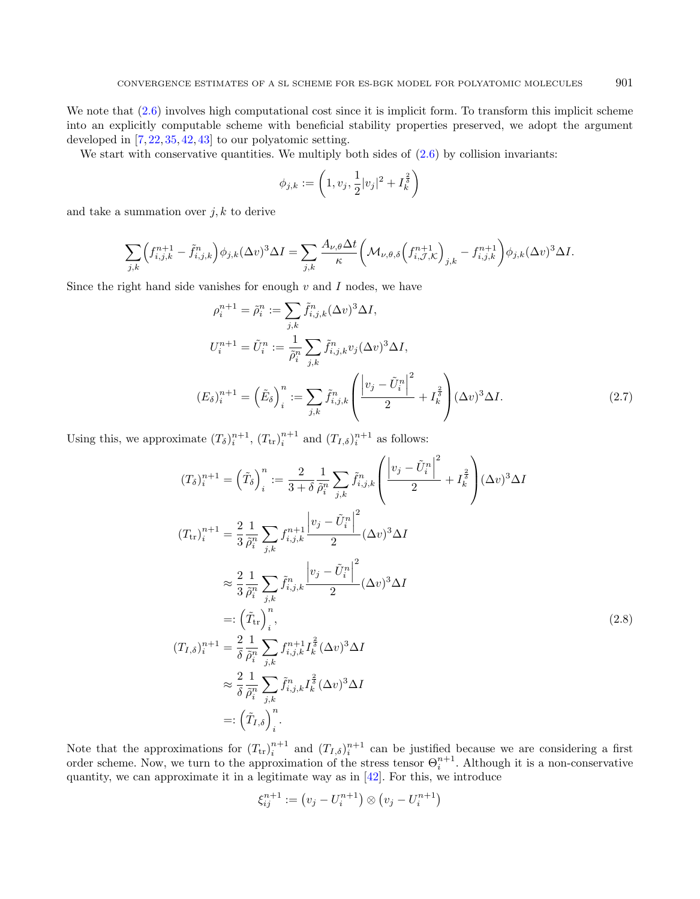We note that  $(2.6)$  involves high computational cost since it is implicit form. To transform this implicit scheme into an explicitly computable scheme with beneficial stability properties preserved, we adopt the argument developed in [\[7,](#page-48-21) [22,](#page-48-17) [35,](#page-48-31) [42,](#page-49-4) [43\]](#page-49-3) to our polyatomic setting.

We start with conservative quantities. We multiply both sides of  $(2.6)$  by collision invariants:

<span id="page-8-1"></span><span id="page-8-0"></span>
$$
\phi_{j,k} := \left(1, v_j, \frac{1}{2}|v_j|^2 + I_k^{\frac{2}{\delta}}\right)
$$

and take a summation over  $j, k$  to derive

$$
\sum_{j,k} \left( f_{i,j,k}^{n+1} - \tilde{f}_{i,j,k}^n \right) \phi_{j,k} (\Delta v)^3 \Delta I = \sum_{j,k} \frac{A_{\nu,\theta} \Delta t}{\kappa} \left( \mathcal{M}_{\nu,\theta,\delta} \left( f_{i,\mathcal{J},\mathcal{K}}^{n+1} \right)_{j,k} - f_{i,j,k}^{n+1} \right) \phi_{j,k} (\Delta v)^3 \Delta I.
$$

Since the right hand side vanishes for enough  $v$  and  $I$  nodes, we have

$$
\rho_i^{n+1} = \tilde{\rho}_i^n := \sum_{j,k} \tilde{f}_{i,j,k}^n (\Delta v)^3 \Delta I,
$$
  
\n
$$
U_i^{n+1} = \tilde{U}_i^n := \frac{1}{\tilde{\rho}_i^n} \sum_{j,k} \tilde{f}_{i,j,k}^n v_j (\Delta v)^3 \Delta I,
$$
  
\n
$$
(E_\delta)^{n+1} = (\tilde{E}_\delta)^n := \sum_{j,k} \tilde{f}_{i,j,k}^n \left( \frac{|v_j - \tilde{U}_i^n|^2}{2} + I_k^{\frac{2}{\delta}} \right) (\Delta v)^3 \Delta I.
$$
\n(2.7)

Using this, we approximate  $(T_\delta)^{n+1}_{i}$ ,  $(T_{tr})^{n+1}_{i}$  and  $(T_{I,\delta})^{n+1}_{i}$  as follows:

$$
(T_{\delta})_{i}^{n+1} = (\tilde{T}_{\delta})_{i}^{n} := \frac{2}{3+\delta} \frac{1}{\tilde{\rho}_{i}^{n}} \sum_{j,k} \tilde{f}_{i,j,k}^{n} \left( \frac{\left| v_{j} - \tilde{U}_{i}^{n} \right|^{2}}{2} + I_{k}^{\frac{2}{3}} \right) (\Delta v)^{3} \Delta I
$$
  
\n
$$
(T_{\text{tr}})_{i}^{n+1} = \frac{2}{3} \frac{1}{\tilde{\rho}_{i}^{n}} \sum_{j,k} f_{i,j,k}^{n+1} \frac{\left| v_{j} - \tilde{U}_{i}^{n} \right|^{2}}{2} (\Delta v)^{3} \Delta I
$$
  
\n
$$
\approx \frac{2}{3} \frac{1}{\tilde{\rho}_{i}^{n}} \sum_{j,k} \tilde{f}_{i,j,k}^{n} \frac{\left| v_{j} - \tilde{U}_{i}^{n} \right|^{2}}{2} (\Delta v)^{3} \Delta I
$$
  
\n
$$
=:\left(\tilde{T}_{\text{tr}}\right)_{i}^{n},
$$
  
\n
$$
(T_{I,\delta})_{i}^{n+1} = \frac{2}{\delta} \frac{1}{\tilde{\rho}_{i}^{n}} \sum_{j,k} f_{i,j,k}^{n+1} I_{k}^{\frac{2}{3}} (\Delta v)^{3} \Delta I
$$
  
\n
$$
\approx \frac{2}{\delta} \frac{1}{\tilde{\rho}_{i}^{n}} \sum_{j,k} \tilde{f}_{i,j,k}^{n} I_{k}^{\frac{2}{3}} (\Delta v)^{3} \Delta I
$$
  
\n
$$
=:\left(\tilde{T}_{I,\delta}\right)_{i}^{n}.
$$
  
\n(2.8)

Note that the approximations for  $(T_{tr})_i^{n+1}$  and  $(T_{I,\delta})_i^{n+1}$  can be justified because we are considering a first order scheme. Now, we turn to the approximation of the stress tensor  $\Theta_i^{n+1}$ . Although it is a non-conservative quantity, we can approximate it in a legitimate way as in [\[42\]](#page-49-4). For this, we introduce

$$
\xi_{ij}^{n+1} := (v_j - U_i^{n+1}) \otimes (v_j - U_i^{n+1})
$$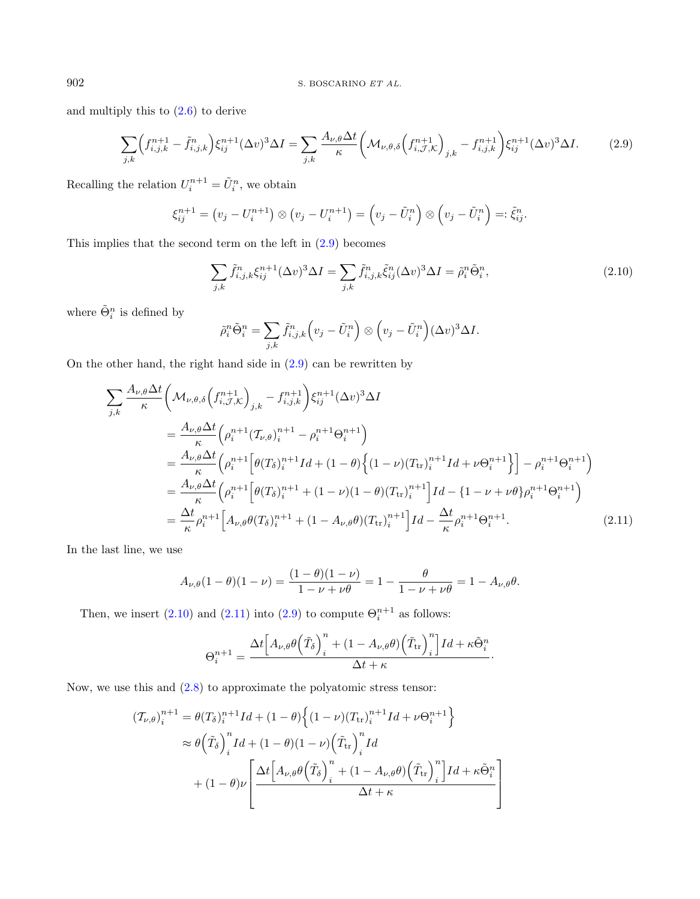and multiply this to [\(2.6\)](#page-7-1) to derive

$$
\sum_{j,k} \left( f_{i,j,k}^{n+1} - \tilde{f}_{i,j,k}^{n} \right) \xi_{ij}^{n+1} (\Delta v)^3 \Delta I = \sum_{j,k} \frac{A_{\nu,\theta} \Delta t}{\kappa} \left( \mathcal{M}_{\nu,\theta,\delta} \left( f_{i,\mathcal{J},\mathcal{K}}^{n+1} \right)_{j,k} - f_{i,j,k}^{n+1} \right) \xi_{ij}^{n+1} (\Delta v)^3 \Delta I. \tag{2.9}
$$

Recalling the relation  $U_i^{n+1} = \tilde{U}_i^n$ , we obtain

<span id="page-9-0"></span>
$$
\xi_{ij}^{n+1} = (v_j - U_i^{n+1}) \otimes (v_j - U_i^{n+1}) = (v_j - \tilde{U}_i^n) \otimes (v_j - \tilde{U}_i^n) =: \tilde{\xi}_{ij}^n.
$$

This implies that the second term on the left in [\(2.9\)](#page-9-0) becomes

<span id="page-9-1"></span>
$$
\sum_{j,k} \tilde{f}_{i,j,k}^n \xi_{ij}^{n+1} (\Delta v)^3 \Delta I = \sum_{j,k} \tilde{f}_{i,j,k}^n \tilde{\xi}_{ij}^n (\Delta v)^3 \Delta I = \tilde{\rho}_i^n \tilde{\Theta}_i^n,
$$
\n(2.10)

where  $\tilde{\Theta}_i^n$  is defined by

<span id="page-9-2"></span>
$$
\tilde{\rho}_i^n \tilde{\Theta}_i^n = \sum_{j,k} \tilde{f}_{i,j,k}^n \left( v_j - \tilde{U}_i^n \right) \otimes \left( v_j - \tilde{U}_i^n \right) (\Delta v)^3 \Delta I.
$$

On the other hand, the right hand side in [\(2.9\)](#page-9-0) can be rewritten by

$$
\sum_{j,k} \frac{A_{\nu,\theta} \Delta t}{\kappa} \left( \mathcal{M}_{\nu,\theta,\delta} \left( f_{i,\mathcal{J},\mathcal{K}}^{n+1} \right)_{j,k} - f_{i,j,k}^{n+1} \right) \xi_{ij}^{n+1} (\Delta v)^3 \Delta I \n= \frac{A_{\nu,\theta} \Delta t}{\kappa} \left( \rho_i^{n+1} (\mathcal{T}_{\nu,\theta})_i^{n+1} - \rho_i^{n+1} \Theta_i^{n+1} \right) \n= \frac{A_{\nu,\theta} \Delta t}{\kappa} \left( \rho_i^{n+1} \left[ \theta(T_{\delta})_i^{n+1} Id + (1-\theta) \left\{ (1-\nu)(T_{\rm tr})_i^{n+1} Id + \nu \Theta_i^{n+1} \right\} \right] - \rho_i^{n+1} \Theta_i^{n+1} \right) \n= \frac{A_{\nu,\theta} \Delta t}{\kappa} \left( \rho_i^{n+1} \left[ \theta(T_{\delta})_i^{n+1} + (1-\nu)(1-\theta)(T_{\rm tr})_i^{n+1} \right] Id - \{ 1 - \nu + \nu \theta \} \rho_i^{n+1} \Theta_i^{n+1} \right) \n= \frac{\Delta t}{\kappa} \rho_i^{n+1} \left[ A_{\nu,\theta} \theta(T_{\delta})_i^{n+1} + (1 - A_{\nu,\theta} \theta)(T_{\rm tr})_i^{n+1} \right] Id - \frac{\Delta t}{\kappa} \rho_i^{n+1} \Theta_i^{n+1}.
$$
\n(2.11)

In the last line, we use

$$
A_{\nu,\theta}(1-\theta)(1-\nu) = \frac{(1-\theta)(1-\nu)}{1-\nu+\nu\theta} = 1 - \frac{\theta}{1-\nu+\nu\theta} = 1 - A_{\nu,\theta}\theta.
$$

Then, we insert  $(2.10)$  and  $(2.11)$  into  $(2.9)$  to compute  $\Theta_i^{n+1}$  as follows:

$$
\Theta_i^{n+1} = \frac{\Delta t \Big[ A_{\nu, \theta} \theta \Big( \tilde{T}_\delta \Big)_i^n + (1 - A_{\nu, \theta} \theta) \Big( \tilde{T}_{\mathrm{tr}} \Big)_i^n \Big] Id + \kappa \tilde{\Theta}_i^n}{\Delta t + \kappa}.
$$

Now, we use this and [\(2.8\)](#page-8-0) to approximate the polyatomic stress tensor:

$$
\begin{aligned} \left(\mathcal{T}_{\nu,\theta}\right)_i^{n+1} &= \theta(T_\delta)_i^{n+1} Id + (1-\theta) \left\{ (1-\nu)(T_{\rm tr})_i^{n+1} Id + \nu \Theta_i^{n+1} \right\} \\ &\approx \theta \Big(\tilde{T}_\delta\Big)_i^n Id + (1-\theta)(1-\nu) \Big(\tilde{T}_{\rm tr}\Big)_i^n Id \\ &+ (1-\theta)\nu \Bigg[ \frac{\Delta t \Big[A_{\nu,\theta}\theta \Big(\tilde{T}_\delta\Big)_i^n + (1-A_{\nu,\theta}\theta) \Big(\tilde{T}_{\rm tr}\Big)_i^n \Big] Id + \kappa \tilde{\Theta}_i^n}{\Delta t + \kappa} \end{aligned}
$$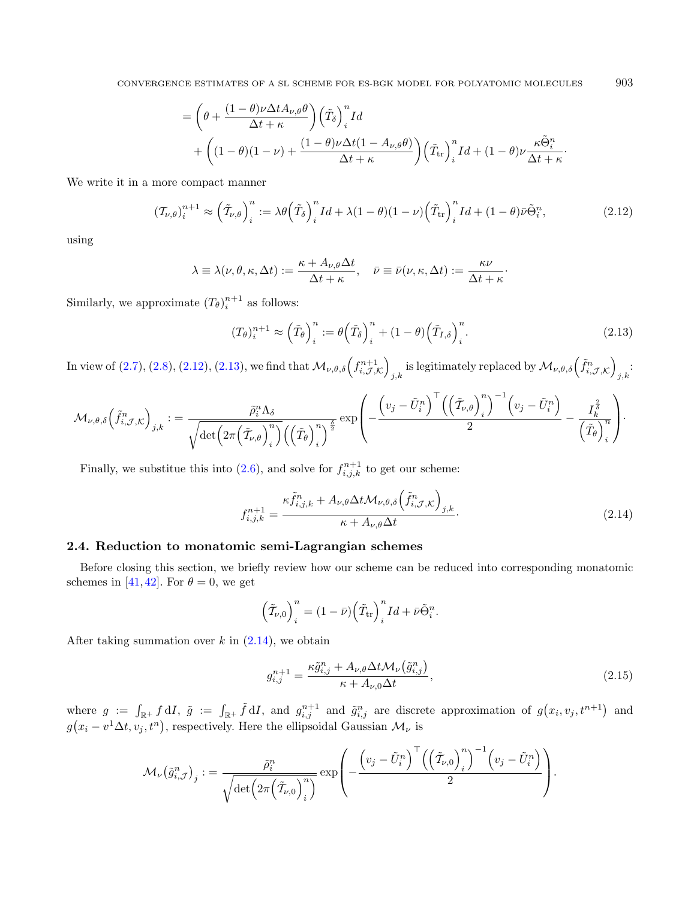CONVERGENCE ESTIMATES OF A SL SCHEME FOR ES-BGK MODEL FOR POLYATOMIC MOLECULES 903

<span id="page-10-0"></span>
$$
= \left(\theta + \frac{(1-\theta)\nu\Delta t A_{\nu,\theta}\theta}{\Delta t + \kappa}\right) \left(\tilde{T}_{\delta}\right)^{n}_{i} Id + \left((1-\theta)(1-\nu) + \frac{(1-\theta)\nu\Delta t (1-A_{\nu,\theta}\theta)}{\Delta t + \kappa}\right) \left(\tilde{T}_{\text{tr}}\right)^{n}_{i} Id + (1-\theta)\nu \frac{\kappa \tilde{\Theta}^{n}_{i}}{\Delta t + \kappa}.
$$

We write it in a more compact manner

$$
(\mathcal{T}_{\nu,\theta})_i^{n+1} \approx \left(\tilde{\mathcal{T}}_{\nu,\theta}\right)_i^n := \lambda \theta \left(\tilde{\mathcal{T}}_{\delta}\right)_i^n I d + \lambda (1-\theta)(1-\nu) \left(\tilde{\mathcal{T}}_{\text{tr}}\right)_i^n I d + (1-\theta)\bar{\nu}\tilde{\Theta}_i^n,\tag{2.12}
$$

using

$$
\lambda \equiv \lambda(\nu, \theta, \kappa, \Delta t) := \frac{\kappa + A_{\nu, \theta} \Delta t}{\Delta t + \kappa}, \quad \bar{\nu} \equiv \bar{\nu}(\nu, \kappa, \Delta t) := \frac{\kappa \nu}{\Delta t + \kappa}.
$$

Similarly, we approximate  $(T_{\theta})_i^{n+1}$  as follows:

<span id="page-10-2"></span><span id="page-10-1"></span>
$$
(T_{\theta})_i^{n+1} \approx \left(\tilde{T}_{\theta}\right)_i^n := \theta\left(\tilde{T}_{\delta}\right)_i^n + (1-\theta)\left(\tilde{T}_{I,\delta}\right)_i^n.
$$
\n(2.13)

In view of  $(2.7), (2.8), (2.12), (2.13)$  $(2.7), (2.8), (2.12), (2.13)$  $(2.7), (2.8), (2.12), (2.13)$  $(2.7), (2.8), (2.12), (2.13)$  $(2.7), (2.8), (2.12), (2.13)$  $(2.7), (2.8), (2.12), (2.13)$ , we find that  $\mathcal{M}_{\nu,\theta,\delta}\left(f_{i,\mathcal{J},\mathcal{K}}^{n+1}\right)$ is legitimately replaced by  $\mathcal{M}_{\nu,\theta,\delta}\left(\tilde{f}_{i,\mathcal{J},\mathcal{K}}^n\right)$  $_{j,k}$ 

$$
\mathcal{M}_{\nu,\theta,\delta}\Big(\tilde{f}_{i,\mathcal{J},\mathcal{K}}^n\Big)_{j,k}:=\frac{\tilde{\rho}_i^n\Lambda_\delta}{\sqrt{\det\Big(2\pi\Big(\tilde{\mathcal{T}}_{\nu,\theta}\Big)_i^n\Big)\Big(\Big(\tilde{T}_{\theta}\Big)_i^n\Big)^{\frac{\delta}{2}}}}\exp\left(-\frac{\Big(v_j-\tilde{U}_i^n\Big)^\top\Big(\Big(\tilde{\mathcal{T}}_{\nu,\theta}\Big)_i^n\Big)^{-1}\Big(v_j-\tilde{U}_i^n\Big)}{2}-\frac{I_k^{\frac{\delta}{\delta}}}{\Big(\tilde{T}_{\theta}\Big)_i^n}\right).
$$

Finally, we substitue this into [\(2.6\)](#page-7-1), and solve for  $f_{i,j,k}^{n+1}$  to get our scheme:

$$
f_{i,j,k}^{n+1} = \frac{\kappa \tilde{f}_{i,j,k}^n + A_{\nu,\theta} \Delta t \mathcal{M}_{\nu,\theta,\delta} \left(\tilde{f}_{i,\mathcal{J},\mathcal{K}}^n\right)_{j,k}}{\kappa + A_{\nu,\theta} \Delta t}.
$$
\n(2.14)

#### 2.4. Reduction to monatomic semi-Lagrangian schemes

Before closing this section, we briefly review how our scheme can be reduced into corresponding monatomic schemes in [\[41,](#page-49-6) [42\]](#page-49-4). For  $\theta = 0$ , we get

$$
\left(\tilde{\mathcal{T}}_{\nu,0}\right)_i^n = (1-\bar{\nu})\left(\tilde{T}_{\rm tr}\right)_i^n Id + \bar{\nu}\tilde{\Theta}_i^n.
$$

After taking summation over  $k$  in  $(2.14)$ , we obtain

$$
g_{i,j}^{n+1} = \frac{\kappa \tilde{g}_{i,j}^n + A_{\nu,\theta} \Delta t \mathcal{M}_{\nu}(\tilde{g}_{i,j}^n)}{\kappa + A_{\nu,0} \Delta t},
$$
\n(2.15)

where  $g := \int_{\mathbb{R}^+} f dI$ ,  $\tilde{g} := \int_{\mathbb{R}^+} \tilde{f} dI$ , and  $g_{i,j}^{n+1}$  and  $\tilde{g}_{i,j}^n$  are discrete approximation of  $g(x_i, v_j, t^{n+1})$  and  $g(x_i - v^1 \Delta t, v_j, t^n)$ , respectively. Here the ellipsoidal Gaussian  $\mathcal{M}_{\nu}$  is

$$
\mathcal{M}_{\nu}(\tilde{g}_{i,\mathcal{J}}^n)_{j} := \frac{\tilde{\rho}_i^n}{\sqrt{\det\left(2\pi\left(\tilde{\mathcal{I}}_{\nu,0}\right)_i^n\right)}} \exp\left(-\frac{\left(v_j - \tilde{U}_i^n\right)^{\top} \left(\left(\tilde{\mathcal{I}}_{\nu,0}\right)_i^n\right)^{-1} \left(v_j - \tilde{U}_i^n\right)}{2}\right).
$$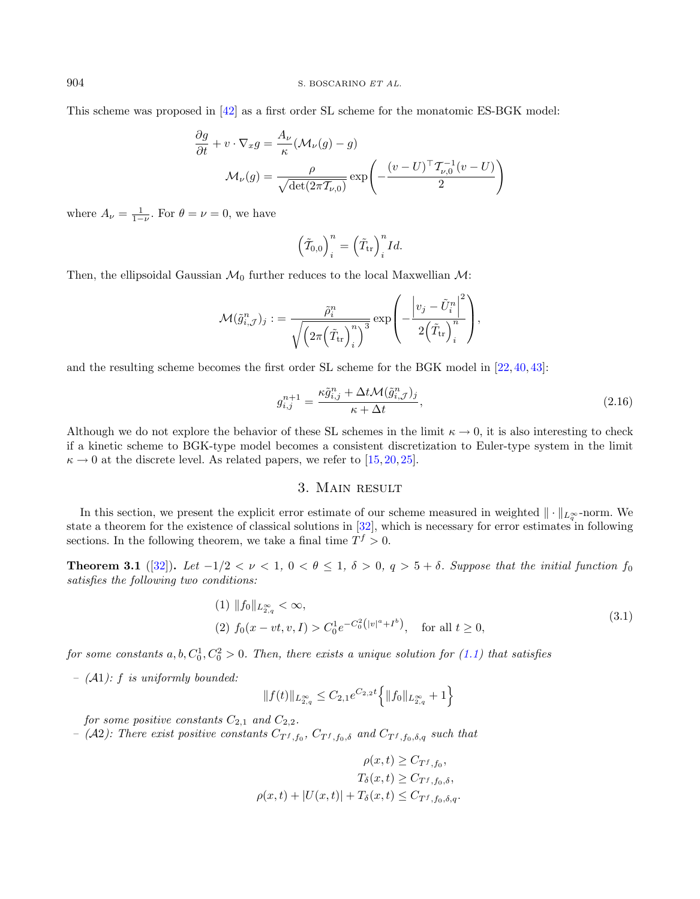This scheme was proposed in [\[42\]](#page-49-4) as a first order SL scheme for the monatomic ES-BGK model:

$$
\frac{\partial g}{\partial t} + v \cdot \nabla_x g = \frac{A_\nu}{\kappa} (\mathcal{M}_\nu(g) - g)
$$

$$
\mathcal{M}_\nu(g) = \frac{\rho}{\sqrt{\det(2\pi \mathcal{I}_{\nu,0})}} \exp\left(-\frac{(v - U)^\top \mathcal{I}_{\nu,0}^{-1}(v - U)}{2}\right)
$$

where  $A_{\nu} = \frac{1}{1-\nu}$ . For  $\theta = \nu = 0$ , we have

$$
\left(\tilde{\mathcal{T}}_{0,0}\right)^n_i = \left(\tilde{T}_{\text{tr}}\right)^n_i Id.
$$

Then, the ellipsoidal Gaussian  $\mathcal{M}_0$  further reduces to the local Maxwellian  $\mathcal{M}$ :

$$
\mathcal{M}(\tilde{g}_{i,\mathcal{J}}^n)_j: = \frac{\tilde{\rho}_i^n}{\sqrt{\left(2\pi\Big(\tilde{T}_{\text{tr}}\Big)^n_i\right)^3}}\exp\left(-\frac{\left|v_j-\tilde{U}^n_i\right|^2}{2\Big(\tilde{T}_{\text{tr}}\Big)^n_i}\right),
$$

and the resulting scheme becomes the first order SL scheme for the BGK model in [\[22,](#page-48-17) [40,](#page-49-2) [43\]](#page-49-3):

$$
g_{i,j}^{n+1} = \frac{\kappa \tilde{g}_{i,j}^n + \Delta t \mathcal{M}(\tilde{g}_{i,\mathcal{J}}^n)_j}{\kappa + \Delta t},\tag{2.16}
$$

Although we do not explore the behavior of these SL schemes in the limit  $\kappa \to 0$ , it is also interesting to check if a kinetic scheme to BGK-type model becomes a consistent discretization to Euler-type system in the limit  $\kappa \to 0$  at the discrete level. As related papers, we refer to [\[15,](#page-48-32) [20,](#page-48-33) [25\]](#page-48-34).

## <span id="page-11-2"></span>3. Main result

<span id="page-11-0"></span>In this section, we present the explicit error estimate of our scheme measured in weighted  $\|\cdot\|_{L^\infty_q}$ -norm. We state a theorem for the existence of classical solutions in  $[32]$ , which is necessary for error estimates in following sections. In the following theorem, we take a final time  $T^f > 0$ .

<span id="page-11-1"></span>**Theorem 3.1** ([\[32\]](#page-48-9)). Let  $-1/2 < \nu < 1$ ,  $0 < \theta \le 1$ ,  $\delta > 0$ ,  $q > 5 + \delta$ . Suppose that the initial function  $f_0$ satisfies the following two conditions:

(1) 
$$
||f_0||_{L^{\infty}_{2,q}} < \infty
$$
,  
\n(2)  $f_0(x - vt, v, I) > C_0^1 e^{-C_0^2(|v|^a + I^b)}$ , for all  $t \ge 0$ , (3.1)

for some constants  $a, b, C_0^1, C_0^2 > 0$ . Then, there exists a unique solution for [\(1.1\)](#page-1-0) that satisfies

–  $(A1)$ : f is uniformly bounded:

$$
||f(t)||_{L^{\infty}_{2,q}} \leq C_{2,1}e^{C_{2,2}t} \Biggl\{ ||f_0||_{L^{\infty}_{2,q}} + 1 \Biggr\}
$$

for some positive constants  $C_{2,1}$  and  $C_{2,2}$ .

 $-$  (A2): There exist positive constants  $C_{T^f, f_0}$ ,  $C_{T^f, f_0, \delta}$  and  $C_{T^f, f_0, \delta, q}$  such that

$$
\rho(x,t) \geq C_{T^f, f_0},
$$

$$
T_{\delta}(x,t) \geq C_{T^f, f_0, \delta},
$$

$$
\rho(x,t) + |U(x,t)| + T_{\delta}(x,t) \leq C_{T^f, f_0, \delta, q}.
$$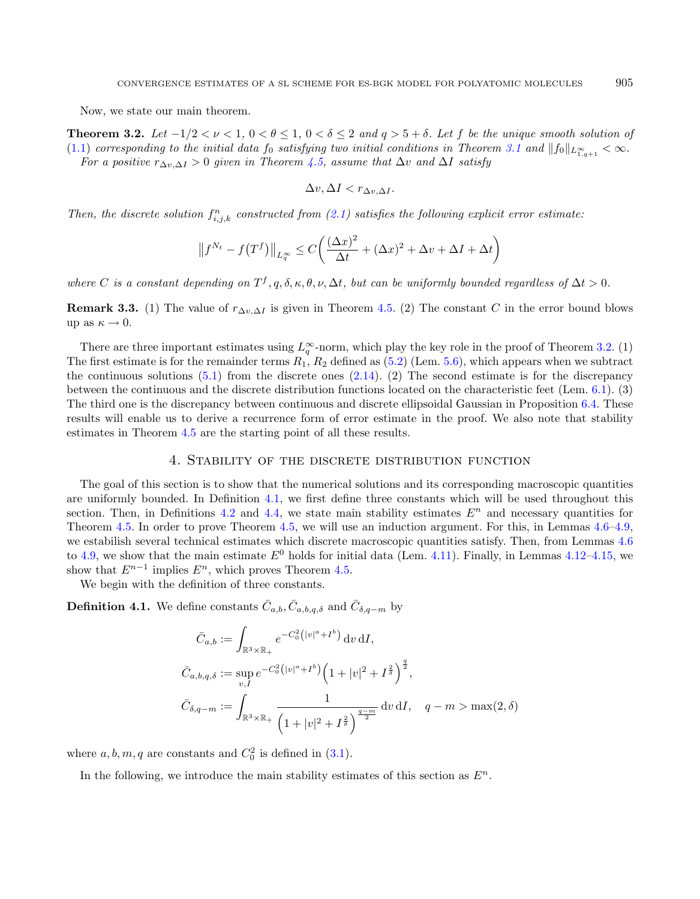<span id="page-12-0"></span>Now, we state our main theorem.

**Theorem 3.2.** Let  $-1/2 < \nu < 1$ ,  $0 < \theta \le 1$ ,  $0 < \delta \le 2$  and  $q > 5 + \delta$ . Let f be the unique smooth solution of [\(1.1\)](#page-1-0) corresponding to the initial data  $f_0$  satisfying two initial conditions in Theorem [3.1](#page-11-1) and  $||f_0||_{L^{\infty}_{1,2}(\mathbb{R})}<\infty$ . For a positive  $r_{\Delta v, \Delta I} > 0$  given in Theorem [4.5,](#page-13-0) assume that  $\Delta v$  and  $\Delta I$  satisfy

$$
\Delta v, \Delta I < r_{\Delta v, \Delta I}.
$$

Then, the discrete solution  $f_{i,j,k}^n$  constructed from [\(2.1\)](#page-5-1) satisfies the following explicit error estimate:

$$
\left\|f^{N_t} - f(T^f)\right\|_{L_q^{\infty}} \le C\left(\frac{(\Delta x)^2}{\Delta t} + (\Delta x)^2 + \Delta v + \Delta I + \Delta t\right)
$$

where C is a constant depending on  $T^f, q, \delta, \kappa, \theta, \nu, \Delta t$ , but can be uniformly bounded regardless of  $\Delta t > 0$ .

**Remark 3.3.** (1) The value of  $r_{\Delta v, \Delta I}$  is given in Theorem [4.5.](#page-13-0) (2) The constant C in the error bound blows up as  $\kappa \to 0$ .

There are three important estimates using  $L_q^{\infty}$ -norm, which play the key role in the proof of Theorem [3.2.](#page-12-0) (1) The first estimate is for the remainder terms  $R_1$ ,  $R_2$  defined as [\(5.2\)](#page-27-0) (Lem. [5.6\)](#page-31-0), which appears when we subtract the continuous solutions  $(5.1)$  from the discrete ones  $(2.14)$ . (2) The second estimate is for the discrepancy between the continuous and the discrete distribution functions located on the characteristic feet (Lem. [6.1\)](#page-32-1). (3) The third one is the discrepancy between continuous and discrete ellipsoidal Gaussian in Proposition [6.4.](#page-38-0) These results will enable us to derive a recurrence form of error estimate in the proof. We also note that stability estimates in Theorem [4.5](#page-13-0) are the starting point of all these results.

#### <span id="page-12-2"></span>4. Stability of the discrete distribution function

<span id="page-12-1"></span>The goal of this section is to show that the numerical solutions and its corresponding macroscopic quantities are uniformly bounded. In Definition [4.1,](#page-12-2) we first define three constants which will be used throughout this section. Then, in Definitions [4.2](#page-13-1) and [4.4,](#page-13-2) we state main stability estimates  $E<sup>n</sup>$  and necessary quantities for Theorem [4.5.](#page-13-0) In order to prove Theorem [4.5,](#page-13-0) we will use an induction argument. For this, in Lemmas [4.6–](#page-14-0)[4.9,](#page-19-0) we estabilish several technical estimates which discrete macroscopic quantities satisfy. Then, from Lemmas [4.6](#page-14-0) to [4.9,](#page-19-0) we show that the main estimate  $E^0$  holds for initial data (Lem. [4.11\)](#page-22-0). Finally, in Lemmas [4.12–](#page-23-0)[4.15,](#page-24-1) we show that  $E^{n-1}$  implies  $E^n$ , which proves Theorem [4.5.](#page-13-0)

We begin with the definition of three constants.

**Definition 4.1.** We define constants  $\bar{C}_{a,b}, \bar{C}_{a,b,q,\delta}$  and  $\bar{C}_{\delta,q-m}$  by

$$
\bar{C}_{a,b} := \int_{\mathbb{R}^3 \times \mathbb{R}_+} e^{-C_0^2 (|v|^a + I^b)} \, \mathrm{d}v \, \mathrm{d}I,
$$
\n
$$
\bar{C}_{a,b,q,\delta} := \sup_{v,I} e^{-C_0^2 (|v|^a + I^b)} \left( 1 + |v|^2 + I^{\frac{2}{\delta}} \right)^{\frac{q}{2}},
$$
\n
$$
\bar{C}_{\delta,q-m} := \int_{\mathbb{R}^3 \times \mathbb{R}_+} \frac{1}{\left( 1 + |v|^2 + I^{\frac{2}{\delta}} \right)^{\frac{q-m}{2}}} \, \mathrm{d}v \, \mathrm{d}I, \quad q-m > \max(2,\delta)
$$

where  $a, b, m, q$  are constants and  $C_0^2$  is defined in [\(3.1\)](#page-11-2).

In the following, we introduce the main stability estimates of this section as  $E^n$ .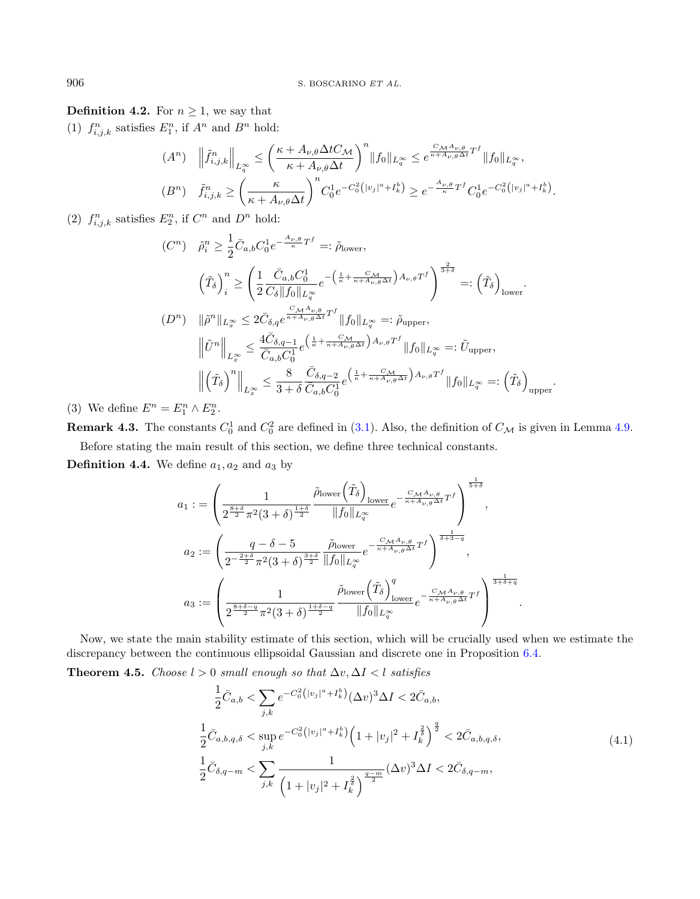<span id="page-13-1"></span>**Definition 4.2.** For  $n \geq 1$ , we say that

(1)  $f_{i,j,k}^n$  satisfies  $E_1^n$ , if  $A^n$  and  $B^n$  hold:

$$
(A^n) \quad \left\| \tilde{f}_{i,j,k}^n \right\|_{L_q^\infty} \le \left( \frac{\kappa + A_{\nu,\theta} \Delta t C_{\mathcal{M}}}{\kappa + A_{\nu,\theta} \Delta t} \right)^n \|f_0\|_{L_q^\infty} \le e^{\frac{C_{\mathcal{M}} A_{\nu,\theta}}{\kappa + A_{\nu,\theta} \Delta t} T^f} \|f_0\|_{L_q^\infty},
$$
  
\n
$$
(B^n) \quad \tilde{f}_{i,j,k}^n \ge \left( \frac{\kappa}{\kappa + A_{\nu,\theta} \Delta t} \right)^n C_0^1 e^{-C_0^2 (|v_j|^a + I_k^b)} \ge e^{-\frac{A_{\nu,\theta}}{\kappa} T^f} C_0^1 e^{-C_0^2 (|v_j|^a + I_k^b)}.
$$

(2)  $f_{i,j,k}^n$  satisfies  $E_2^n$ , if  $C^n$  and  $D^n$  hold:

$$
(C^{n}) \quad \tilde{\rho}_{i}^{n} \geq \frac{1}{2} \bar{C}_{a,b} C_{0}^{1} e^{-\frac{A_{\nu,\theta}}{\kappa} T^{f}} =: \tilde{\rho}_{\text{lower}},
$$
\n
$$
\left(\tilde{T}_{\delta}\right)_{i}^{n} \geq \left(\frac{1}{2} \frac{\bar{C}_{a,b} C_{0}^{1}}{C_{\delta} ||f_{0}||_{L^{\infty}_{\alpha}}} e^{-\left(\frac{1}{\kappa} + \frac{C_{\mathcal{M}}}{\kappa + A_{\nu,\theta} \Delta t}\right) A_{\nu,\theta} T^{f}}\right)^{\frac{2}{3+\delta}} =: \left(\tilde{T}_{\delta}\right)_{\text{lower}}.
$$
\n
$$
(D^{n}) \quad \|\tilde{\rho}^{n}||_{L^{\infty}_{\infty}} \leq 2 \bar{C}_{\delta,q} e^{\frac{C_{\mathcal{M}} A_{\nu,\theta}}{\kappa + A_{\nu,\theta} \Delta t} T^{f}} ||f_{0}||_{L^{\infty}_{\alpha}} =: \tilde{\rho}_{\text{upper}},
$$
\n
$$
\left\|\tilde{U}^{n}\right\|_{L^{\infty}_{\infty}} \leq \frac{4 \bar{C}_{\delta,q-1}}{\bar{C}_{a,b} C_{0}^{1}} e^{\left(\frac{1}{\kappa} + \frac{C_{\mathcal{M}}}{\kappa + A_{\nu,\theta} \Delta t}\right) A_{\nu,\theta} T^{f}} ||f_{0}||_{L^{\infty}_{\alpha}} =: \tilde{U}_{\text{upper}},
$$
\n
$$
\left\|\left(\tilde{T}_{\delta}\right)^{n}\right\|_{L^{\infty}_{\infty}} \leq \frac{8}{3+\delta} \frac{\bar{C}_{\delta,q-2}}{\bar{C}_{a,b} C_{0}^{1}} e^{\left(\frac{1}{\kappa} + \frac{C_{\mathcal{M}}}{\kappa + A_{\nu,\theta} \Delta t}\right) A_{\nu,\theta} T^{f}} ||f_{0}||_{L^{\infty}_{\alpha}} =: \left(\tilde{T}_{\delta}\right)_{\text{upper}}.
$$
\n
$$
E^{n} \wedge E^{n}
$$

(3) We define  $E^n = E_1^n \wedge E_2^n$ .

**Remark 4.3.** The constants  $C_0^1$  and  $C_0^2$  are defined in [\(3.1\)](#page-11-2). Also, the definition of  $C_M$  is given in Lemma [4.9.](#page-19-0) Before stating the main result of this section, we define three technical constants.

**Definition 4.4.** We define  $a_1, a_2$  and  $a_3$  by

$$
a_1 := \left(\frac{1}{2^{\frac{8+\delta}{2}}\pi^2(3+\delta)^{\frac{1+\delta}{2}}}\frac{\tilde{\rho}_{\text{lower}}\left(\tilde{T}_{\delta}\right)_{\text{lower}}}{\|f_0\|_{L^{\infty}_{q}}}e^{-\frac{C_{\mathcal{M}}A_{\nu,\theta}}{\kappa+A_{\nu,\theta}\Delta t}T^f}\right)^{\frac{1}{5+\delta}},
$$
  

$$
a_2 := \left(\frac{q-\delta-5}{2^{-\frac{2+\delta}{2}}\pi^2(3+\delta)^{\frac{3+\delta}{2}}}\frac{\tilde{\rho}_{\text{lower}}}{\|f_0\|_{L^{\infty}_{q}}}e^{-\frac{C_{\mathcal{M}}A_{\nu,\theta}}{\kappa+A_{\nu,\theta}\Delta t}T^f}\right)^{\frac{1}{\delta+3-q}},
$$
  

$$
a_3 := \left(\frac{1}{2^{\frac{8+\delta-q}{2}}\pi^2(3+\delta)^{\frac{1+\delta-q}{2}}}\frac{\tilde{\rho}_{\text{lower}}\left(\tilde{T}_{\delta}\right)_{\text{lower}}^q}{\|f_0\|_{L^{\infty}_{q}}}e^{-\frac{C_{\mathcal{M}}A_{\nu,\theta}}{\kappa+A_{\nu,\theta}\Delta t}T^f}\right)^{\frac{1}{3+\delta+q}}
$$

Now, we state the main stability estimate of this section, which will be crucially used when we estimate the discrepancy between the continuous ellipsoidal Gaussian and discrete one in Proposition [6.4.](#page-38-0)

<span id="page-13-0"></span>Theorem 4.5. Choose  $l > 0$  small enough so that  $\Delta v, \Delta I < l$  satisfies

$$
\frac{1}{2}\bar{C}_{a,b} < \sum_{j,k} e^{-C_0^2 (|v_j|^a + I_k^b)} (\Delta v)^3 \Delta I < 2\bar{C}_{a,b},
$$
\n
$$
\frac{1}{2}\bar{C}_{a,b,q,\delta} < \sup_{j,k} e^{-C_0^2 (|v_j|^a + I_k^b)} \left(1 + |v_j|^2 + I_k^{\frac{2}{\delta}}\right)^{\frac{q}{2}} < 2\bar{C}_{a,b,q,\delta},
$$
\n
$$
\frac{1}{2}\bar{C}_{\delta,q-m} < \sum_{j,k} \frac{1}{\left(1 + |v_j|^2 + I_k^{\frac{2}{\delta}}\right)^{\frac{q-m}{2}}} (\Delta v)^3 \Delta I < 2\bar{C}_{\delta,q-m},
$$
\n(4.1)

<span id="page-13-3"></span><span id="page-13-2"></span>.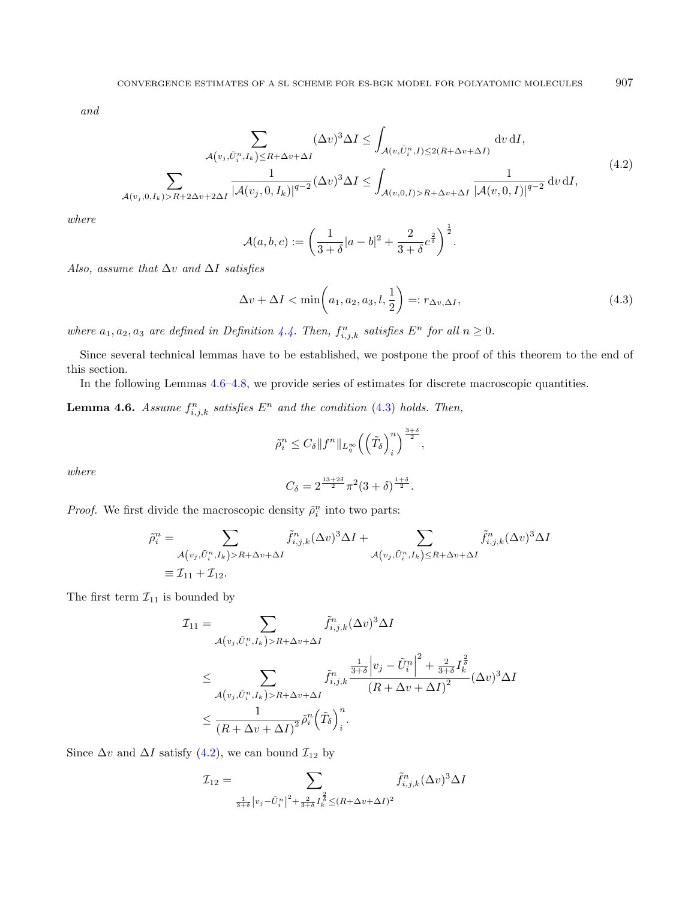and

$$
\sum_{\mathcal{A}(v_j,\tilde{U}_i^n,I_k)\leq R+\Delta v+\Delta I} (\Delta v)^3 \Delta I \leq \int_{\mathcal{A}(v,\tilde{U}_i^n,I)\leq 2(R+\Delta v+\Delta I)} \text{d}v \, \text{d}I,
$$
\n
$$
\sum_{\mathcal{A}(v_j,0,I_k)>R+2\Delta v+2\Delta I} \frac{1}{|\mathcal{A}(v_j,0,I_k)|^{q-2}} (\Delta v)^3 \Delta I \leq \int_{\mathcal{A}(v,0,I)>R+\Delta v+\Delta I} \frac{1}{|\mathcal{A}(v,0,I)|^{q-2}} \, \text{d}v \, \text{d}I,
$$
\n
$$
(4.2)
$$

where

<span id="page-14-2"></span><span id="page-14-1"></span>
$$
\mathcal{A}(a,b,c) := \left(\frac{1}{3+\delta}|a-b|^2 + \frac{2}{3+\delta}c^{\frac{2}{\delta}}\right)^{\frac{1}{2}}.
$$

Also, assume that  $\Delta v$  and  $\Delta I$  satisfies

$$
\Delta v + \Delta I < \min\left(a_1, a_2, a_3, l, \frac{1}{2}\right) =: r_{\Delta v, \Delta I},\tag{4.3}
$$

where  $a_1, a_2, a_3$  are defined in Definition [4.4.](#page-13-2) Then,  $f_{i,j,k}^n$  satisfies  $E^n$  for all  $n \geq 0$ .

Since several technical lemmas have to be established, we postpone the proof of this theorem to the end of this section.

In the following Lemmas [4.6–](#page-14-0)[4.8,](#page-17-0) we provide series of estimates for discrete macroscopic quantities.

<span id="page-14-0"></span>**Lemma 4.6.** Assume  $f_{i,j,k}^n$  satisfies  $E^n$  and the condition [\(4.3\)](#page-14-1) holds. Then,

$$
\tilde{\rho}_i^n \leq C_{\delta} \|f^n\|_{L_q^{\infty}} \left( \left(\tilde{T}_{\delta}\right)_i^n \right)^{\frac{3+\delta}{2}},
$$

where

$$
C_\delta=2^{\frac{13+2\delta}{2}}\pi^2(3+\delta)^{\frac{1+\delta}{2}}.
$$

*Proof.* We first divide the macroscopic density  $\tilde{\rho}_i^n$  into two parts:

$$
\tilde{\rho}_i^n = \sum_{\substack{\mathcal{A}(v_j, \tilde{U}_i^n, I_k) > R + \Delta v + \Delta I}} \tilde{f}_{i,j,k}^n (\Delta v)^3 \Delta I + \sum_{\substack{\mathcal{A}(v_j, \tilde{U}_i^n, I_k) \le R + \Delta v + \Delta I}} \tilde{f}_{i,j,k}^n (\Delta v)^3 \Delta I
$$
\n
$$
\equiv \mathcal{I}_{11} + \mathcal{I}_{12}.
$$

The first term  $\mathcal{I}_{11}$  is bounded by

$$
\mathcal{I}_{11} = \sum_{\mathcal{A}(v_j, \tilde{U}_i^n, I_k) > R + \Delta v + \Delta I} \tilde{f}_{i,j,k}^n (\Delta v)^3 \Delta I
$$
\n
$$
\leq \sum_{\mathcal{A}(v_j, \tilde{U}_i^n, I_k) > R + \Delta v + \Delta I} \tilde{f}_{i,j,k}^n \frac{\frac{1}{3+\delta} \left| v_j - \tilde{U}_i^n \right|^2 + \frac{2}{3+\delta} I_k^{\frac{2}{\delta}}}{\left(R + \Delta v + \Delta I\right)^2} (\Delta v)^3 \Delta I
$$
\n
$$
\leq \frac{1}{\left(R + \Delta v + \Delta I\right)^2} \tilde{\rho}_i^n \left(\tilde{T}_{\delta}\right)_i^n.
$$

Since  $\Delta v$  and  $\Delta I$  satisfy [\(4.2\)](#page-14-2), we can bound  $\mathcal{I}_{12}$  by

$$
\mathcal{I}_{12} = \sum_{\frac{1}{3+\delta}|v_j - \tilde{U}_i^n|^2 + \frac{2}{3+\delta}I_k^{\frac{2}{\delta}} \le (R + \Delta v + \Delta I)^2} \tilde{f}_{i,j,k}^n (\Delta v)^3 \Delta I
$$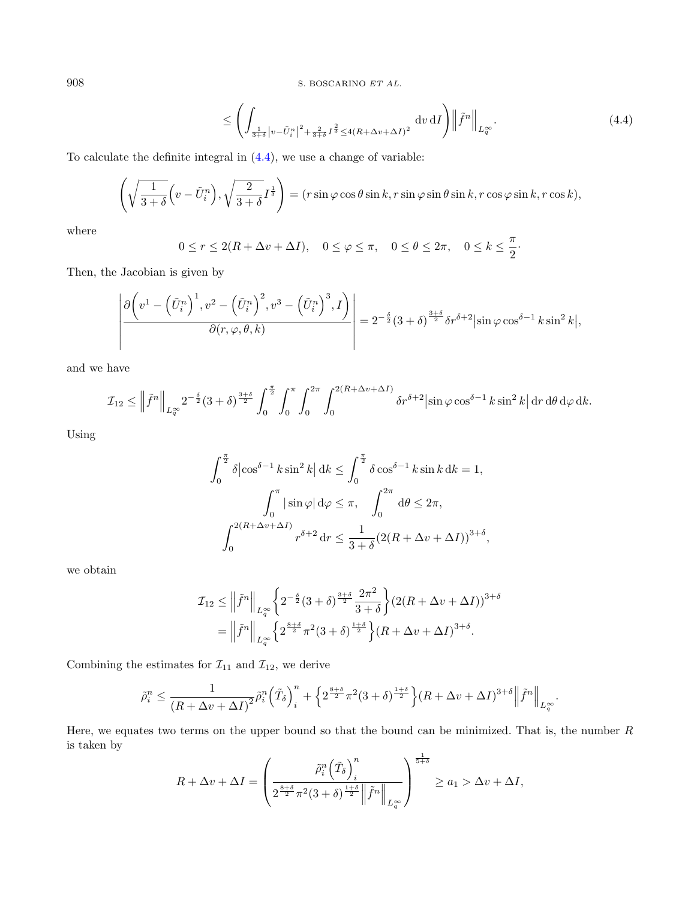<span id="page-15-0"></span>
$$
\leq \left( \int_{\frac{1}{3+\delta}|v-\tilde{U}_i^n|^2 + \frac{2}{3+\delta}I^{\frac{2}{\delta}} \leq 4(R+\Delta v+\Delta I)^2} dv \, dI \right) \left\| \tilde{f}^n \right\|_{L_q^{\infty}}. \tag{4.4}
$$

To calculate the definite integral in [\(4.4\)](#page-15-0), we use a change of variable:

$$
\left(\sqrt{\frac{1}{3+\delta}}\Big(v-\tilde{U}_i^n\Big),\sqrt{\frac{2}{3+\delta}}I^{\frac{1}{\delta}}\right)=(r\sin\varphi\cos\theta\sin k, r\sin\varphi\sin\theta\sin k, r\cos\varphi\sin k, r\cos k),
$$

where

$$
0 \le r \le 2(R + \Delta v + \Delta I), \quad 0 \le \varphi \le \pi, \quad 0 \le \theta \le 2\pi, \quad 0 \le k \le \frac{\pi}{2}.
$$

Then, the Jacobian is given by

$$
\left| \frac{\partial \left( v^1 - \left( \tilde{U}_i^n \right)^1, v^2 - \left( \tilde{U}_i^n \right)^2, v^3 - \left( \tilde{U}_i^n \right)^3, I \right)}{\partial (r, \varphi, \theta, k)} \right| = 2^{-\frac{\delta}{2}} (3 + \delta)^{\frac{3+\delta}{2}} \delta r^{\delta+2} |\sin \varphi \cos^{\delta-1} k \sin^2 k|,
$$

and we have

$$
\mathcal{I}_{12} \le \left\| \tilde{f}^{n} \right\|_{L_{q}^{\infty}} 2^{-\frac{\delta}{2}} (3+\delta)^{\frac{3+\delta}{2}} \int_{0}^{\frac{\pi}{2}} \int_{0}^{\pi} \int_{0}^{2\pi} \int_{0}^{2(R+\Delta v + \Delta I)} \delta r^{\delta+2} |\sin \varphi \cos^{\delta-1} k \sin^{2} k| \, \mathrm{d}r \, \mathrm{d}\theta \, \mathrm{d}\varphi \, \mathrm{d}k.
$$

Using

$$
\int_0^{\frac{\pi}{2}} \delta |\cos^{\delta-1} k \sin^2 k| dk \le \int_0^{\frac{\pi}{2}} \delta \cos^{\delta-1} k \sin k dk = 1,
$$
  

$$
\int_0^{\pi} |\sin \varphi| d\varphi \le \pi, \quad \int_0^{2\pi} d\theta \le 2\pi,
$$
  

$$
\int_0^{2(R+\Delta v+\Delta I)} r^{\delta+2} dr \le \frac{1}{3+\delta} (2(R+\Delta v+\Delta I))^{3+\delta},
$$

we obtain

$$
\mathcal{I}_{12} \le \left\| \tilde{f}^{n} \right\|_{L^{\infty}_{q}} \left\{ 2^{-\frac{\delta}{2}} (3+\delta)^{\frac{3+\delta}{2}} \frac{2\pi^{2}}{3+\delta} \right\} (2(R+\Delta v+\Delta I))^{3+\delta}
$$

$$
= \left\| \tilde{f}^{n} \right\|_{L^{\infty}_{q}} \left\{ 2^{\frac{8+\delta}{2}} \pi^{2} (3+\delta)^{\frac{1+\delta}{2}} \right\} (R+\Delta v+\Delta I)^{3+\delta}.
$$

Combining the estimates for  $\mathcal{I}_{11}$  and  $\mathcal{I}_{12}$ , we derive

$$
\tilde{\rho}_i^n \le \frac{1}{\left(R + \Delta v + \Delta I\right)^2} \tilde{\rho}_i^n \left(\tilde{T}_\delta\right)_i^n + \left\{2^{\frac{8 + \delta}{2}} \pi^2 (3 + \delta)^{\frac{1 + \delta}{2}}\right\} \left(R + \Delta v + \Delta I\right)^{3 + \delta} \left\|\tilde{f}^n\right\|_{L^{\infty}_q}.
$$

Here, we equates two terms on the upper bound so that the bound can be minimized. That is, the number  $R$ is taken by

$$
R + \Delta v + \Delta I = \left(\frac{\tilde{\rho}_i^n \left(\tilde{T}_\delta\right)_i^n}{2^{\frac{8+\delta}{2}} \pi^2 (3+\delta)^{\frac{1+\delta}{2}} \left\| \tilde{f}^n \right\|_{L^\infty_q}}\right)^{\frac{1}{5+\delta}} \ge a_1 > \Delta v + \Delta I,
$$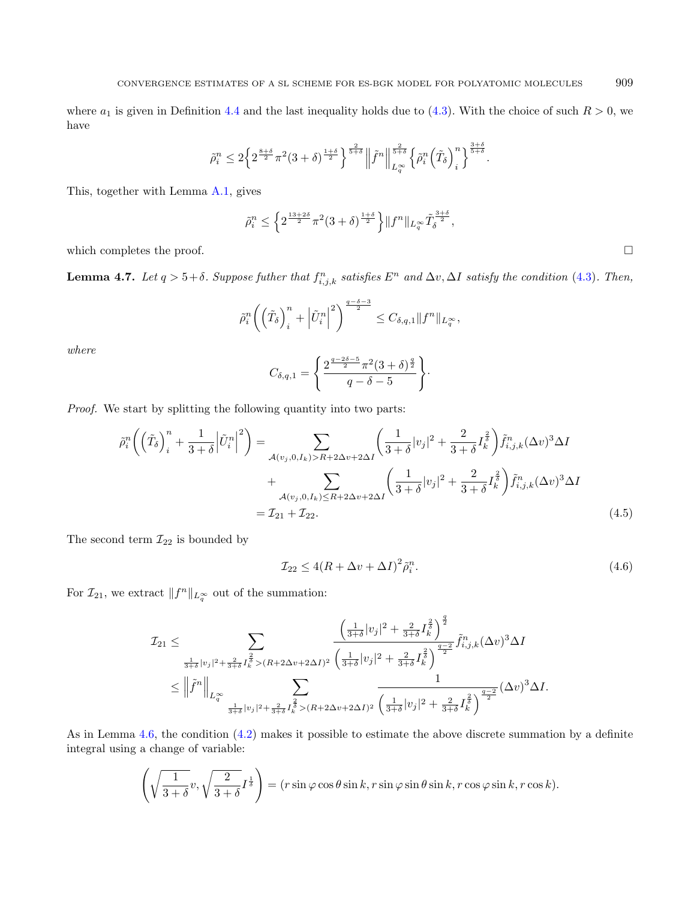where  $a_1$  is given in Definition [4.4](#page-13-2) and the last inequality holds due to [\(4.3\)](#page-14-1). With the choice of such  $R > 0$ , we have

$$
\tilde{\rho}_i^n \leq 2 \Big\{ 2^{\frac{8+\delta}{2}} \pi^2 (3+\delta)^{\frac{1+\delta}{2}} \Big\}^{\frac{2}{5+\delta}} \Big\| \tilde{f}^n \Big\|_{L^\infty_q}^{\frac{2}{5+\delta}} \Big\{ \tilde{\rho}_i^n \Big( \tilde{T}_\delta \Big)^n_i \Big\}^{\frac{3+\delta}{5+\delta}}.
$$

This, together with Lemma [A.1,](#page-44-0) gives

$$
\tilde{\rho}_i^n \le \left\{ 2^{\frac{13+2\delta}{2}} \pi^2 (3+\delta)^{\frac{1+\delta}{2}} \right\} \|f^n\|_{L^\infty_q} \tilde{T}_{\delta}^{\frac{3+\delta}{2}},
$$

which completes the proof.  $\Box$ 

<span id="page-16-2"></span>**Lemma 4.7.** Let  $q > 5+\delta$ . Suppose futher that  $f_{i,j,k}^n$  satisfies  $E^n$  and  $\Delta v$ ,  $\Delta I$  satisfy the condition [\(4.3\)](#page-14-1). Then,

$$
\tilde{\rho}_i^n \left( \left( \tilde{T}_{\delta} \right)_i^n + \left| \tilde{U}_i^n \right|^2 \right)^{\frac{q-\delta-3}{2}} \leq C_{\delta,q,1} \| f^n \|_{L_q^{\infty}},
$$

where

<span id="page-16-1"></span><span id="page-16-0"></span>
$$
C_{\delta,q,1} = \left\{ \frac{2^{\frac{q-2\delta-5}{2}} \pi^2 (3+\delta)^{\frac{q}{2}}}{q-\delta-5} \right\}.
$$

Proof. We start by splitting the following quantity into two parts:

$$
\tilde{\rho}_{i}^{n}\left(\left(\tilde{T}_{\delta}\right)_{i}^{n}+\frac{1}{3+\delta}\left|\tilde{U}_{i}^{n}\right|^{2}\right)=\sum_{\mathcal{A}(v_{j},0,I_{k})>R+2\Delta v+2\Delta I}\left(\frac{1}{3+\delta}|v_{j}|^{2}+\frac{2}{3+\delta}I_{\kappa}^{\frac{2}{3}}\right)\tilde{f}_{i,j,k}^{n}(\Delta v)^{3}\Delta I
$$
\n
$$
+\sum_{\mathcal{A}(v_{j},0,I_{k})\leq R+2\Delta v+2\Delta I}\left(\frac{1}{3+\delta}|v_{j}|^{2}+\frac{2}{3+\delta}I_{\kappa}^{\frac{2}{3}}\right)\tilde{f}_{i,j,k}^{n}(\Delta v)^{3}\Delta I
$$
\n
$$
= \mathcal{I}_{21}+\mathcal{I}_{22}.
$$
\n(4.5)

The second term  $\mathcal{I}_{22}$  is bounded by

$$
\mathcal{I}_{22} \le 4(R + \Delta v + \Delta I)^2 \tilde{\rho}_i^n. \tag{4.6}
$$

For  $\mathcal{I}_{21}$ , we extract  $||f^n||_{L_q^{\infty}}$  out of the summation:

$$
\mathcal{I}_{21} \leq \sum_{\frac{1}{3+\delta}|v_j|^2 + \frac{2}{3+\delta}I_k^{\frac{2}{3}} > (R+2\Delta v + 2\Delta I)^2} \frac{\left(\frac{1}{3+\delta}|v_j|^2 + \frac{2}{3+\delta}I_k^{\frac{2}{3}}\right)^{\frac{q}{2}}}{\left(\frac{1}{3+\delta}|v_j|^2 + \frac{2}{3+\delta}I_k^{\frac{2}{3}}\right)^{\frac{q-2}{2}}} \tilde{f}_{i,j,k}^n(\Delta v)^3 \Delta I
$$
  

$$
\leq \left\|\tilde{f}^n\right\|_{L^{\infty}_{q}} \sum_{\frac{1}{3+\delta}|v_j|^2 + \frac{2}{3+\delta}I_k^{\frac{2}{3}} > (R+2\Delta v + 2\Delta I)^2} \frac{1}{\left(\frac{1}{3+\delta}|v_j|^2 + \frac{2}{3+\delta}I_k^{\frac{2}{3}}\right)^{\frac{q-2}{2}}} (\Delta v)^3 \Delta I.
$$

As in Lemma [4.6,](#page-14-0) the condition [\(4.2\)](#page-14-2) makes it possible to estimate the above discrete summation by a definite integral using a change of variable:

$$
\left(\sqrt{\frac{1}{3+\delta}}v, \sqrt{\frac{2}{3+\delta}}I^{\frac{1}{\delta}}\right) = (r\sin\varphi\cos\theta\sin k, r\sin\varphi\sin\theta\sin k, r\cos\varphi\sin k, r\cos k).
$$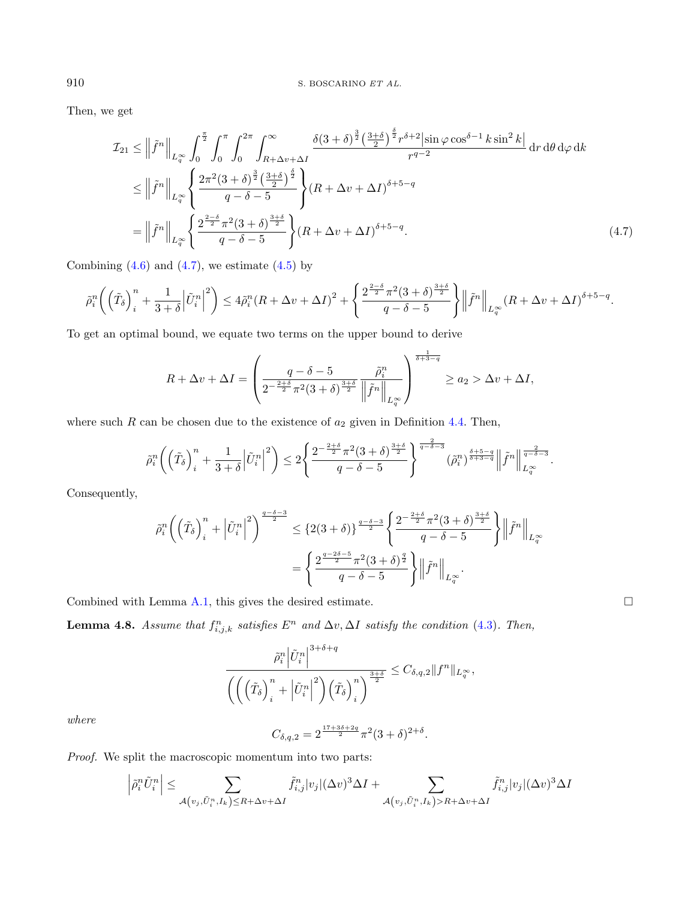Then, we get

<span id="page-17-1"></span>
$$
\mathcal{I}_{21} \leq \left\| \tilde{f}^{n} \right\|_{L_{q}^{\infty}} \int_{0}^{\frac{\pi}{2}} \int_{0}^{\pi} \int_{0}^{2\pi} \int_{R+\Delta v+\Delta I}^{\infty} \frac{\delta(3+\delta)^{\frac{3}{2}} \left(\frac{3+\delta}{2}\right)^{\frac{\delta}{2}} r^{\delta+2} |\sin \varphi \cos^{\delta-1} k \sin^{2} k|}{r^{q-2}} dr d\theta d\varphi dk
$$
  
\n
$$
\leq \left\| \tilde{f}^{n} \right\|_{L_{q}^{\infty}} \left\{ \frac{2\pi^{2} (3+\delta)^{\frac{3}{2}} \left(\frac{3+\delta}{2}\right)^{\frac{\delta}{2}}}{q-\delta-5} \right\} (R+\Delta v+\Delta I)^{\delta+5-q}
$$
  
\n
$$
= \left\| \tilde{f}^{n} \right\|_{L_{q}^{\infty}} \left\{ \frac{2^{\frac{2-\delta}{2}} \pi^{2} (3+\delta)^{\frac{3+\delta}{2}}}{q-\delta-5} \right\} (R+\Delta v+\Delta I)^{\delta+5-q}.
$$
 (4.7)

Combining  $(4.6)$  and  $(4.7)$ , we estimate  $(4.5)$  by

$$
\tilde{\rho}_i^n\bigg(\Big(\tilde{T}_\delta\Big)^n_i+\frac{1}{3+\delta}\Big|\tilde{U}^n_i\Big|^2\bigg)\leq 4\tilde{\rho}_i^n(R+\Delta v+\Delta I)^2+\Bigg\{\frac{2^{\frac{2-\delta}{2}}\pi^2(3+\delta)^{\frac{3+\delta}{2}}}{q-\delta-5}\Bigg\}\Big\|\tilde{f}^n\Big\|_{L^\infty_q}(R+\Delta v+\Delta I)^{\delta+5-q}.
$$

To get an optimal bound, we equate two terms on the upper bound to derive

$$
R + \Delta v + \Delta I = \left(\frac{q - \delta - 5}{2^{-\frac{2+\delta}{2}}\pi^2(3+\delta)^{\frac{3+\delta}{2}}}\left\|\tilde{f}^n\right\|_{L^{\infty}_{q}}\right)^{\frac{1}{\delta+3-q}} \ge a_2 > \Delta v + \Delta I,
$$

where such  $R$  can be chosen due to the existence of  $a_2$  given in Definition [4.4.](#page-13-2) Then,

$$
\tilde{\rho}_i^n\bigg(\left(\tilde{T}_\delta\right)_i^n+\frac{1}{3+\delta}\left|\tilde{U}_i^n\right|^2\bigg)\leq 2\Bigg\{\frac{2^{-\frac{2+\delta}{2}}\pi^2(3+\delta)^{\frac{3+\delta}{2}}}{q-\delta-5}\Bigg\}^{\frac{2}{q-\delta-3}}\left(\tilde{\rho}_i^n\right)^{\frac{\delta+5-q}{\delta+3-q}}\left\|\tilde{f}^n\right\|_{L_q^\infty}^{\frac{2}{q-\delta-3}}.
$$

Consequently,

$$
\tilde{\rho}_i^n \left( \left( \tilde{T}_\delta \right)_i^n + \left| \tilde{U}_i^n \right|^2 \right)^{\frac{q-\delta-3}{2}} \leq \left\{ 2(3+\delta) \right\}^{\frac{q-\delta-3}{2}} \left\{ \frac{2^{-\frac{2+\delta}{2}} \pi^2 (3+\delta)^{\frac{3+\delta}{2}}}{q-\delta-5} \right\} \left\| \tilde{f}^n \right\|_{L_q^\infty}
$$
\n
$$
= \left\{ \frac{2^{\frac{q-2\delta-5}{2}} \pi^2 (3+\delta)^{\frac{q}{2}}}{q-\delta-5} \right\} \left\| \tilde{f}^n \right\|_{L_q^\infty}.
$$

Combined with Lemma [A.1,](#page-44-0) this gives the desired estimate.  $\Box$ 

<span id="page-17-0"></span>**Lemma 4.8.** Assume that  $f_{i,j,k}^n$  satisfies  $E^n$  and  $\Delta v, \Delta I$  satisfy the condition [\(4.3\)](#page-14-1). Then,

$$
\frac{\tilde{\rho}_i^n \left| \tilde{U}_i^n \right|^{3+\delta+q}}{\left( \left( \left( \tilde{T}_\delta \right)_i^n + \left| \tilde{U}_i^n \right|^2 \right) \left( \tilde{T}_\delta \right)_i^n \right)^{\frac{3+\delta}{2}}} \leq C_{\delta,q,2} \| f^n \|_{L_q^{\infty}},
$$

where

$$
C_{\delta,q,2} = 2^{\frac{17+3\delta+2q}{2}} \pi^2 (3+\delta)^{2+\delta}.
$$

Proof. We split the macroscopic momentum into two parts:

$$
\left|\tilde{\rho}_i^n \tilde{U}_i^n\right| \leq \sum_{\mathcal{A}\left(v_j, \tilde{U}_i^n, I_k\right) \leq R + \Delta v + \Delta I} \tilde{f}_{i,j}^n |v_j| (\Delta v)^3 \Delta I + \sum_{\mathcal{A}\left(v_j, \tilde{U}_i^n, I_k\right) > R + \Delta v + \Delta I} \tilde{f}_{i,j}^n |v_j| (\Delta v)^3 \Delta I
$$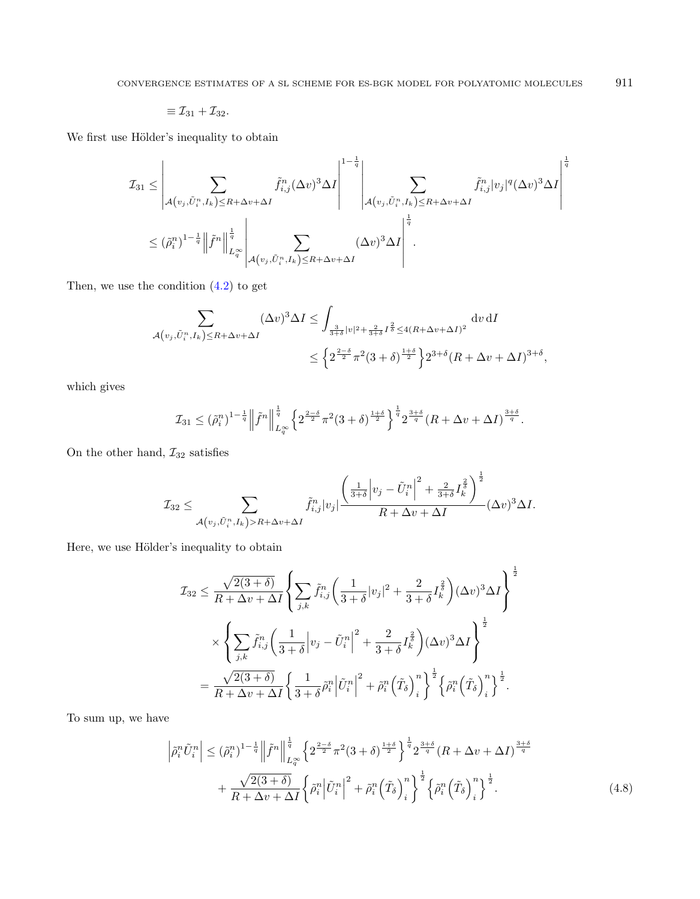$$
\equiv \mathcal{I}_{31} + \mathcal{I}_{32}.
$$

We first use Hölder's inequality to obtain

$$
\mathcal{I}_{31} \leq \left| \sum_{\mathcal{A}(v_j, \tilde{U}_i^n, I_k) \leq R + \Delta v + \Delta I} \tilde{f}_{i,j}^n(\Delta v)^3 \Delta I \right|^{1 - \frac{1}{q}} \left| \sum_{\mathcal{A}(v_j, \tilde{U}_i^n, I_k) \leq R + \Delta v + \Delta I} \tilde{f}_{i,j}^n|v_j|^q (\Delta v)^3 \Delta I \right|^{\frac{1}{q}} \leq (\tilde{\rho}_i^n)^{1 - \frac{1}{q}} \left\| \tilde{f}^n \right\|_{L_q^{\infty}}^{\frac{1}{q}} \left| \sum_{\mathcal{A}(v_j, \tilde{U}_i^n, I_k) \leq R + \Delta v + \Delta I} (\Delta v)^3 \Delta I \right|^{\frac{1}{q}}.
$$

Then, we use the condition [\(4.2\)](#page-14-2) to get

$$
\sum_{\substack{\mathcal{A}(v_j,\tilde{U}_i^n,I_k)\leq R+\Delta v+\Delta I}} (\Delta v)^3 \Delta I \leq \int_{\frac{3}{3+\delta}|v|^2+\frac{2}{3+\delta}I^{\frac{2}{\delta}}\leq 4(R+\Delta v+\Delta I)^2} \mathrm{d}v \,\mathrm{d}I
$$

$$
\leq \left\{2^{\frac{2-\delta}{2}}\pi^2(3+\delta)^{\frac{1+\delta}{2}}\right\} 2^{3+\delta}(R+\Delta v+\Delta I)^{3+\delta},
$$

which gives

$$
\mathcal{I}_{31} \leq (\tilde{\rho}_{i}^{n})^{1-\frac{1}{q}} \left\| \tilde{f}^{n} \right\|_{L_{q}^{\infty}}^{\frac{1}{q}} \left\{ 2^{\frac{2-\delta}{2}} \pi^{2} (3+\delta)^{\frac{1+\delta}{2}} \right\}^{\frac{1}{q}} 2^{\frac{3+\delta}{q}} (R+\Delta v+\Delta I)^{\frac{3+\delta}{q}}.
$$

On the other hand,  $\mathcal{I}_{32}$  satisfies

$$
\mathcal{I}_{32} \leq \sum_{\mathcal{A}(v_j,\tilde{U}_i^n,I_k) > R + \Delta v + \Delta I} \tilde{f}_{i,j}^n |v_j| \frac{\left(\frac{1}{3+\delta} \left| v_j - \tilde{U}_i^n \right|^2 + \frac{2}{3+\delta} I_k^{\frac{2}{\delta}} \right)^{\frac{1}{2}}}{R + \Delta v + \Delta I} (\Delta v)^3 \Delta I.
$$

Here, we use Hölder's inequality to obtain

<span id="page-18-0"></span>
$$
\mathcal{I}_{32} \leq \frac{\sqrt{2(3+\delta)}}{R + \Delta v + \Delta I} \left\{ \sum_{j,k} \tilde{f}_{i,j}^n \left( \frac{1}{3+\delta} |v_j|^2 + \frac{2}{3+\delta} I_k^{\frac{2}{\delta}} \right) (\Delta v)^3 \Delta I \right\}^{\frac{1}{2}}
$$

$$
\times \left\{ \sum_{j,k} \tilde{f}_{i,j}^n \left( \frac{1}{3+\delta} |v_j - \tilde{U}_i^n|^2 + \frac{2}{3+\delta} I_k^{\frac{2}{\delta}} \right) (\Delta v)^3 \Delta I \right\}^{\frac{1}{2}}
$$

$$
= \frac{\sqrt{2(3+\delta)}}{R + \Delta v + \Delta I} \left\{ \frac{1}{3+\delta} \tilde{\rho}_i^n \left| \tilde{U}_i^n \right|^2 + \tilde{\rho}_i^n \left( \tilde{T}_{\delta} \right)_i^n \right\}^{\frac{1}{2}} \left\{ \tilde{\rho}_i^n \left( \tilde{T}_{\delta} \right)_i^n \right\}^{\frac{1}{2}}.
$$

To sum up, we have

$$
\left| \tilde{\rho}_i^n \tilde{U}_i^n \right| \leq (\tilde{\rho}_i^n)^{1 - \frac{1}{q}} \left\| \tilde{f}^n \right\|_{L_q^\infty}^{\frac{1}{q}} \left\{ 2^{\frac{2 - \delta}{2}} \pi^2 (3 + \delta)^{\frac{1 + \delta}{2}} \right\}^{\frac{1}{q}} 2^{\frac{3 + \delta}{q}} (R + \Delta v + \Delta I)^{\frac{3 + \delta}{q}}
$$

$$
+ \frac{\sqrt{2(3 + \delta)}}{R + \Delta v + \Delta I} \left\{ \tilde{\rho}_i^n \left| \tilde{U}_i^n \right|^2 + \tilde{\rho}_i^n \left( \tilde{T}_\delta \right)_i^n \right\}^{\frac{1}{2}} \left\{ \tilde{\rho}_i^n \left( \tilde{T}_\delta \right)_i^n \right\}^{\frac{1}{2}} . \tag{4.8}
$$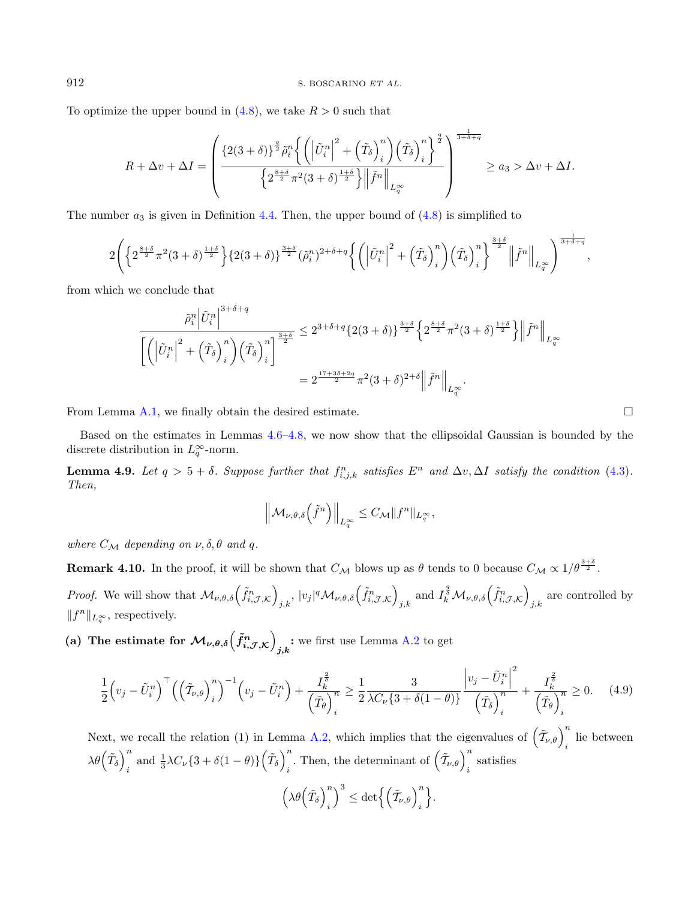To optimize the upper bound in  $(4.8)$ , we take  $R > 0$  such that

$$
R + \Delta v + \Delta I = \left(\frac{\left\{2(3+\delta)\right\}^{\frac{q}{2}}\tilde{\rho}_i^n \left\{\left(\left|\tilde{U}_i^n\right|^2 + \left(\tilde{T}_\delta\right)_i^n\right)\left(\tilde{T}_\delta\right)_i^n\right\}^{\frac{q}{2}}}{\left\{2^{\frac{8+\delta}{2}}\pi^2(3+\delta)^{\frac{1+\delta}{2}}\right\}\left\|\tilde{f}^n\right\|_{L^\infty_q}}\right)^{\frac{1}{3+\delta+q}} \ge a_3 > \Delta v + \Delta I.
$$

The number  $a_3$  is given in Definition [4.4.](#page-13-2) Then, the upper bound of  $(4.8)$  is simplified to

$$
2\Bigg(\Big\{2^{\frac{8+\delta}{2}}\pi^2(3+\delta)^{\frac{1+\delta}{2}}\Big\}\{2(3+\delta)\}^{\frac{3+\delta}{2}}(\tilde{\rho}_i^n)^{2+\delta+q}\Big\{\bigg(\Big|\tilde{U}_i^n\Big|^2+\Big(\tilde{T}_\delta\Big)_i^n\bigg)\bigg(\tilde{T}_\delta\Big)_i^n\Big\}^{\frac{3+\delta}{2}}\bigg\|\tilde{f}^n\bigg\|_{L^\infty_q}\Bigg)^{\frac{1}{3+\delta+q}},
$$

from which we conclude that

<span id="page-19-0"></span>
$$
\frac{\tilde{\rho}_i^n \left| \tilde{U}_i^n \right|^{3+\delta+q}}{\left[ \left( \left| \tilde{U}_i^n \right|^2 + \left( \tilde{T}_\delta \right)_i^n \right) \left( \tilde{T}_\delta \right)_i^n \right]^{\frac{3+\delta}{2}} } \leq 2^{3+\delta+q} \{2(3+\delta)\}^{\frac{3+\delta}{2}} \left\{ 2^{\frac{8+\delta}{2}} \pi^2 (3+\delta)^{\frac{1+\delta}{2}} \right\} \left\| \tilde{f}^n \right\|_{L_q^\infty} \n= 2^{\frac{17+3\delta+2q}{2}} \pi^2 (3+\delta)^{2+\delta} \left\| \tilde{f}^n \right\|_{L_q^\infty}.
$$

From Lemma [A.1,](#page-44-0) we finally obtain the desired estimate.  $\Box$ 

Based on the estimates in Lemmas [4.6](#page-14-0)[–4.8,](#page-17-0) we now show that the ellipsoidal Gaussian is bounded by the discrete distribution in  $L_q^{\infty}$ -norm.

**Lemma 4.9.** Let  $q > 5 + \delta$ . Suppose further that  $f_{i,j,k}^n$  satisfies  $E^n$  and  $\Delta v, \Delta I$  satisfy the condition [\(4.3\)](#page-14-1). Then,

$$
\left\|\mathcal{M}_{\nu,\theta,\delta}\left(\tilde{f}^n\right)\right\|_{L^{\infty}_q}\leq C_{\mathcal{M}}\|f^n\|_{L^{\infty}_q},
$$

where  $C_{\mathcal{M}}$  depending on  $\nu, \delta, \theta$  and q.

**Remark 4.10.** In the proof, it will be shown that  $C_{\mathcal{M}}$  blows up as  $\theta$  tends to 0 because  $C_{\mathcal{M}} \propto 1/\theta^{\frac{3+\delta}{2}}$ .

*Proof.* We will show that  $\mathcal{M}_{\nu,\theta,\delta}(\tilde{f}_{i,\mathcal{J},\mathcal{K}}^n)$  $_{j,k},\,|v_j|^q\mathcal{M}_{\nu,\theta,\delta}\Big(\tilde{f}^n_{i,\mathcal{J},\mathcal{K}}\Big)$  $\lim_{j,k}$  and  $I_k^{\frac{q}{\delta}}\mathcal{M}_{\nu,\theta,\delta}\left(\tilde{f}_{i,\mathcal{J},\mathcal{K}}^n\right)$ are controlled by  $_{j,k}$  $||f^n||_{L_q^{\infty}}$ , respectively.

(a) The estimate for  $\mathcal{M}_{\nu,\theta,\delta}(\tilde{f}_{i,\mathcal{J},\mathcal{K}}^n)$ : we first use Lemma [A.2](#page-45-0) to get  $j,k$ 

$$
\frac{1}{2}\left(v_j - \tilde{U}_i^n\right)^\top \left(\left(\tilde{T}_{\nu,\theta}\right)_i^n\right)^{-1} \left(v_j - \tilde{U}_i^n\right) + \frac{I_k^{\frac{2}{\delta}}}{\left(\tilde{T}_{\theta}\right)_i^n} \ge \frac{1}{2} \frac{3}{\lambda C_\nu \{3 + \delta(1-\theta)\}} \frac{\left|v_j - \tilde{U}_i^n\right|^2}{\left(\tilde{T}_{\delta}\right)_i^n} + \frac{I_k^{\frac{2}{\delta}}}{\left(\tilde{T}_{\theta}\right)_i^n} \ge 0. \tag{4.9}
$$

Next, we recall the relation (1) in Lemma [A.2,](#page-45-0) which implies that the eigenvalues of  $(\tilde{\tau}_{\nu,\theta})_i^n$  lie between  $\lambda \theta \left(\tilde{T}_{\delta}\right)^n$  $\int_{i}^{n}$  and  $\frac{1}{3}\lambda C_{\nu}\left\{3+\delta(1-\theta)\right\}\left(\tilde{T}_{\delta}\right)_{i}^{n}$  $\int_{i}^{n}$ . Then, the determinant of  $(\tilde{\mathcal{T}}_{\nu,\theta})_{i}^{n}$  satisfies  $\left(\lambda \theta \left(\tilde{T}_{\delta}\right)\right)^n$ i  $\Big)^3 \leq \det \Bigl\{\Bigl(\tilde{T}_{\nu,\theta}\Bigr)_i^n$  $\}$ .

<span id="page-19-1"></span>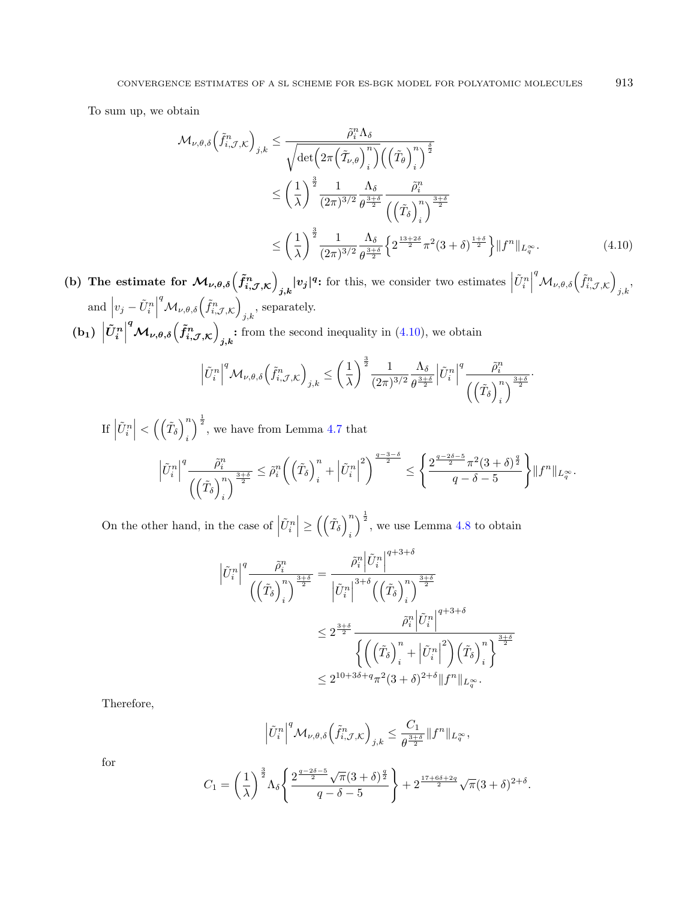To sum up, we obtain

<span id="page-20-0"></span>
$$
\mathcal{M}_{\nu,\theta,\delta}\left(\tilde{f}_{i,\mathcal{J},\mathcal{K}}^{n}\right)_{j,k} \leq \frac{\tilde{\rho}_{i}^{n}\Lambda_{\delta}}{\sqrt{\det\left(2\pi\left(\tilde{\mathcal{I}}_{\nu,\theta}\right)_{i}^{n}\right)\left(\left(\tilde{\mathcal{I}}_{\theta}\right)_{i}^{n}\right)^{\frac{\delta}{2}}}} \leq \left(\frac{1}{\lambda}\right)^{\frac{3}{2}} \frac{1}{(2\pi)^{3/2}} \frac{\Lambda_{\delta}}{\theta^{\frac{3+\delta}{2}}}\frac{\tilde{\rho}_{i}^{n}}{\left(\left(\tilde{\mathcal{I}}_{\delta}\right)_{i}^{n}\right)^{\frac{3+\delta}{2}}} \leq \left(\frac{1}{\lambda}\right)^{\frac{3}{2}} \frac{1}{(2\pi)^{3/2}} \frac{\Lambda_{\delta}}{\theta^{\frac{3+\delta}{2}}}\left\{2^{\frac{13+2\delta}{2}}\pi^{2}(3+\delta)^{\frac{1+\delta}{2}}\right\} \|f^{n}\|_{L_{q}^{\infty}}.
$$
\n(4.10)

(b) The estimate for  $\mathcal{M}_{\nu,\theta,\delta}(\tilde{f}_{i,\mathcal{J},\mathcal{K}}^n)$  $\left|v_j\right|^{q}$ : for this, we consider two estimates  $\left|\tilde{U}_i^n\right|$  ${}^q{\cal M}_{\nu,\theta,\delta}\left(\tilde{f}_{i,\mathcal{J},\mathcal{K}}^n\right)$  $_{j,k}$ and  $|v_j - \tilde{U}_i^n|$  ${}^q{\cal M}_{\nu,\theta,\delta}\Bigl(\tilde{f}^n_{i,{\cal J},{\cal K}}\Bigr)$  $_{j,k}$ , separately.

 $\left(\mathrm{b}_1\right)\,\left|\tilde{U}^n_i\right|^q \mathcal{M}_{\nu,\theta,\delta}\!\left(\tilde{f}^n_{i,\mathcal{J},\mathcal{K}}\right)$ : from the second inequality in  $(4.10)$ , we obtain

$$
\left|\tilde{U}_{i}^{n}\right|^{q}\mathcal{M}_{\nu,\theta,\delta}\left(\tilde{f}_{i,\mathcal{J},\mathcal{K}}^{n}\right)_{j,k}\leq\left(\frac{1}{\lambda}\right)^{\frac{3}{2}}\frac{1}{(2\pi)^{3/2}}\frac{\Lambda_{\delta}}{\theta^{\frac{3+\delta}{2}}}\left|\tilde{U}_{i}^{n}\right|^{q}\frac{\tilde{\rho}_{i}^{n}}{\left(\left(\tilde{T}_{\delta}\right)_{i}^{n}\right)^{\frac{3+\delta}{2}}}.
$$

If  $\left|\tilde{U}_i^n\right| < \left(\left(\tilde{T}_\delta\right)_i^n\right)$  $\dot{i}$  $\int_{0}^{\frac{1}{2}}$ , we have from Lemma [4.7](#page-16-2) that

$$
\left|\tilde{U}_{i}^{n}\right|^{q}\frac{\tilde{\rho}_{i}^{n}}{\left(\left(\tilde{T}_{\delta}\right)_{i}^{n}\right)^{\frac{3+\delta}{2}}}\leq\tilde{\rho}_{i}^{n}\left(\left(\tilde{T}_{\delta}\right)_{i}^{n}+\left|\tilde{U}_{i}^{n}\right|^{2}\right)^{\frac{q-3-\delta}{2}}\leq\left\{\frac{2^{\frac{q-2\delta-5}{2}}\pi^{2}(3+\delta)^{\frac{q}{2}}}{q-\delta-5}\right\}\|f^{n}\|_{L_{q}^{\infty}}.
$$

On the other hand, in the case of  $\left|\tilde{U}_{i}^{n}\right| \geq \left(\left(\tilde{T}_{\delta}\right)_{i}^{n}\right)$ i  $\int_{0}^{\frac{1}{2}}$ , we use Lemma [4.8](#page-17-0) to obtain

$$
\left|\tilde{U}_{i}^{n}\right|^{q} \frac{\tilde{\rho}_{i}^{n}}{\left(\left(\tilde{T}_{\delta}\right)_{i}^{n}\right)^{\frac{3+\delta}{2}}} = \frac{\tilde{\rho}_{i}^{n} \left|\tilde{U}_{i}^{n}\right|^{q+3+\delta}}{\left|\tilde{U}_{i}^{n}\right|^{3+\delta} \left(\left(\tilde{T}_{\delta}\right)_{i}^{n}\right)^{\frac{3+\delta}{2}}}
$$

$$
\leq 2^{\frac{3+\delta}{2}} \frac{\tilde{\rho}_{i}^{n} \left|\tilde{U}_{i}^{n}\right|^{q+3+\delta}}{\left\{\left(\left(\tilde{T}_{\delta}\right)_{i}^{n} + \left|\tilde{U}_{i}^{n}\right|^{2}\right)\left(\tilde{T}_{\delta}\right)_{i}^{n}\right\}^{\frac{3+\delta}{2}}}
$$

$$
\leq 2^{10+3\delta+q} \pi^{2} (3+\delta)^{2+\delta} \|f^{n}\|_{L_{\tau}^{\infty}}.
$$

Therefore,

$$
\left|\tilde{U}_{i}^{n}\right|^{q} \mathcal{M}_{\nu,\theta,\delta}\left(\tilde{f}_{i,\mathcal{J},\mathcal{K}}^{n}\right)_{j,k} \leq \frac{C_{1}}{\theta^{\frac{3+\delta}{2}}}\|f^{n}\|_{L^{\infty}_{q}},
$$

for

$$
C_1 = \left(\frac{1}{\lambda}\right)^{\frac{3}{2}} \Lambda_{\delta} \left\{ \frac{2^{\frac{q-2\delta-5}{2}} \sqrt{\pi} (3+\delta)^{\frac{q}{2}}}{q-\delta-5} \right\} + 2^{\frac{17+6\delta+2q}{2}} \sqrt{\pi} (3+\delta)^{2+\delta}.
$$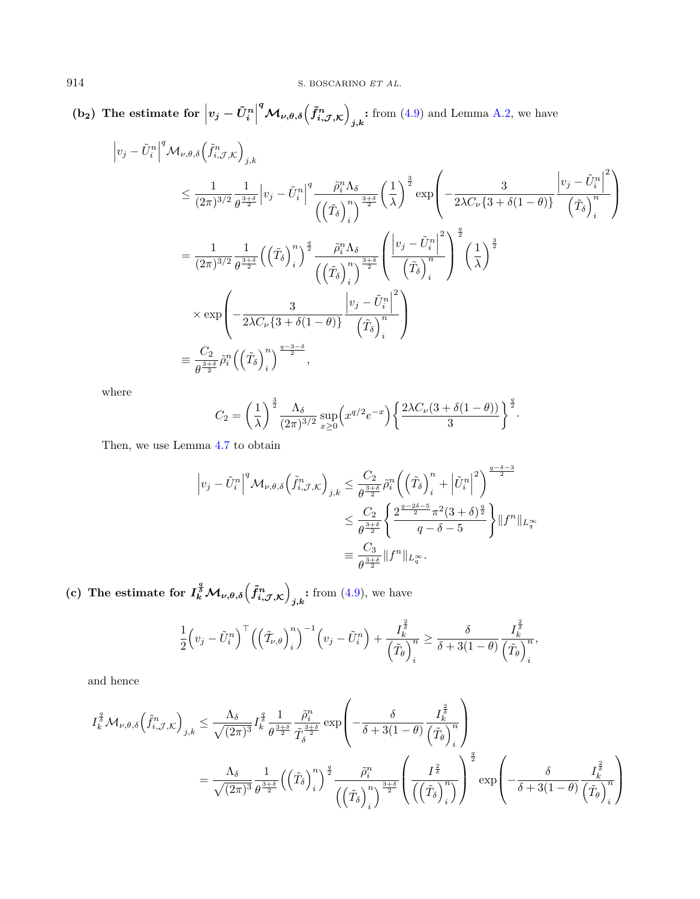(b<sub>2</sub>) The estimate for  $\left|v_j - \tilde{U}^n_i\right|^q \mathcal{M}_{\nu,\theta,\delta}\left(\tilde{f}^n_{i,\mathcal{J},\mathcal{K}}\right)$ : from  $(4.9)$  and Lemma [A.2,](#page-45-0) we have

$$
\begin{split}\n\left|v_{j} - \tilde{U}_{i}^{n}\right|^{q} \mathcal{M}_{\nu,\theta,\delta}\left(\tilde{f}_{i,\mathcal{J},\mathcal{K}}^{n}\right)_{j,k} \\
&\leq \frac{1}{(2\pi)^{3/2}} \frac{1}{\theta^{\frac{3+\delta}{2}}}\left|v_{j} - \tilde{U}_{i}^{n}\right|^{q} \frac{\tilde{\rho}_{i}^{n}\Lambda_{\delta}}{\left(\left(\tilde{T}_{\delta}\right)_{i}^{n}\right)^{\frac{3+\delta}{2}}}\left(\frac{1}{\lambda}\right)^{\frac{3}{2}} \exp\left(-\frac{3}{2\lambda C_{\nu}\left\{3+\delta(1-\theta)\right\}}\frac{\left|v_{j} - \tilde{U}_{i}^{n}\right|^{2}}{\left(\tilde{T}_{\delta}\right)_{i}^{n}\right)^{2}}\right) \\
&= \frac{1}{(2\pi)^{3/2}} \frac{1}{\theta^{\frac{3+\delta}{2}}}\left(\left(\tilde{T}_{\delta}\right)_{i}^{n}\right)^{\frac{q}{2}} \frac{\tilde{\rho}_{i}^{n}\Lambda_{\delta}}{\left(\left(\tilde{T}_{\delta}\right)_{i}^{n}\right)^{\frac{3+\delta}{2}}}\left(\frac{\left|v_{j} - \tilde{U}_{i}^{n}\right|^{2}}{\left(\tilde{T}_{\delta}\right)_{i}^{n}\right)^{2}}\left(\frac{1}{\lambda}\right)^{\frac{3}{2}} \\
&\times \exp\left(-\frac{3}{2\lambda C_{\nu}\left\{3+\delta(1-\theta)\right\}}\frac{\left|v_{j} - \tilde{U}_{i}^{n}\right|^{2}}{\left(\tilde{T}_{\delta}\right)_{i}^{n}}\right) \\
&\equiv \frac{C_{2}}{\theta^{\frac{3+\delta}{2}}}\tilde{\rho}_{i}^{n}\left(\left(\tilde{T}_{\delta}\right)_{i}^{n}\right)^{\frac{q-3-\delta}{2}},\n\end{split}
$$

where

$$
C_2 = \left(\frac{1}{\lambda}\right)^{\frac{3}{2}} \frac{\Lambda_{\delta}}{(2\pi)^{3/2}} \sup_{x\geq 0} \left(x^{q/2} e^{-x}\right) \left\{\frac{2\lambda C_{\nu}(3+\delta(1-\theta))}{3}\right\}^{\frac{q}{2}}.
$$

Then, we use Lemma [4.7](#page-16-2) to obtain

$$
\begin{split} \left|v_j - \tilde{U}_i^n\right|^q \mathcal{M}_{\nu,\theta,\delta}\left(\tilde{f}_{i,\mathcal{J},\mathcal{K}}^n\right)_{j,k} &\leq \frac{C_2}{\theta^{\frac{3+\delta}{2}}}\tilde{\rho}_i^n \bigg(\left(\tilde{T}_\delta\right)_i^n + \left|\tilde{U}_i^n\right|^2\bigg)^{\frac{q-\delta-3}{2}}\\ &\leq \frac{C_2}{\theta^{\frac{3+\delta}{2}}}\bigg\{\frac{2^{\frac{q-2\delta-5}{2}}\pi^2(3+\delta)^{\frac{q}{2}}}{q-\delta-5}\bigg\}\|f^n\|_{L_q^\infty}\\ &\equiv \frac{C_3}{\theta^{\frac{3+\delta}{2}}}\|f^n\|_{L_q^\infty}. \end{split}
$$

(c) The estimate for  $I_k^{\frac{q}{\delta}}\mathcal{M}_{\nu,\theta,\delta}\left(\tilde{f}_{i,\mathcal{J},\mathcal{K}}^{n}\right)$  $\cdot$  from  $(4.9)$ , we have

$$
\frac{1}{2}\left(v_j-\tilde{U}_i^n\right)^{\top} \left(\left(\tilde{T}_{\nu,\theta}\right)_i^n\right)^{-1} \left(v_j-\tilde{U}_i^n\right) + \frac{I_k^{\frac{2}{\delta}}}{\left(\tilde{T}_{\theta}\right)_i^n} \geq \frac{\delta}{\delta+3(1-\theta)} \frac{I_k^{\frac{2}{\delta}}}{\left(\tilde{T}_{\theta}\right)_i^n},
$$

and hence

$$
\begin{split} I_{k}^{\frac{q}{\delta}}\mathcal{M}_{\nu,\theta,\delta}\Big(\tilde{f}_{i,\mathcal{J},\mathcal{K}}^{n}\Big)_{j,k} &\leq \frac{\Lambda_{\delta}}{\sqrt{(2\pi)^3}}I_{k}^{\frac{q}{\delta}}\frac{1}{\theta^{\frac{3+\delta}{2}}}\frac{\tilde{\rho}_{i}^{n}}{\tilde{T}_{\delta}^{\frac{3+\delta}{2}}}\exp\left(-\frac{\delta}{\delta+3(1-\theta)}\frac{I_{k}^{\frac{2}{\delta}}}{\left(\tilde{T}_{\theta}\right)_{i}^{n}}\right)\\ &=\frac{\Lambda_{\delta}}{\sqrt{(2\pi)^3}}\frac{1}{\theta^{\frac{3+\delta}{2}}}\Big(\Big(\tilde{T}_{\delta}\Big)_{i}^{n}\Big)^{\frac{q}{2}}\frac{\tilde{\rho}_{i}^{n}}{\left(\left(\tilde{T}_{\delta}\right)_{i}^{n}\right)^{\frac{3+\delta}{2}}}\Bigg(\frac{I^{\frac{2}{\delta}}}{\left(\left(\tilde{T}_{\delta}\right)_{i}^{n}\right)}\Bigg)^{\frac{q}{2}}\exp\left(-\frac{\delta}{\delta+3(1-\theta)}\frac{I_{k}^{\frac{2}{\delta}}}{\left(\tilde{T}_{\theta}\right)_{i}^{n}\right) \end{split}
$$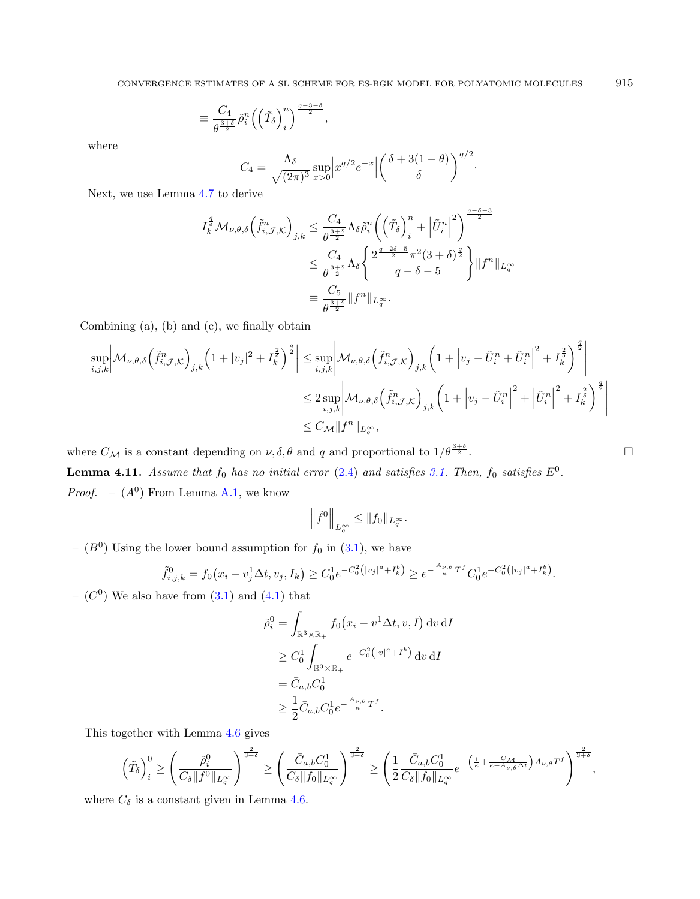$$
\equiv \frac{C_4}{\theta^{\frac{3+\delta}{2}}}\tilde{\rho}_i^n \left(\left(\tilde{T}_{\delta}\right)_i^n\right)^{\frac{q-3-\delta}{2}},
$$

where

$$
C_4 = \frac{\Lambda_{\delta}}{\sqrt{(2\pi)^3}} \sup_{x>0} \left| x^{q/2} e^{-x} \right| \left( \frac{\delta + 3(1-\theta)}{\delta} \right)^{q/2}.
$$

Next, we use Lemma [4.7](#page-16-2) to derive

$$
I_k^{\frac{q}{\delta}} \mathcal{M}_{\nu,\theta,\delta} \left( \tilde{f}_{i,\mathcal{J},\mathcal{K}}^n \right)_{j,k} \leq \frac{C_4}{\theta^{\frac{3+\delta}{2}}} \Lambda_{\delta} \tilde{\rho}_i^n \left( \left( \tilde{T}_{\delta} \right)_i^n + \left| \tilde{U}_i^n \right|^2 \right)^{\frac{q-\delta-3}{2}}
$$
  

$$
\leq \frac{C_4}{\theta^{\frac{3+\delta}{2}}} \Lambda_{\delta} \left\{ \frac{2^{\frac{q-2\delta-5}{2}} \pi^2 (3+\delta)^{\frac{q}{2}}}{q-\delta-5} \right\} \| f^n \|_{L_q^\infty}
$$
  

$$
\equiv \frac{C_5}{\theta^{\frac{3+\delta}{2}}} \| f^n \|_{L_q^\infty}.
$$

Combining (a), (b) and (c), we finally obtain

$$
\sup_{i,j,k} \left| \mathcal{M}_{\nu,\theta,\delta} \left( \tilde{f}_{i,\mathcal{J},\mathcal{K}}^n \right)_{j,k} \left( 1 + |v_j|^2 + I_k^{\frac{2}{\delta}} \right)^{\frac{q}{2}} \right| \leq \sup_{i,j,k} \left| \mathcal{M}_{\nu,\theta,\delta} \left( \tilde{f}_{i,\mathcal{J},\mathcal{K}}^n \right)_{j,k} \left( 1 + \left| v_j - \tilde{U}_i^n + \tilde{U}_i^n \right|^2 + I_k^{\frac{2}{\delta}} \right)^{\frac{q}{2}} \right|
$$
  

$$
\leq 2 \sup_{i,j,k} \left| \mathcal{M}_{\nu,\theta,\delta} \left( \tilde{f}_{i,\mathcal{J},\mathcal{K}}^n \right)_{j,k} \left( 1 + \left| v_j - \tilde{U}_i^n \right|^2 + \left| \tilde{U}_i^n \right|^2 + I_k^{\frac{2}{\delta}} \right)^{\frac{q}{2}} \right|
$$
  

$$
\leq C_{\mathcal{M}} \| f^n \|_{L^\infty_q},
$$

<span id="page-22-0"></span>where  $C_M$  is a constant depending on  $\nu, \delta, \theta$  and  $q$  and proportional to  $1/\theta^{\frac{3+\delta}{2}}$ .  $\frac{+ \delta}{2}$ . **Lemma 4.11.** Assume that  $f_0$  has no initial error [\(2.4\)](#page-7-2) and satisfies [3.1.](#page-11-2) Then,  $f_0$  satisfies  $E^0$ . *Proof.*  $- (A^0)$  From Lemma [A.1,](#page-44-0) we know

$$
\left\|\tilde{f}^0\right\|_{L_q^{\infty}} \leq \|f_0\|_{L_q^{\infty}}.
$$

 $-$  ( $B^0$ ) Using the lower bound assumption for  $f_0$  in [\(3.1\)](#page-11-2), we have

$$
\tilde{f}_{i,j,k}^0 = f_0(x_i - v_j^1 \Delta t, v_j, I_k) \ge C_0^1 e^{-C_0^2 (|v_j|^a + I_k^b)} \ge e^{-\frac{A_{\nu,\theta}}{\kappa} T^f} C_0^1 e^{-C_0^2 (|v_j|^a + I_k^b)}.
$$

 $(C<sup>0</sup>)$  We also have from  $(3.1)$  and  $(4.1)$  that

$$
\tilde{\rho}_i^0 = \int_{\mathbb{R}^3 \times \mathbb{R}_+} f_0(x_i - v^1 \Delta t, v, I) dv dI
$$
  
\n
$$
\geq C_0^1 \int_{\mathbb{R}^3 \times \mathbb{R}_+} e^{-C_0^2 (|v|^a + I^b)} dv dI
$$
  
\n
$$
= \bar{C}_{a,b} C_0^1
$$
  
\n
$$
\geq \frac{1}{2} \bar{C}_{a,b} C_0^1 e^{-\frac{A_{\nu,\theta}}{\kappa} T^f}.
$$

This together with Lemma [4.6](#page-14-0) gives

$$
\left(\tilde{T}_{\delta}\right)_i^0 \geq \left(\frac{\tilde{\rho}_i^0}{C_{\delta}\|f^0\|_{L^\infty_q}}\right)^{\frac{2}{3+\delta}} \geq \left(\frac{\bar{C}_{a,b}C_0^1}{C_{\delta}\|f_0\|_{L^\infty_q}}\right)^{\frac{2}{3+\delta}} \geq \left(\frac{1}{2}\frac{\bar{C}_{a,b}C_0^1}{C_{\delta}\|f_0\|_{L^\infty_q}}e^{-\left(\frac{1}{\kappa} + \frac{C_{\mathcal{M}}}{\kappa + A_{\nu,\theta}\Delta t}\right)A_{\nu,\theta}T^f}\right)^{\frac{2}{3+\delta}},
$$

where  $C_{\delta}$  is a constant given in Lemma [4.6.](#page-14-0)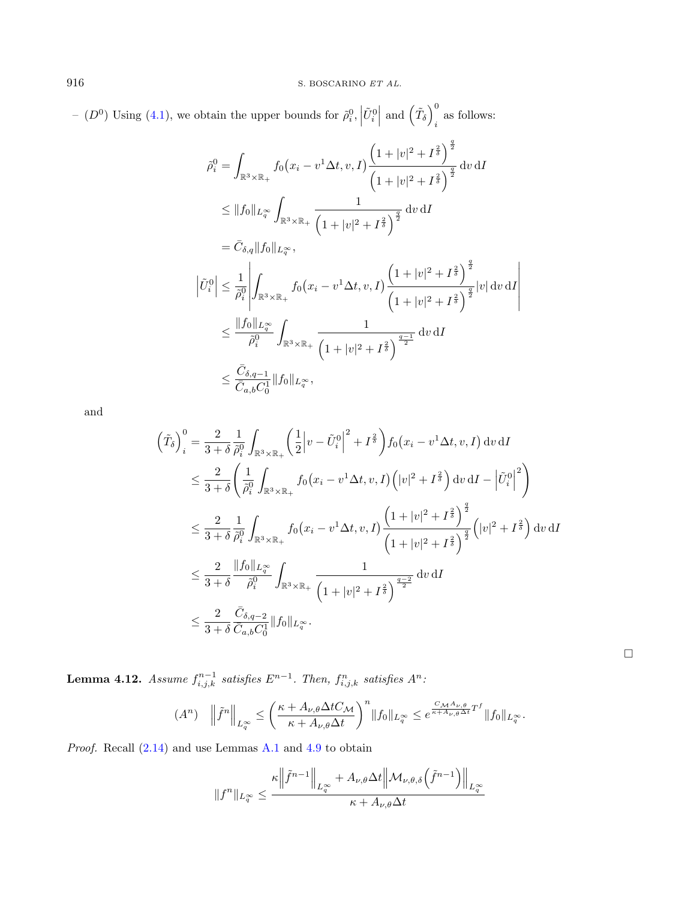-  $(D^0)$  Using [\(4.1\)](#page-13-3), we obtain the upper bounds for  $\tilde{\rho}_i^0$ ,  $|\tilde{U}_i^0|$  and  $(\tilde{T}_\delta)^0_i$ as follows:

$$
\tilde{\rho}_{i}^{0} = \int_{\mathbb{R}^{3} \times \mathbb{R}_{+}} f_{0}(x_{i} - v^{1} \Delta t, v, I) \frac{\left(1 + |v|^{2} + I^{\frac{2}{\delta}}\right)^{\frac{q}{2}}}{\left(1 + |v|^{2} + I^{\frac{2}{\delta}}\right)^{\frac{q}{2}}} dv dI
$$
\n
$$
\leq \|f_{0}\|_{L^{\infty}_{q}} \int_{\mathbb{R}^{3} \times \mathbb{R}_{+}} \frac{1}{\left(1 + |v|^{2} + I^{\frac{2}{\delta}}\right)^{\frac{q}{2}}} dv dI
$$
\n
$$
= \bar{C}_{\delta,q} \|f_{0}\|_{L^{\infty}_{q}},
$$
\n
$$
\left|\tilde{U}_{i}^{0}\right| \leq \frac{1}{\tilde{\rho}_{i}^{0}} \left| \int_{\mathbb{R}^{3} \times \mathbb{R}_{+}} f_{0}(x_{i} - v^{1} \Delta t, v, I) \frac{\left(1 + |v|^{2} + I^{\frac{2}{\delta}}\right)^{\frac{q}{2}}}{\left(1 + |v|^{2} + I^{\frac{2}{\delta}}\right)^{\frac{q}{2}}} |v| dv dI \right|
$$
\n
$$
\leq \frac{\|f_{0}\|_{L^{\infty}_{q}}}{\tilde{\rho}_{i}^{0}} \int_{\mathbb{R}^{3} \times \mathbb{R}_{+}} \frac{1}{\left(1 + |v|^{2} + I^{\frac{2}{\delta}}\right)^{\frac{q-1}{2}}} dv dI
$$
\n
$$
\leq \frac{\bar{C}_{\delta,q-1}}{\bar{C}_{a,b} C_{0}^{\dagger}} \|f_{0}\|_{L^{\infty}_{q}},
$$

and

$$
\left(\tilde{T}_{\delta}\right)_{i}^{0} = \frac{2}{3+\delta} \frac{1}{\tilde{\rho}_{i}^{0}} \int_{\mathbb{R}^{3} \times \mathbb{R}_{+}} \left(\frac{1}{2} \left|v - \tilde{U}_{i}^{0}\right|^{2} + I^{\frac{2}{\delta}}\right) f_{0}\left(x_{i} - v^{1} \Delta t, v, I\right) \mathrm{d}v \, \mathrm{d}I
$$
\n
$$
\leq \frac{2}{3+\delta} \left(\frac{1}{\tilde{\rho}_{i}^{0}} \int_{\mathbb{R}^{3} \times \mathbb{R}_{+}} f_{0}\left(x_{i} - v^{1} \Delta t, v, I\right) \left(|v|^{2} + I^{\frac{2}{\delta}}\right) \mathrm{d}v \, \mathrm{d}I - \left|\tilde{U}_{i}^{0}\right|^{2}\right)
$$
\n
$$
\leq \frac{2}{3+\delta} \frac{1}{\tilde{\rho}_{i}^{0}} \int_{\mathbb{R}^{3} \times \mathbb{R}_{+}} f_{0}\left(x_{i} - v^{1} \Delta t, v, I\right) \frac{\left(1+|v|^{2} + I^{\frac{2}{\delta}}\right)^{\frac{q}{2}}}{\left(1+|v|^{2} + I^{\frac{2}{\delta}}\right)^{\frac{q}{2}}} \left(|v|^{2} + I^{\frac{2}{\delta}}\right) \mathrm{d}v \, \mathrm{d}I
$$
\n
$$
\leq \frac{2}{3+\delta} \frac{\|f_{0}\|_{L^{\infty}_{0}}}{\tilde{\rho}_{i}^{0}} \int_{\mathbb{R}^{3} \times \mathbb{R}_{+}} \frac{1}{\left(1+|v|^{2} + I^{\frac{2}{\delta}}\right)^{\frac{q-2}{2}}} \mathrm{d}v \, \mathrm{d}I
$$
\n
$$
\leq \frac{2}{3+\delta} \frac{\bar{C}_{\delta, q-2}}{\bar{C}_{a, b} C_{0}^{1}} \|f_{0}\|_{L^{\infty}_{q}}.
$$

 $\Box$ 

<span id="page-23-0"></span>**Lemma 4.12.** Assume  $f_{i,j,k}^{n-1}$  satisfies  $E^{n-1}$ . Then,  $f_{i,j,k}^n$  satisfies  $A^n$ :

$$
(A^n) \quad \left\|\tilde{f}^n\right\|_{L_q^{\infty}} \le \left(\frac{\kappa + A_{\nu,\theta}\Delta t C_{\mathcal{M}}}{\kappa + A_{\nu,\theta}\Delta t}\right)^n \|f_0\|_{L_q^{\infty}} \le e^{\frac{C_{\mathcal{M}} A_{\nu,\theta}}{\kappa + A_{\nu,\theta}\Delta t}T^f} \|f_0\|_{L_q^{\infty}}.
$$

Proof. Recall [\(2.14\)](#page-10-2) and use Lemmas [A.1](#page-44-0) and [4.9](#page-19-0) to obtain

$$
||f^n||_{L_q^{\infty}} \leq \frac{\kappa \left\| \tilde{f}^{n-1} \right\|_{L_q^{\infty}} + A_{\nu,\theta} \Delta t \left\| \mathcal{M}_{\nu,\theta,\delta} \left( \tilde{f}^{n-1} \right) \right\|_{L_q^{\infty}}}{\kappa + A_{\nu,\theta} \Delta t}
$$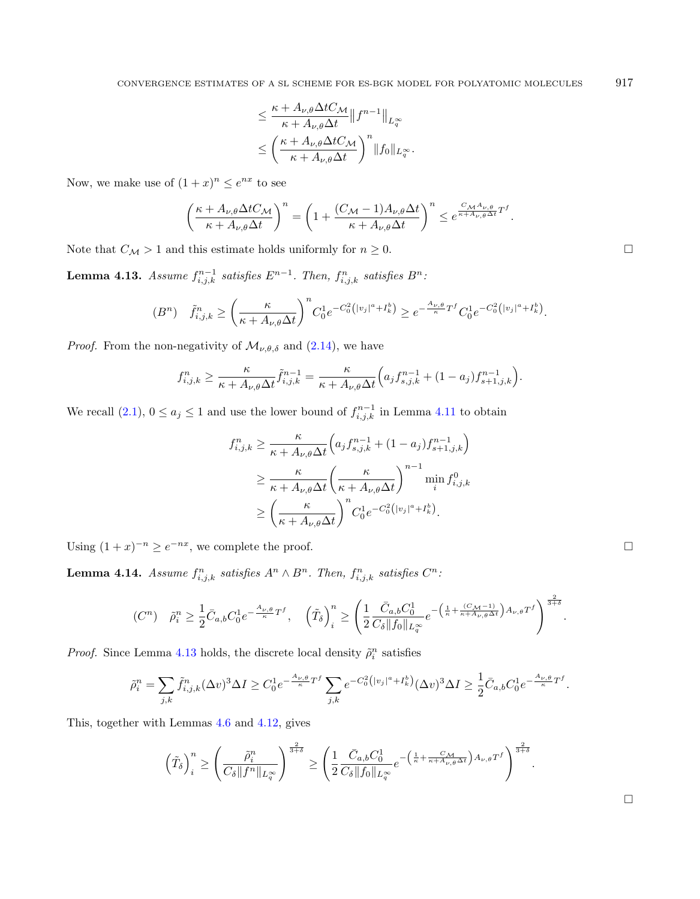$$
\leq \frac{\kappa + A_{\nu,\theta} \Delta t C_{\mathcal{M}}}{\kappa + A_{\nu,\theta} \Delta t} \|f^{n-1}\|_{L^{\infty}_{q}} \leq \left(\frac{\kappa + A_{\nu,\theta} \Delta t C_{\mathcal{M}}}{\kappa + A_{\nu,\theta} \Delta t}\right)^n \|f_0\|_{L^{\infty}_{q}}.
$$

Now, we make use of  $(1+x)^n \leq e^{nx}$  to see

$$
\left(\frac{\kappa + A_{\nu,\theta}\Delta t C_{\mathcal{M}}}{\kappa + A_{\nu,\theta}\Delta t}\right)^n = \left(1 + \frac{(C_{\mathcal{M}} - 1)A_{\nu,\theta}\Delta t}{\kappa + A_{\nu,\theta}\Delta t}\right)^n \leq e^{\frac{C_{\mathcal{M}}A_{\nu,\theta}}{\kappa + A_{\nu,\theta}\Delta t}T^f}.
$$

Note that  $C_{\mathcal{M}} > 1$  and this estimate holds uniformly for  $n \geq 0$ .

<span id="page-24-2"></span>**Lemma 4.13.** Assume  $f_{i,j,k}^{n-1}$  satisfies  $E^{n-1}$ . Then,  $f_{i,j,k}^n$  satisfies  $B^n$ .

$$
(B^n) \quad \tilde{f}_{i,j,k}^n \ge \left(\frac{\kappa}{\kappa + A_{\nu,\theta}\Delta t}\right)^n C_0^1 e^{-C_0^2 (|v_j|^a + I_k^b)} \ge e^{-\frac{A_{\nu,\theta}}{\kappa}T^f} C_0^1 e^{-C_0^2 (|v_j|^a + I_k^b)}.
$$

*Proof.* From the non-negativity of  $\mathcal{M}_{\nu,\theta,\delta}$  and [\(2.14\)](#page-10-2), we have

$$
f_{i,j,k}^n \geq \frac{\kappa}{\kappa + A_{\nu,\theta}\Delta t} \tilde{f}_{i,j,k}^{n-1} = \frac{\kappa}{\kappa + A_{\nu,\theta}\Delta t} \Big( a_j f_{s,j,k}^{n-1} + (1 - a_j) f_{s+1,j,k}^{n-1} \Big).
$$

We recall  $(2.1)$ ,  $0 \le a_j \le 1$  and use the lower bound of  $f_{i,j,k}^{n-1}$  in Lemma [4.11](#page-22-0) to obtain

$$
f_{i,j,k}^n \geq \frac{\kappa}{\kappa + A_{\nu,\theta}\Delta t} \left( a_j f_{s,j,k}^{n-1} + (1 - a_j) f_{s+1,j,k}^{n-1} \right)
$$
  

$$
\geq \frac{\kappa}{\kappa + A_{\nu,\theta}\Delta t} \left( \frac{\kappa}{\kappa + A_{\nu,\theta}\Delta t} \right)^{n-1} \min_{i} f_{i,j,k}^0
$$
  

$$
\geq \left( \frac{\kappa}{\kappa + A_{\nu,\theta}\Delta t} \right)^n C_0^1 e^{-C_0^2 (|v_j|^a + I_k^b)}.
$$

Using  $(1+x)^{-n} \geq e^{-nx}$ , we complete the proof.

<span id="page-24-0"></span>**Lemma 4.14.** Assume  $f_{i,j,k}^n$  satisfies  $A^n \wedge B^n$ . Then,  $f_{i,j,k}^n$  satisfies  $C^n$ .

$$
(C^n) \quad \tilde{\rho}_i^n \ge \frac{1}{2} \bar{C}_{a,b} C_0^1 e^{-\frac{A_{\nu,\theta}}{\kappa} T^f}, \quad \left(\tilde{T}_{\delta}\right)_i^n \ge \left(\frac{1}{2} \frac{\bar{C}_{a,b} C_0^1}{C_{\delta} \|f_0\|_{L^{\infty}_q}} e^{-\left(\frac{1}{\kappa} + \frac{(C_{\mathcal{M}} - 1)}{\kappa + A_{\nu,\theta} \Delta t}\right) A_{\nu,\theta} T^f}\right)^{\frac{2}{3+\delta}}.
$$

*Proof.* Since Lemma [4.13](#page-24-2) holds, the discrete local density  $\tilde{\rho}_i^n$  satisfies

$$
\tilde{\rho}_i^n = \sum_{j,k} \tilde{f}_{i,j,k}^n (\Delta v)^3 \Delta I \ge C_0^1 e^{-\frac{A_{\nu,\theta}}{\kappa} T^f} \sum_{j,k} e^{-C_0^2 (|v_j|^a + I_k^b)} (\Delta v)^3 \Delta I \ge \frac{1}{2} \bar{C}_{a,b} C_0^1 e^{-\frac{A_{\nu,\theta}}{\kappa} T^f}.
$$

<span id="page-24-1"></span>This, together with Lemmas [4.6](#page-14-0) and [4.12,](#page-23-0) gives

$$
\left(\tilde{T}_{\delta}\right)_i^n \ge \left(\frac{\tilde{\rho}_i^n}{C_{\delta} \|f^n\|_{L^{\infty}_q}}\right)^{\frac{2}{3+\delta}} \ge \left(\frac{1}{2} \frac{\bar{C}_{a,b} C_0^1}{C_{\delta} \|f_0\|_{L^{\infty}_q}} e^{-\left(\frac{1}{\kappa} + \frac{C_{\mathcal{M}}}{\kappa + A_{\nu,\theta}\Delta t}\right) A_{\nu,\theta} T^f}\right)^{\frac{2}{3+\delta}}.
$$

 $\Box$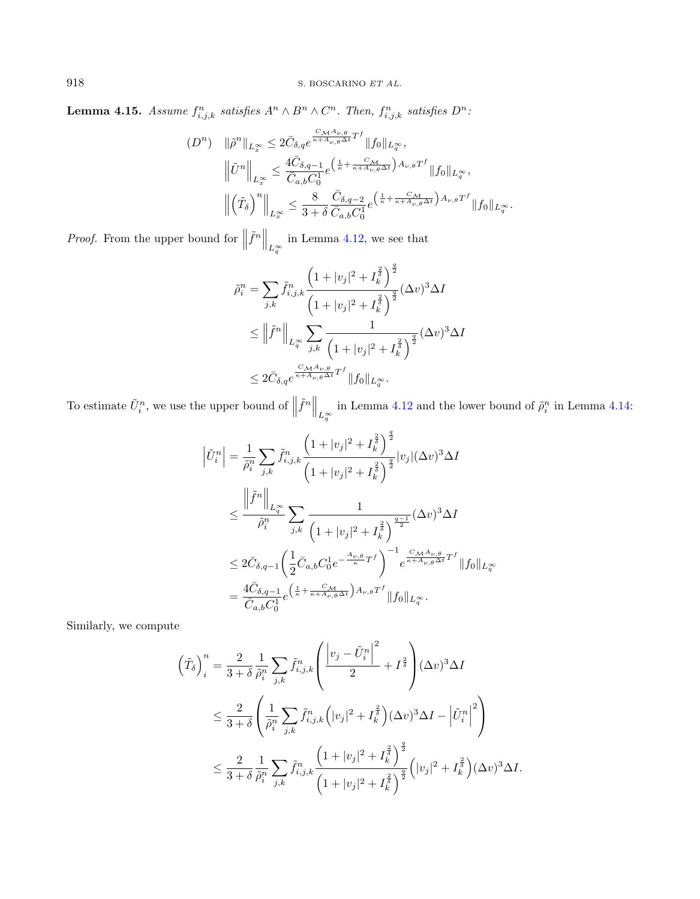**Lemma 4.15.** Assume  $f_{i,j,k}^n$  satisfies  $A^n \wedge B^n \wedge C^n$ . Then,  $f_{i,j,k}^n$  satisfies  $D^n$ :

$$
(D^{n}) \quad \|\tilde{\rho}^{n}\|_{L^{\infty}_{\infty}} \leq 2\bar{C}_{\delta,q} e^{\frac{C_{\mathcal{M}} A_{\nu,\theta}}{\kappa + A_{\nu,\theta}\Delta t}T^{f}} \|f_{0}\|_{L^{\infty}_{q}},
$$

$$
\left\|\tilde{U}^{n}\right\|_{L^{\infty}_{\infty}} \leq \frac{4\bar{C}_{\delta,q-1}}{\bar{C}_{a,b}C_{0}^{1}} e^{\left(\frac{1}{\kappa} + \frac{C_{\mathcal{M}}}{\kappa + A_{\nu,\theta}\Delta t}\right)A_{\nu,\theta}T^{f}} \|f_{0}\|_{L^{\infty}_{q}},
$$

$$
\left\|\left(\tilde{T}_{\delta}\right)^{n}\right\|_{L^{\infty}_{x}} \leq \frac{8}{3+\delta} \frac{\bar{C}_{\delta,q-2}}{\bar{C}_{a,b}C_{0}^{1}} e^{\left(\frac{1}{\kappa} + \frac{C_{\mathcal{M}}}{\kappa + A_{\nu,\theta}\Delta t}\right)A_{\nu,\theta}T^{f}} \|f_{0}\|_{L^{\infty}_{q}}.
$$

*Proof.* From the upper bound for  $\left\| \tilde{f}^n \right\|_{L_q^{\infty}}$  in Lemma [4.12,](#page-23-0) we see that

$$
\tilde{\rho}_i^n = \sum_{j,k} \tilde{f}_{i,j,k}^n \frac{\left(1+|v_j|^2 + I_k^{\frac{2}{\delta}}\right)^{\frac{q}{2}}}{\left(1+|v_j|^2 + I_k^{\frac{2}{\delta}}\right)^{\frac{q}{2}}} (\Delta v)^3 \Delta I
$$
\n
$$
\leq \left\|\tilde{f}^n\right\|_{L_q^\infty} \sum_{j,k} \frac{1}{\left(1+|v_j|^2 + I_k^{\frac{2}{\delta}}\right)^{\frac{q}{2}}} (\Delta v)^3 \Delta I
$$
\n
$$
\leq 2\bar{C}_{\delta,q} e^{\frac{C_{\mathcal{M}} A_{\nu,\theta}}{\kappa + A_{\nu,\theta} \Delta t} T^f} \|f_0\|_{L_q^\infty}.
$$

To estimate  $\tilde{U}_i^n$ , we use the upper bound of  $\left\|\tilde{f}^n\right\|_{L^{\infty}_{\tilde{q}}}$  in Lemma [4.12](#page-23-0) and the lower bound of  $\tilde{\rho}_i^n$  in Lemma [4.14:](#page-24-0)

$$
\left|\tilde{U}_{i}^{n}\right| = \frac{1}{\tilde{\rho}_{i}^{n}} \sum_{j,k} \tilde{f}_{i,j,k}^{n} \frac{\left(1+|v_{j}|^{2} + I_{k}^{\frac{2}{\delta}}\right)^{\frac{q}{2}}}{\left(1+|v_{j}|^{2} + I_{k}^{\frac{2}{\delta}}\right)^{\frac{q}{2}}} |v_{j}| (\Delta v)^{3} \Delta I
$$
\n
$$
\leq \frac{\left\|\tilde{f}^{n}\right\|_{L_{q}^{\infty}}}{\tilde{\rho}_{i}^{n}} \sum_{j,k} \frac{1}{\left(1+|v_{j}|^{2} + I_{k}^{\frac{2}{\delta}}\right)^{\frac{q-1}{2}}} (\Delta v)^{3} \Delta I
$$
\n
$$
\leq 2\bar{C}_{\delta,q-1} \left(\frac{1}{2}\bar{C}_{a,b}C_{0}^{1}e^{-\frac{A_{\nu,\theta}}{\kappa}T^{f}}\right)^{-1} e^{\frac{C_{\mathcal{M}}A_{\nu,\theta}}{\kappa+A_{\nu,\theta}\Delta t}T^{f}} \|f_{0}\|_{L_{q}^{\infty}}
$$
\n
$$
= \frac{4\bar{C}_{\delta,q-1}}{\bar{C}_{a,b}C_{0}^{1}} e^{\left(\frac{1}{\kappa} + \frac{C_{\mathcal{M}}}{\kappa+A_{\nu,\theta}\Delta t}\right)A_{\nu,\theta}T^{f}} \|f_{0}\|_{L_{q}^{\infty}}.
$$

Similarly, we compute

$$
\left(\tilde{T}_{\delta}\right)_{i}^{n} = \frac{2}{3+\delta} \frac{1}{\tilde{\rho}_{i}^{n}} \sum_{j,k} \tilde{f}_{i,j,k}^{n} \left(\frac{\left|v_{j} - \tilde{U}_{i}^{n}\right|^{2}}{2} + I^{\frac{2}{\delta}}\right) (\Delta v)^{3} \Delta I
$$
\n
$$
\leq \frac{2}{3+\delta} \left(\frac{1}{\tilde{\rho}_{i}^{n}} \sum_{j,k} \tilde{f}_{i,j,k}^{n} \left(|v_{j}|^{2} + I^{\frac{2}{\delta}}_{k}\right) (\Delta v)^{3} \Delta I - \left|\tilde{U}_{i}^{n}\right|^{2}\right)
$$
\n
$$
\leq \frac{2}{3+\delta} \frac{1}{\tilde{\rho}_{i}^{n}} \sum_{j,k} \tilde{f}_{i,j,k}^{n} \frac{\left(1+|v_{j}|^{2} + I^{\frac{2}{\delta}}_{k}\right)^{\frac{q}{2}}}{\left(1+|v_{j}|^{2} + I^{\frac{2}{\delta}}_{k}\right)^{\frac{q}{2}}} \left(|v_{j}|^{2} + I^{\frac{2}{\delta}}_{k}\right) (\Delta v)^{3} \Delta I.
$$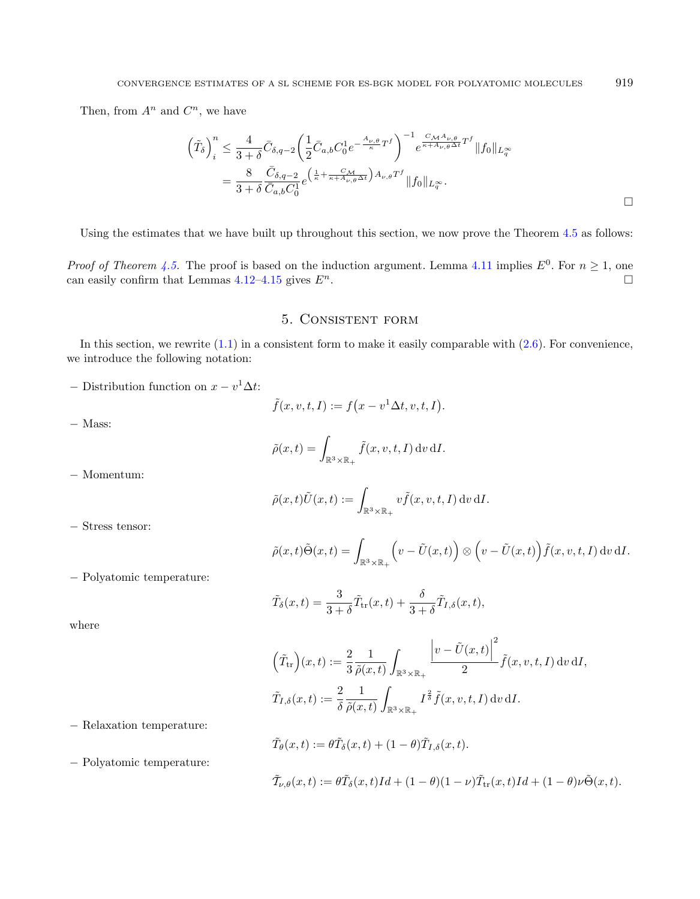Then, from  $A^n$  and  $C^n$ , we have

$$
\left(\tilde{T}_{\delta}\right)^{n}_{i} \leq \frac{4}{3+\delta} \bar{C}_{\delta,q-2} \left(\frac{1}{2}\bar{C}_{a,b}C_{0}^{1}e^{-\frac{A_{\nu,\theta}}{\kappa}T^{f}}\right)^{-1} e^{\frac{C_{\mathcal{M}}A_{\nu,\theta}}{\kappa+A_{\nu,\theta}\Delta t}T^{f}} \|f_{0}\|_{L^{\infty}_{q}}
$$
\n
$$
= \frac{8}{3+\delta} \frac{\bar{C}_{\delta,q-2}}{\bar{C}_{a,b}C_{0}^{1}} e^{\left(\frac{1}{\kappa}+\frac{C_{\mathcal{M}}}{\kappa+A_{\nu,\theta}\Delta t}\right)A_{\nu,\theta}T^{f}} \|f_{0}\|_{L^{\infty}_{q}}.
$$

Using the estimates that we have built up throughout this section, we now prove the Theorem [4.5](#page-13-0) as follows:

*Proof of Theorem [4.5.](#page-13-0)* The proof is based on the induction argument. Lemma [4.11](#page-22-0) implies  $E^0$ . For  $n \ge 1$ , one can easily confirm that Lemmas [4.12](#page-23-0)[–4.15](#page-24-1) gives  $E^n$ .

## 5. Consistent form

<span id="page-26-0"></span>In this section, we rewrite  $(1.1)$  in a consistent form to make it easily comparable with  $(2.6)$ . For convenience, we introduce the following notation:

 $-$  Distribution function on  $x - v^1 \Delta t$ :

$$
\tilde{f}(x,v,t,I) := f\big(x - v^1 \Delta t, v, t, I\big).
$$

$$
-
$$
 Mass:

$$
\tilde{\rho}(x,t) = \int_{\mathbb{R}^3 \times \mathbb{R}_+} \tilde{f}(x,v,t,I) \,dv \,dI.
$$

− Momentum:

$$
\tilde{\rho}(x,t)\tilde{U}(x,t) := \int_{\mathbb{R}^3 \times \mathbb{R}_+} v \tilde{f}(x,v,t,I) \,dv \,dI.
$$

− Stress tensor:

$$
\tilde{\rho}(x,t)\tilde{\Theta}(x,t) = \int_{\mathbb{R}^3 \times \mathbb{R}_+} \left( v - \tilde{U}(x,t) \right) \otimes \left( v - \tilde{U}(x,t) \right) \tilde{f}(x,v,t,I) dv dI.
$$

− Polyatomic temperature:

$$
\tilde{T}_{\delta}(x,t) = \frac{3}{3+\delta}\tilde{T}_{\text{tr}}(x,t) + \frac{\delta}{3+\delta}\tilde{T}_{I,\delta}(x,t),
$$

where

$$
\left(\tilde{T}_{tr}\right)(x,t) := \frac{2}{3} \frac{1}{\tilde{\rho}(x,t)} \int_{\mathbb{R}^3 \times \mathbb{R}_+} \frac{\left|v - \tilde{U}(x,t)\right|^2}{2} \tilde{f}(x,v,t,I) dv dI,
$$
  

$$
\tilde{T}_{I,\delta}(x,t) := \frac{2}{\delta} \frac{1}{\tilde{\rho}(x,t)} \int_{\mathbb{R}^3 \times \mathbb{R}_+} I^{\frac{2}{\delta}} \tilde{f}(x,v,t,I) dv dI.
$$

− Relaxation temperature:

− Polyatomic temperature:

$$
\tilde{T}_{\theta}(x,t) := \theta \tilde{T}_{\delta}(x,t) + (1 - \theta) \tilde{T}_{I,\delta}(x,t).
$$
  

$$
\tilde{T}_{\nu,\theta}(x,t) := \theta \tilde{T}_{\delta}(x,t)Id + (1 - \theta)(1 - \nu)\tilde{T}_{tr}(x,t)Id + (1 - \theta)\nu \tilde{\Theta}(x,t).
$$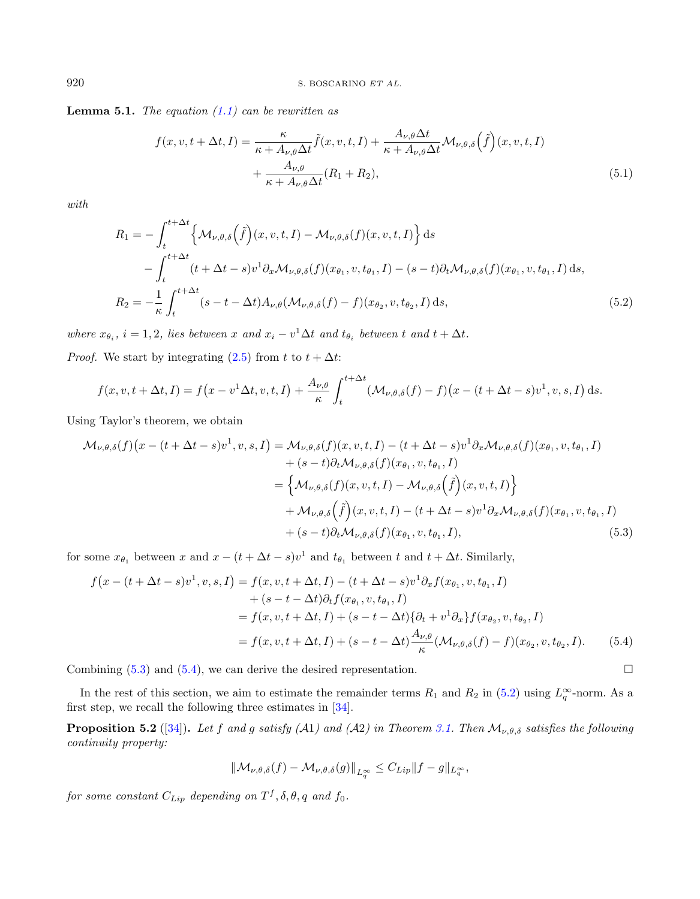<span id="page-27-5"></span>**Lemma 5.1.** The equation  $(1.1)$  can be rewritten as

<span id="page-27-2"></span><span id="page-27-1"></span><span id="page-27-0"></span>
$$
f(x, v, t + \Delta t, I) = \frac{\kappa}{\kappa + A_{\nu,\theta}\Delta t} \tilde{f}(x, v, t, I) + \frac{A_{\nu,\theta}\Delta t}{\kappa + A_{\nu,\theta}\Delta t} \mathcal{M}_{\nu,\theta,\delta}(\tilde{f})(x, v, t, I) + \frac{A_{\nu,\theta}}{\kappa + A_{\nu,\theta}\Delta t} (R_1 + R_2),
$$
\n(5.1)

with

$$
R_1 = -\int_t^{t + \Delta t} \left\{ \mathcal{M}_{\nu,\theta,\delta}(\tilde{f})(x,v,t,I) - \mathcal{M}_{\nu,\theta,\delta}(f)(x,v,t,I) \right\} ds
$$
  

$$
- \int_t^{t + \Delta t} (t + \Delta t - s)v^1 \partial_x \mathcal{M}_{\nu,\theta,\delta}(f)(x_{\theta_1}, v, t_{\theta_1}, I) - (s - t) \partial_t \mathcal{M}_{\nu,\theta,\delta}(f)(x_{\theta_1}, v, t_{\theta_1}, I) ds,
$$
  

$$
R_2 = -\frac{1}{\kappa} \int_t^{t + \Delta t} (s - t - \Delta t) A_{\nu,\theta} (\mathcal{M}_{\nu,\theta,\delta}(f) - f)(x_{\theta_2}, v, t_{\theta_2}, I) ds,
$$
(5.2)

where  $x_{\theta_i}$ ,  $i = 1, 2$ , lies between  $x$  and  $x_i - v^1 \Delta t$  and  $t_{\theta_i}$  between  $t$  and  $t + \Delta t$ .

*Proof.* We start by integrating [\(2.5\)](#page-7-0) from  $t$  to  $t + \Delta t$ :

$$
f(x, v, t + \Delta t, I) = f\left(x - v^1 \Delta t, v, t, I\right) + \frac{A_{\nu, \theta}}{\kappa} \int_t^{t + \Delta t} (\mathcal{M}_{\nu, \theta, \delta}(f) - f)\left(x - (t + \Delta t - s)v^1, v, s, I\right) ds.
$$

Using Taylor's theorem, we obtain

$$
\mathcal{M}_{\nu,\theta,\delta}(f)(x - (t + \Delta t - s)v^{1}, v, s, I) = \mathcal{M}_{\nu,\theta,\delta}(f)(x, v, t, I) - (t + \Delta t - s)v^{1}\partial_{x}\mathcal{M}_{\nu,\theta,\delta}(f)(x_{\theta_{1}}, v, t_{\theta_{1}}, I) \n+ (s - t)\partial_{t}\mathcal{M}_{\nu,\theta,\delta}(f)(x_{\theta_{1}}, v, t_{\theta_{1}}, I) \n= \left\{ \mathcal{M}_{\nu,\theta,\delta}(f)(x, v, t, I) - \mathcal{M}_{\nu,\theta,\delta}(\tilde{f})(x, v, t, I) \right\} \n+ \mathcal{M}_{\nu,\theta,\delta}(\tilde{f})(x, v, t, I) - (t + \Delta t - s)v^{1}\partial_{x}\mathcal{M}_{\nu,\theta,\delta}(f)(x_{\theta_{1}}, v, t_{\theta_{1}}, I) \n+ (s - t)\partial_{t}\mathcal{M}_{\nu,\theta,\delta}(f)(x_{\theta_{1}}, v, t_{\theta_{1}}, I),
$$
\n(5.3)

for some  $x_{\theta_1}$  between  $x$  and  $x - (t + \Delta t - s)v^1$  and  $t_{\theta_1}$  between  $t$  and  $t + \Delta t$ . Similarly,

$$
f(x - (t + \Delta t - s)v^{1}, v, s, I) = f(x, v, t + \Delta t, I) - (t + \Delta t - s)v^{1}\partial_{x}f(x_{\theta_{1}}, v, t_{\theta_{1}}, I) + (s - t - \Delta t)\partial_{t}f(x_{\theta_{1}}, v, t_{\theta_{1}}, I) = f(x, v, t + \Delta t, I) + (s - t - \Delta t)\{\partial_{t} + v^{1}\partial_{x}\}f(x_{\theta_{2}}, v, t_{\theta_{2}}, I) = f(x, v, t + \Delta t, I) + (s - t - \Delta t)\frac{A_{\nu,\theta}}{\kappa}(\mathcal{M}_{\nu,\theta,\delta}(f) - f)(x_{\theta_{2}}, v, t_{\theta_{2}}, I).
$$
(5.4)

Combining  $(5.3)$  and  $(5.4)$ , we can derive the desired representation.

In the rest of this section, we aim to estimate the remainder terms  $R_1$  and  $R_2$  in [\(5.2\)](#page-27-0) using  $L_q^{\infty}$ -norm. As a first step, we recall the following three estimates in [\[34\]](#page-48-10).

**Proposition 5.2** ([\[34\]](#page-48-10)). Let f and g satisfy (A1) and (A2) in Theorem [3.1.](#page-11-1) Then  $\mathcal{M}_{\nu,\theta,\delta}$  satisfies the following continuity property:

<span id="page-27-6"></span><span id="page-27-3"></span>
$$
\|\mathcal{M}_{\nu,\theta,\delta}(f) - \mathcal{M}_{\nu,\theta,\delta}(g)\|_{L_q^{\infty}} \leq C_{Lip} \|f - g\|_{L_q^{\infty}},
$$

<span id="page-27-4"></span>for some constant  $C_{Lip}$  depending on  $T^f, \delta, \theta, q$  and  $f_0$ .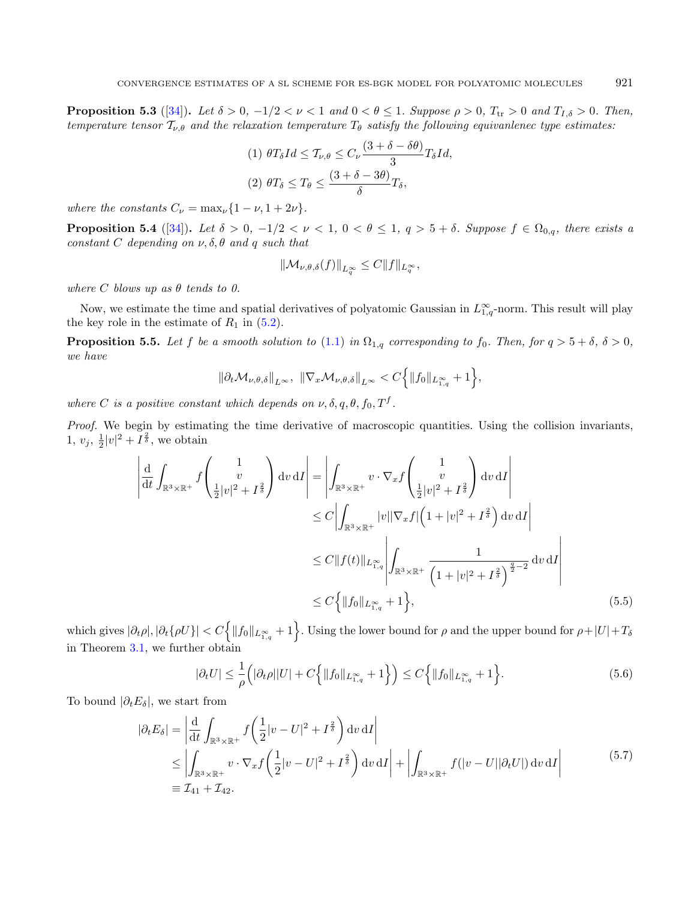**Proposition 5.3** ([\[34\]](#page-48-10)). Let  $\delta > 0$ ,  $-1/2 < \nu < 1$  and  $0 < \theta \le 1$ . Suppose  $\rho > 0$ ,  $T_{tr} > 0$  and  $T_{I,\delta} > 0$ . Then, temperature tensor  $T_{\nu,\theta}$  and the relaxation temperature  $T_{\theta}$  satisfy the following equivanlenec type estimates:

<span id="page-28-4"></span>
$$
(1) \ \theta T_{\delta} Id \leq T_{\nu,\theta} \leq C_{\nu} \frac{(3+\delta-\delta\theta)}{3} T_{\delta} Id,
$$

$$
(2) \ \theta T_{\delta} \leq T_{\theta} \leq \frac{(3+\delta-3\theta)}{\delta} T_{\delta},
$$

where the constants  $C_{\nu} = \max_{\nu} \{1 - \nu, 1 + 2\nu\}.$ 

<span id="page-28-3"></span>**Proposition 5.4** ([\[34\]](#page-48-10)). Let  $\delta > 0$ ,  $-1/2 < \nu < 1$ ,  $0 < \theta \le 1$ ,  $q > 5 + \delta$ . Suppose  $f \in \Omega_{0,q}$ , there exists a constant C depending on  $\nu$ ,  $\delta$ ,  $\theta$  and  $q$  such that

<span id="page-28-1"></span><span id="page-28-0"></span>
$$
\|\mathcal{M}_{\nu,\theta,\delta}(f)\|_{L_q^{\infty}}\leq C\|f\|_{L_q^{\infty}},
$$

where C blows up as  $\theta$  tends to 0.

Now, we estimate the time and spatial derivatives of polyatomic Gaussian in  $L_{1,q}^{\infty}$ -norm. This result will play the key role in the estimate of  $R_1$  in [\(5.2\)](#page-27-0).

**Proposition 5.5.** Let f be a smooth solution to [\(1.1\)](#page-1-0) in  $\Omega_{1,q}$  corresponding to  $f_0$ . Then, for  $q > 5 + \delta$ ,  $\delta > 0$ , we have

$$
\|\partial_t \mathcal{M}_{\nu,\theta,\delta}\|_{L^\infty}, \ \|\nabla_x \mathcal{M}_{\nu,\theta,\delta}\|_{L^\infty} < C \Big\{ \|f_0\|_{L^\infty_{1,q}} + 1 \Big\},\
$$

where C is a positive constant which depends on  $\nu$ ,  $\delta$ ,  $q$ ,  $\theta$ ,  $f_0$ ,  $T^f$ .

Proof. We begin by estimating the time derivative of macroscopic quantities. Using the collision invariants,  $1, v_j, \frac{1}{2}|v|^2 + I^{\frac{2}{\delta}},$  we obtain

$$
\left| \frac{d}{dt} \int_{\mathbb{R}^3 \times \mathbb{R}^+} f \begin{pmatrix} 1 \\ v \\ \frac{1}{2} |v|^2 + I^{\frac{2}{\delta}} \end{pmatrix} dv \, dI \right| = \left| \int_{\mathbb{R}^3 \times \mathbb{R}^+} v \cdot \nabla_x f \begin{pmatrix} 1 \\ v \\ \frac{1}{2} |v|^2 + I^{\frac{2}{\delta}} \end{pmatrix} dv \, dI \right|
$$
  
\n
$$
\leq C \left| \int_{\mathbb{R}^3 \times \mathbb{R}^+} |v| |\nabla_x f| \left( 1 + |v|^2 + I^{\frac{2}{\delta}} \right) dv \, dI \right|
$$
  
\n
$$
\leq C \left| |f(t)| \right|_{L^{\infty}_{1,q}} \left| \int_{\mathbb{R}^3 \times \mathbb{R}^+} \frac{1}{\left( 1 + |v|^2 + I^{\frac{2}{\delta}} \right)^{\frac{q}{2} - 2}} dv \, dI \right|
$$
  
\n
$$
\leq C \left\{ \| f_0 \|_{L^{\infty}_{1,q}} + 1 \right\}, \tag{5.5}
$$

which gives  $|\partial_t \rho|, |\partial_t \{\rho U\}| < C \Big\{ \|f_0\|_{L^{\infty}_{1,q}} + 1 \Big\}$ . Using the lower bound for  $\rho$  and the upper bound for  $\rho + |U| + T_{\delta}$ in Theorem [3.1,](#page-11-1) we further obtain

<span id="page-28-2"></span>
$$
|\partial_t U| \leq \frac{1}{\rho} \Big( |\partial_t \rho| |U| + C \Big\{ \|f_0\|_{L^{\infty}_{1,q}} + 1 \Big\} \Big) \leq C \Big\{ \|f_0\|_{L^{\infty}_{1,q}} + 1 \Big\}.
$$
 (5.6)

To bound  $|\partial_t E_\delta|$ , we start from

$$
|\partial_t E_{\delta}| = \left| \frac{d}{dt} \int_{\mathbb{R}^3 \times \mathbb{R}^+} f\left(\frac{1}{2} |v - U|^2 + I^{\frac{2}{\delta}}\right) dv \, dI \right|
$$
  
\n
$$
\leq \left| \int_{\mathbb{R}^3 \times \mathbb{R}^+} v \cdot \nabla_x f\left(\frac{1}{2} |v - U|^2 + I^{\frac{2}{\delta}}\right) dv \, dI \right| + \left| \int_{\mathbb{R}^3 \times \mathbb{R}^+} f(|v - U| |\partial_t U|) dv \, dI \right|
$$
(5.7)  
\n
$$
\equiv \mathcal{I}_{41} + \mathcal{I}_{42}.
$$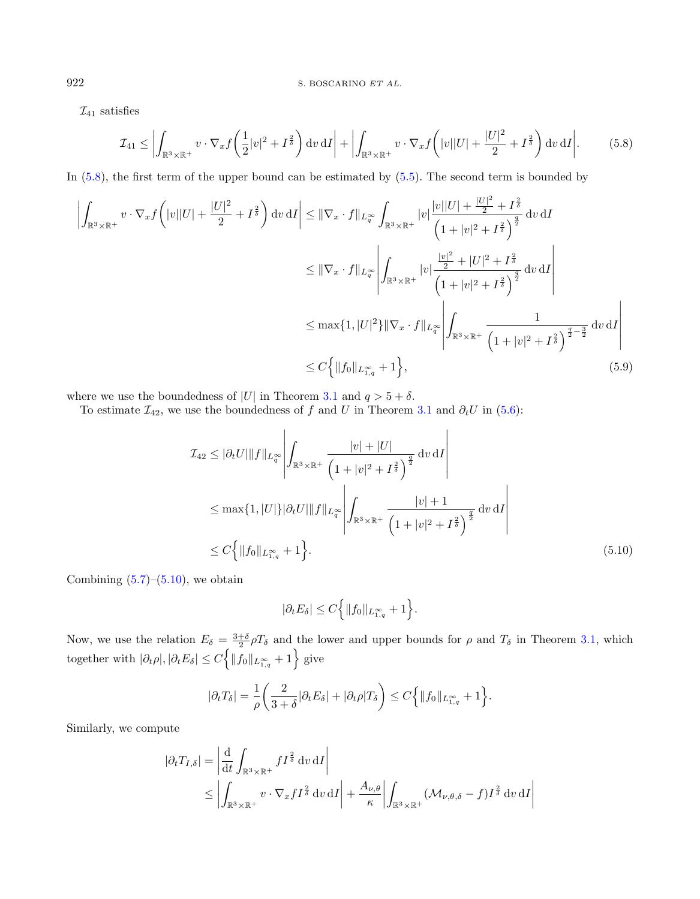$\mathcal{I}_{41}$  satisfies

$$
\mathcal{I}_{41} \le \left| \int_{\mathbb{R}^3 \times \mathbb{R}^+} v \cdot \nabla_x f\left(\frac{1}{2}|v|^2 + I^{\frac{2}{\delta}}\right) dv \, dI \right| + \left| \int_{\mathbb{R}^3 \times \mathbb{R}^+} v \cdot \nabla_x f\left(|v||U| + \frac{|U|^2}{2} + I^{\frac{2}{\delta}}\right) dv \, dI \right|.
$$
 (5.8)

In  $(5.8)$ , the first term of the upper bound can be estimated by  $(5.5)$ . The second term is bounded by

$$
\left| \int_{\mathbb{R}^3 \times \mathbb{R}^+} v \cdot \nabla_x f \left( |v| |U| + \frac{|U|^2}{2} + I^{\frac{2}{\delta}} \right) dv \, dI \right| \leq \|\nabla_x \cdot f\|_{L_q^{\infty}} \int_{\mathbb{R}^3 \times \mathbb{R}^+} |v| \frac{|v| |U| + \frac{|U|^2}{2} + I^{\frac{2}{\delta}}}{\left(1 + |v|^2 + I^{\frac{2}{\delta}}\right)^{\frac{q}{2}}} dv \, dI
$$
\n
$$
\leq \|\nabla_x \cdot f\|_{L_q^{\infty}} \left| \int_{\mathbb{R}^3 \times \mathbb{R}^+} |v| \frac{\frac{|v|^2}{2} + |U|^2 + I^{\frac{2}{\delta}}}{\left(1 + |v|^2 + I^{\frac{2}{\delta}}\right)^{\frac{q}{2}}} dv \, dI \right|
$$
\n
$$
\leq \max\{1, |U|^2\} \|\nabla_x \cdot f\|_{L_q^{\infty}} \left| \int_{\mathbb{R}^3 \times \mathbb{R}^+} \frac{1}{\left(1 + |v|^2 + I^{\frac{2}{\delta}}\right)^{\frac{q}{2} - \frac{3}{2}}} dv \, dI \right|
$$
\n
$$
\leq C \left\{ \|f_0\|_{L_{1,q}^{\infty}} + 1 \right\}, \tag{5.9}
$$

where we use the boundedness of |U| in Theorem [3.1](#page-11-1) and  $q > 5 + \delta$ .

To estimate  $\mathcal{I}_{42}$ , we use the boundedness of f and U in Theorem [3.1](#page-11-1) and  $\partial_t U$  in [\(5.6\)](#page-28-1):

$$
\mathcal{I}_{42} \leq |\partial_t U| \|f\|_{L_q^{\infty}} \left| \int_{\mathbb{R}^3 \times \mathbb{R}^+} \frac{|v| + |U|}{\left(1 + |v|^2 + I^{\frac{2}{\delta}}\right)^{\frac{q}{2}}} dv \, \mathrm{d}I \right|
$$
  
\n
$$
\leq \max\{1, |U|\} |\partial_t U| \|f\|_{L_q^{\infty}} \left| \int_{\mathbb{R}^3 \times \mathbb{R}^+} \frac{|v| + 1}{\left(1 + |v|^2 + I^{\frac{2}{\delta}}\right)^{\frac{q}{2}}} dv \, \mathrm{d}I \right|
$$
  
\n
$$
\leq C \left\{ \|f_0\|_{L_{1,q}^{\infty}} + 1 \right\}.
$$
\n(5.10)

<span id="page-29-1"></span><span id="page-29-0"></span>⃒

Combining  $(5.7)$ – $(5.10)$ , we obtain

$$
|\partial_t E_\delta| \le C \Big\{ \|f_0\|_{L_{1,q}^\infty} + 1 \Big\}.
$$

Now, we use the relation  $E_{\delta} = \frac{3+\delta}{2} \rho T_{\delta}$  and the lower and upper bounds for  $\rho$  and  $T_{\delta}$  in Theorem [3.1,](#page-11-1) which together with  $|\partial_t \rho|, |\partial_t E_\delta| \le C \Big\{ ||f_0||_{L^{\infty}_{1,q}} + 1 \Big\}$  give

$$
|\partial_t T_\delta| = \frac{1}{\rho} \left( \frac{2}{3+\delta} |\partial_t E_\delta| + |\partial_t \rho| T_\delta \right) \le C \left\{ \|f_0\|_{L_{1,q}^\infty} + 1 \right\}.
$$

Similarly, we compute

$$
|\partial_t T_{I,\delta}| = \left| \frac{d}{dt} \int_{\mathbb{R}^3 \times \mathbb{R}^+} f I^{\frac{2}{\delta}} dv \, dI \right|
$$
  
\$\leq \left| \int\_{\mathbb{R}^3 \times \mathbb{R}^+} v \cdot \nabla\_x f I^{\frac{2}{\delta}} dv \, dI \right| + \frac{A\_{\nu,\theta}}{\kappa} \left| \int\_{\mathbb{R}^3 \times \mathbb{R}^+} (\mathcal{M}\_{\nu,\theta,\delta} - f) I^{\frac{2}{\delta}} dv \, dI \right|\$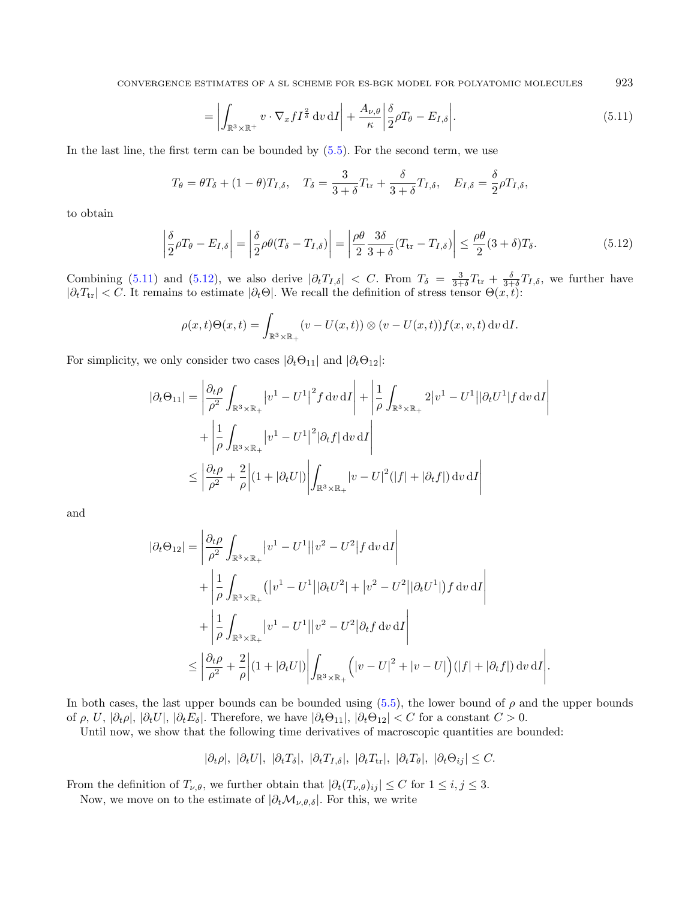CONVERGENCE ESTIMATES OF A SL SCHEME FOR ES-BGK MODEL FOR POLYATOMIC MOLECULES 923

<span id="page-30-1"></span><span id="page-30-0"></span>
$$
= \left| \int_{\mathbb{R}^3 \times \mathbb{R}^+} v \cdot \nabla_x f I^{\frac{2}{\delta}} \, dv \, dI \right| + \frac{A_{\nu,\theta}}{\kappa} \left| \frac{\delta}{2} \rho T_{\theta} - E_{I,\delta} \right|.
$$
 (5.11)

In the last line, the first term can be bounded by [\(5.5\)](#page-28-0). For the second term, we use

$$
T_{\theta} = \theta T_{\delta} + (1 - \theta) T_{I, \delta}, \quad T_{\delta} = \frac{3}{3 + \delta} T_{\text{tr}} + \frac{\delta}{3 + \delta} T_{I, \delta}, \quad E_{I, \delta} = \frac{\delta}{2} \rho T_{I, \delta},
$$

to obtain

$$
\left| \frac{\delta}{2} \rho T_{\theta} - E_{I,\delta} \right| = \left| \frac{\delta}{2} \rho \theta (T_{\delta} - T_{I,\delta}) \right| = \left| \frac{\rho \theta}{2} \frac{3\delta}{3 + \delta} (T_{\text{tr}} - T_{I,\delta}) \right| \le \frac{\rho \theta}{2} (3 + \delta) T_{\delta}.
$$
\n(5.12)

Combining [\(5.11\)](#page-30-0) and [\(5.12\)](#page-30-1), we also derive  $|\partial_t T_{I,\delta}| < C$ . From  $T_{\delta} = \frac{3}{3+\delta}T_{tr} + \frac{\delta}{3+\delta}T_{I,\delta}$ , we further have  $|\partial_t T_{tr}| < C$ . It remains to estimate  $|\partial_t \Theta|$ . We recall the definition of stress tensor  $\Theta(x, t)$ :

$$
\rho(x,t)\Theta(x,t) = \int_{\mathbb{R}^3 \times \mathbb{R}_+} (v - U(x,t)) \otimes (v - U(x,t)) f(x,v,t) \, dv \, dI.
$$

For simplicity, we only consider two cases  $|\partial_t \Theta_{11}|$  and  $|\partial_t \Theta_{12}|$ :

$$
|\partial_t \Theta_{11}| = \left| \frac{\partial_t \rho}{\rho^2} \int_{\mathbb{R}^3 \times \mathbb{R}_+} \left| v^1 - U^1 \right|^2 f \, dv \, dI \right| + \left| \frac{1}{\rho} \int_{\mathbb{R}^3 \times \mathbb{R}_+} 2 \left| v^1 - U^1 \right| |\partial_t U^1| f \, dv \, dI \right|
$$
  
+ 
$$
\left| \frac{1}{\rho} \int_{\mathbb{R}^3 \times \mathbb{R}_+} \left| v^1 - U^1 \right|^2 |\partial_t f| \, dv \, dI \right|
$$
  

$$
\leq \left| \frac{\partial_t \rho}{\rho^2} + \frac{2}{\rho} \right| (1 + |\partial_t U|) \left| \int_{\mathbb{R}^3 \times \mathbb{R}_+} \left| v - U \right|^2 (|f| + |\partial_t f|) \, dv \, dI \right|
$$

and

$$
|\partial_t \Theta_{12}| = \left| \frac{\partial_t \rho}{\rho^2} \int_{\mathbb{R}^3 \times \mathbb{R}_+} |v^1 - U^1| |v^2 - U^2| f \, dv \, dI \right| + \left| \frac{1}{\rho} \int_{\mathbb{R}^3 \times \mathbb{R}_+} (|v^1 - U^1| |\partial_t U^2| + |v^2 - U^2| |\partial_t U^1|) f \, dv \, dI \right| + \left| \frac{1}{\rho} \int_{\mathbb{R}^3 \times \mathbb{R}_+} |v^1 - U^1| |v^2 - U^2| \partial_t f \, dv \, dI \right| \leq \left| \frac{\partial_t \rho}{\rho^2} + \frac{2}{\rho} \right| (1 + |\partial_t U|) \left| \int_{\mathbb{R}^3 \times \mathbb{R}_+} \left( |v - U|^2 + |v - U| \right) (|f| + |\partial_t f|) \, dv \, dI \right|
$$

In both cases, the last upper bounds can be bounded using  $(5.5)$ , the lower bound of  $\rho$  and the upper bounds of  $\rho$ ,  $U$ ,  $|\partial_t \rho|$ ,  $|\partial_t U|$ ,  $|\partial_t E_\delta|$ . Therefore, we have  $|\partial_t \Theta_{11}|$ ,  $|\partial_t \Theta_{12}| < C$  for a constant  $C > 0$ .

.

Until now, we show that the following time derivatives of macroscopic quantities are bounded:

$$
|\partial_t \rho|, |\partial_t U|, |\partial_t T_{\delta}|, |\partial_t T_{I,\delta}|, |\partial_t T_{tr}|, |\partial_t T_{\theta}|, |\partial_t \Theta_{ij}| \leq C.
$$

From the definition of  $T_{\nu,\theta}$ , we further obtain that  $|\partial_t(T_{\nu,\theta})_{ij}| \leq C$  for  $1 \leq i, j \leq 3$ .

Now, we move on to the estimate of  $|\partial_t \mathcal{M}_{\nu,\theta,\delta}|$ . For this, we write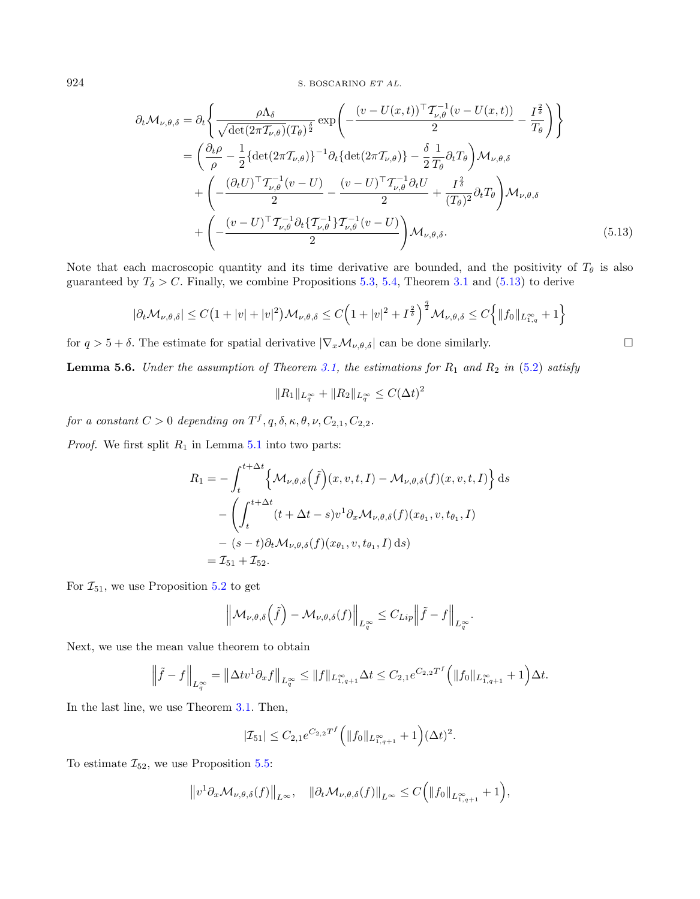$$
\partial_t \mathcal{M}_{\nu,\theta,\delta} = \partial_t \left\{ \frac{\rho \Lambda_{\delta}}{\sqrt{\det(2\pi \mathcal{T}_{\nu,\theta})(T_{\theta})^{\frac{\delta}{2}}}} \exp\left(-\frac{(v - U(x,t))^{\top} \mathcal{T}_{\nu,\theta}^{-1} (v - U(x,t))}{2} - \frac{I^{\frac{2}{\delta}}}{T_{\theta}}\right) \right\}
$$
  
\n
$$
= \left(\frac{\partial_t \rho}{\rho} - \frac{1}{2} \{\det(2\pi \mathcal{T}_{\nu,\theta})\}^{-1} \partial_t \{\det(2\pi \mathcal{T}_{\nu,\theta})\} - \frac{\delta}{2} \frac{1}{T_{\theta}} \partial_t T_{\theta}\right) \mathcal{M}_{\nu,\theta,\delta}
$$
  
\n
$$
+ \left(-\frac{(\partial_t U)^{\top} \mathcal{T}_{\nu,\theta}^{-1} (v - U)}{2} - \frac{(v - U)^{\top} \mathcal{T}_{\nu,\theta}^{-1} \partial_t U}{2} + \frac{I^{\frac{2}{\delta}}}{(T_{\theta})^2} \partial_t T_{\theta}\right) \mathcal{M}_{\nu,\theta,\delta}
$$
  
\n
$$
+ \left(-\frac{(v - U)^{\top} \mathcal{T}_{\nu,\theta}^{-1} \partial_t \{\mathcal{T}_{\nu,\theta}^{-1} \} \mathcal{T}_{\nu,\theta}^{-1} (v - U)}{2}\right) \mathcal{M}_{\nu,\theta,\delta}.
$$
 (5.13)

Note that each macroscopic quantity and its time derivative are bounded, and the positivity of  $T_{\theta}$  is also guaranteed by  $T_{\delta} > C$ . Finally, we combine Propositions [5.3,](#page-27-4) [5.4,](#page-28-3) Theorem [3.1](#page-11-1) and [\(5.13\)](#page-31-1) to derive

$$
|\partial_t \mathcal{M}_{\nu,\theta,\delta}| \leq C \big(1+|v|+|v|^2\big) \mathcal{M}_{\nu,\theta,\delta} \leq C \Big(1+|v|^2+I^{\frac{2}{\delta}}\Big)^{\frac{q}{2}} \mathcal{M}_{\nu,\theta,\delta} \leq C \Big\{\|f_0\|_{L^{\infty}_{1,q}}+1\Big\}
$$

for  $q > 5 + \delta$ . The estimate for spatial derivative  $|\nabla_x \mathcal{M}_{\nu,\theta,\delta}|$  can be done similarly.

<span id="page-31-0"></span>**Lemma 5.6.** Under the assumption of Theorem [3.1,](#page-11-1) the estimations for  $R_1$  and  $R_2$  in [\(5.2\)](#page-27-0) satisfy

$$
||R_1||_{L_q^{\infty}} + ||R_2||_{L_q^{\infty}} \le C(\Delta t)^2
$$

for a constant  $C > 0$  depending on  $T^f, q, \delta, \kappa, \theta, \nu, C_{2,1}, C_{2,2}$ .

*Proof.* We first split  $R_1$  in Lemma [5.1](#page-27-5) into two parts:

$$
R_1 = -\int_t^{t+\Delta t} \left\{ \mathcal{M}_{\nu,\theta,\delta}(\tilde{f})(x,v,t,I) - \mathcal{M}_{\nu,\theta,\delta}(f)(x,v,t,I) \right\} ds
$$
  

$$
- \left( \int_t^{t+\Delta t} (t+\Delta t - s)v^1 \partial_x \mathcal{M}_{\nu,\theta,\delta}(f)(x_{\theta_1}, v, t_{\theta_1}, I) - (s-t) \partial_t \mathcal{M}_{\nu,\theta,\delta}(f)(x_{\theta_1}, v, t_{\theta_1}, I) ds \right)
$$
  

$$
= \mathcal{I}_{51} + \mathcal{I}_{52}.
$$

For  $\mathcal{I}_{51}$ , we use Proposition [5.2](#page-27-6) to get

$$
\left\|\mathcal{M}_{\nu,\theta,\delta}\left(\tilde{f}\right)-\mathcal{M}_{\nu,\theta,\delta}(f)\right\|_{L^{\infty}_{q}} \leq C_{Lip}\left\|\tilde{f}-f\right\|_{L^{\infty}_{q}}.
$$

Next, we use the mean value theorem to obtain

$$
\left\|\tilde{f} - f\right\|_{L_q^{\infty}} = \left\|\Delta t v^1 \partial_x f\right\|_{L_q^{\infty}} \le \|f\|_{L_{1,q+1}^{\infty}} \Delta t \le C_{2,1} e^{C_{2,2}T^f} \left(\|f_0\|_{L_{1,q+1}^{\infty}} + 1\right) \Delta t.
$$

In the last line, we use Theorem [3.1.](#page-11-1) Then,

$$
|\mathcal{I}_{51}| \leq C_{2,1} e^{C_{2,2}T^f} \Big( \|f_0\|_{L_{1,q+1}^{\infty}} + 1 \Big) (\Delta t)^2.
$$

To estimate  $\mathcal{I}_{52}$ , we use Proposition [5.5:](#page-28-4)

$$
\left\|v^1\partial_x\mathcal{M}_{\nu,\theta,\delta}(f)\right\|_{L^{\infty}},\quad\|\partial_t\mathcal{M}_{\nu,\theta,\delta}(f)\right\|_{L^{\infty}}\leq C\Big(\|f_0\|_{L^{\infty}_{1,q+1}}+1\Big),
$$

<span id="page-31-1"></span>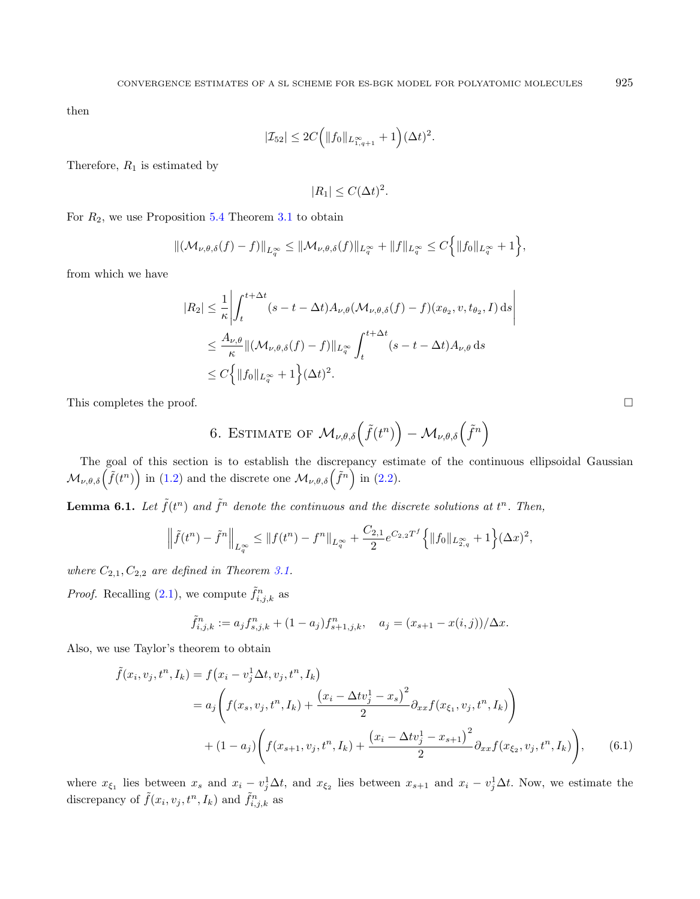then

$$
|\mathcal{I}_{52}| \le 2C \Big( \|f_0\|_{L^{\infty}_{1,q+1}} + 1 \Big) (\Delta t)^2.
$$

Therefore,  $R_1$  is estimated by

<span id="page-32-1"></span>
$$
|R_1| \le C(\Delta t)^2.
$$

For  $R_2$ , we use Proposition [5.4](#page-28-3) Theorem [3.1](#page-11-1) to obtain

$$
\|(\mathcal{M}_{\nu,\theta,\delta}(f)-f)\|_{L_q^{\infty}} \leq \|\mathcal{M}_{\nu,\theta,\delta}(f)\|_{L_q^{\infty}} + \|f\|_{L_q^{\infty}} \leq C\Big\{\|f_0\|_{L_q^{\infty}} + 1\Big\},\,
$$

from which we have

$$
|R_2| \leq \frac{1}{\kappa} \left| \int_t^{t + \Delta t} (s - t - \Delta t) A_{\nu, \theta} (\mathcal{M}_{\nu, \theta, \delta}(f) - f) (x_{\theta_2}, v, t_{\theta_2}, I) ds \right|
$$
  

$$
\leq \frac{A_{\nu, \theta}}{\kappa} \| (\mathcal{M}_{\nu, \theta, \delta}(f) - f) \|_{L_q^{\infty}} \int_t^{t + \Delta t} (s - t - \Delta t) A_{\nu, \theta} ds
$$
  

$$
\leq C \left\{ \| f_0 \|_{L_q^{\infty}} + 1 \right\} (\Delta t)^2.
$$

<span id="page-32-0"></span>This completes the proof.  $\Box$ 

6. ESTIMATE OF 
$$
\mathcal{M}_{\nu,\theta,\delta}\left(\tilde{f}(t^n)\right) - \mathcal{M}_{\nu,\theta,\delta}\left(\tilde{f}^n\right)
$$

The goal of this section is to establish the discrepancy estimate of the continuous ellipsoidal Gaussian  $\mathcal{M}_{\nu,\theta,\delta}(\tilde{f}(t^n))$  in [\(1.2\)](#page-1-1) and the discrete one  $\mathcal{M}_{\nu,\theta,\delta}(\tilde{f}^n)$  in [\(2.2\)](#page-5-2).

**Lemma 6.1.** Let  $\tilde{f}(t^n)$  and  $\tilde{f}^n$  denote the continuous and the discrete solutions at  $t^n$ . Then,

$$
\left\|\tilde{f}(t^n) - \tilde{f}^n\right\|_{L_q^{\infty}} \le \|f(t^n) - f^n\|_{L_q^{\infty}} + \frac{C_{2,1}}{2}e^{C_{2,2}T^f}\left\{\|f_0\|_{L_{2,q}^{\infty}} + 1\right\}(\Delta x)^2,
$$

where  $C_{2,1}, C_{2,2}$  are defined in Theorem [3.1.](#page-11-1)

*Proof.* Recalling [\(2.1\)](#page-5-0), we compute  $\tilde{f}_{i,j,k}^n$  as

$$
\tilde{f}_{i,j,k}^n := a_j f_{s,j,k}^n + (1 - a_j) f_{s+1,j,k}^n, \quad a_j = (x_{s+1} - x(i,j)) / \Delta x.
$$

Also, we use Taylor's theorem to obtain

$$
\tilde{f}(x_i, v_j, t^n, I_k) = f(x_i - v_j^1 \Delta t, v_j, t^n, I_k)
$$
\n
$$
= a_j \left( f(x_s, v_j, t^n, I_k) + \frac{(x_i - \Delta t v_j^1 - x_s)^2}{2} \partial_{xx} f(x_{\xi_1}, v_j, t^n, I_k) \right)
$$
\n
$$
+ (1 - a_j) \left( f(x_{s+1}, v_j, t^n, I_k) + \frac{(x_i - \Delta t v_j^1 - x_{s+1})^2}{2} \partial_{xx} f(x_{\xi_2}, v_j, t^n, I_k) \right), \tag{6.1}
$$

where  $x_{\xi_1}$  lies between  $x_s$  and  $x_i - v_j^1 \Delta t$ , and  $x_{\xi_2}$  lies between  $x_{s+1}$  and  $x_i - v_j^1 \Delta t$ . Now, we estimate the discrepancy of  $\tilde{f}(x_i, v_j, t^n, I_k)$  and  $\tilde{f}_{i,j,k}^n$  as

<span id="page-32-2"></span>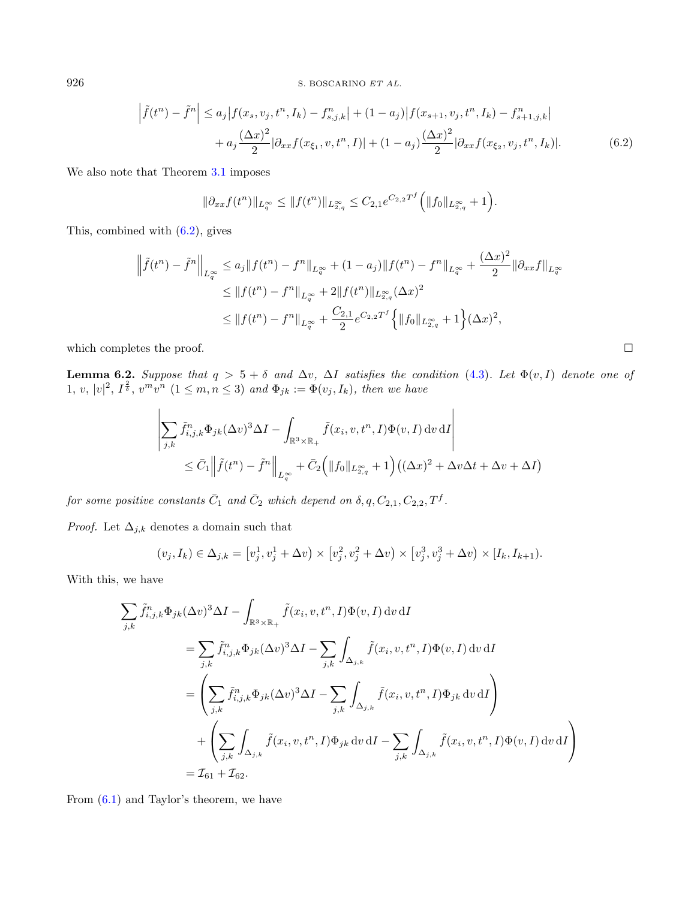$$
\left| \tilde{f}(t^n) - \tilde{f}^n \right| \le a_j |f(x_s, v_j, t^n, I_k) - f^n_{s,j,k}| + (1 - a_j)|f(x_{s+1}, v_j, t^n, I_k) - f^n_{s+1,j,k}| + a_j \frac{(\Delta x)^2}{2} |\partial_{xx} f(x_{\xi_1}, v, t^n, I)| + (1 - a_j) \frac{(\Delta x)^2}{2} |\partial_{xx} f(x_{\xi_2}, v_j, t^n, I_k)|.
$$
(6.2)

We also note that Theorem [3.1](#page-11-1) imposes

<span id="page-33-0"></span>
$$
\|\partial_{xx} f(t^n)\|_{L_q^{\infty}} \le \|f(t^n)\|_{L_{2,q}^{\infty}} \le C_{2,1} e^{C_{2,2}T^f} \Big( \|f_0\|_{L_{2,q}^{\infty}} + 1 \Big).
$$

This, combined with [\(6.2\)](#page-33-0), gives

$$
\left\|\tilde{f}(t^n) - \tilde{f}^n\right\|_{L_q^{\infty}} \le a_j \|f(t^n) - f^n\|_{L_q^{\infty}} + (1 - a_j) \|f(t^n) - f^n\|_{L_q^{\infty}} + \frac{(\Delta x)^2}{2} \|\partial_{xx} f\|_{L_q^{\infty}} \le \|f(t^n) - f^n\|_{L_q^{\infty}} + 2 \|f(t^n)\|_{L_{2,q}^{\infty}} (\Delta x)^2 \le \|f(t^n) - f^n\|_{L_q^{\infty}} + \frac{C_{2,1}}{2} e^{C_{2,2}T^f} \left\{\|f_0\|_{L_{2,q}^{\infty}} + 1\right\} (\Delta x)^2,
$$

which completes the proof.  $\Box$ 

<span id="page-33-1"></span>**Lemma 6.2.** Suppose that  $q > 5 + \delta$  and  $\Delta v$ ,  $\Delta I$  satisfies the condition [\(4.3\)](#page-14-1). Let  $\Phi(v, I)$  denote one of  $1, v, |v|^2, I^{\frac{2}{\delta}}, v^m v^n \ (1 \leq m, n \leq 3) \ and \ \Phi_{jk} := \Phi(v_j, I_k), \ then \ we \ have$ 

$$
\left| \sum_{j,k} \tilde{f}_{i,j,k}^n \Phi_{jk} (\Delta v)^3 \Delta I - \int_{\mathbb{R}^3 \times \mathbb{R}_+} \tilde{f}(x_i, v, t^n, I) \Phi(v, I) dv dI \right|
$$
  

$$
\leq \bar{C}_1 \left\| \tilde{f}(t^n) - \tilde{f}^n \right\|_{L_q^\infty} + \bar{C}_2 \Big( \|f_0\|_{L_{2,q}^\infty} + 1 \Big) \big( (\Delta x)^2 + \Delta v \Delta t + \Delta v + \Delta I \big)
$$

for some positive constants  $\bar{C}_1$  and  $\bar{C}_2$  which depend on  $\delta, q, C_{2,1}, C_{2,2}, T^f$ .

*Proof.* Let  $\Delta_{j,k}$  denotes a domain such that

$$
(v_j, I_k) \in \Delta_{j,k} = [v_j^1, v_j^1 + \Delta v) \times [v_j^2, v_j^2 + \Delta v) \times [v_j^3, v_j^3 + \Delta v) \times [I_k, I_{k+1}).
$$

With this, we have

$$
\sum_{j,k} \tilde{f}_{i,j,k}^{n} \Phi_{jk} (\Delta v)^{3} \Delta I - \int_{\mathbb{R}^{3} \times \mathbb{R}_{+}} \tilde{f}(x_{i}, v, t^{n}, I) \Phi(v, I) dv dI
$$
\n
$$
= \sum_{j,k} \tilde{f}_{i,j,k}^{n} \Phi_{jk} (\Delta v)^{3} \Delta I - \sum_{j,k} \int_{\Delta_{j,k}} \tilde{f}(x_{i}, v, t^{n}, I) \Phi(v, I) dv dI
$$
\n
$$
= \left( \sum_{j,k} \tilde{f}_{i,j,k}^{n} \Phi_{jk} (\Delta v)^{3} \Delta I - \sum_{j,k} \int_{\Delta_{j,k}} \tilde{f}(x_{i}, v, t^{n}, I) \Phi_{jk} dv dI \right)
$$
\n
$$
+ \left( \sum_{j,k} \int_{\Delta_{j,k}} \tilde{f}(x_{i}, v, t^{n}, I) \Phi_{jk} dv dI - \sum_{j,k} \int_{\Delta_{j,k}} \tilde{f}(x_{i}, v, t^{n}, I) \Phi(v, I) dv dI \right)
$$
\n
$$
= \mathcal{I}_{61} + \mathcal{I}_{62}.
$$

From [\(6.1\)](#page-32-2) and Taylor's theorem, we have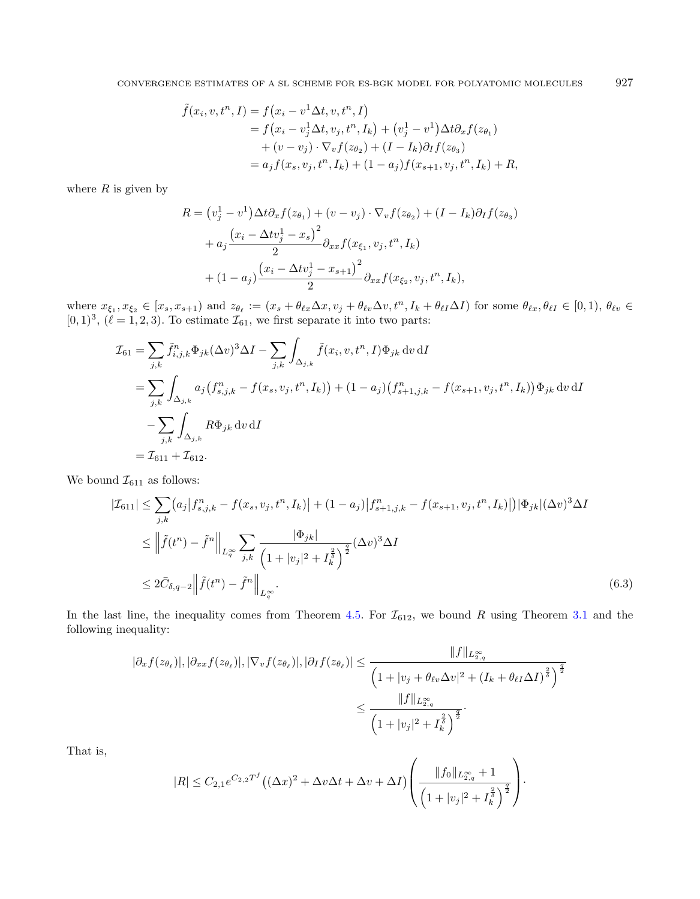$$
\tilde{f}(x_i, v, t^n, I) = f(x_i - v^1 \Delta t, v, t^n, I) \n= f(x_i - v_j^1 \Delta t, v_j, t^n, I_k) + (v_j^1 - v^1) \Delta t \partial_x f(z_{\theta_1}) \n+ (v - v_j) \cdot \nabla_v f(z_{\theta_2}) + (I - I_k) \partial_I f(z_{\theta_3}) \n= a_j f(x_s, v_j, t^n, I_k) + (1 - a_j) f(x_{s+1}, v_j, t^n, I_k) + R,
$$

where  $R$  is given by

<span id="page-34-0"></span>
$$
R = (v_j^1 - v^1) \Delta t \partial_x f(z_{\theta_1}) + (v - v_j) \cdot \nabla_v f(z_{\theta_2}) + (I - I_k) \partial_I f(z_{\theta_3})
$$
  
+  $a_j \frac{(x_i - \Delta t v_j^1 - x_s)^2}{2} \partial_{xx} f(x_{\xi_1}, v_j, t^n, I_k)$   
+  $(1 - a_j) \frac{(x_i - \Delta t v_j^1 - x_{s+1})^2}{2} \partial_{xx} f(x_{\xi_2}, v_j, t^n, I_k),$ 

where  $x_{\xi_1}, x_{\xi_2} \in [x_s, x_{s+1})$  and  $z_{\theta_\ell} := (x_s + \theta_{\ell x} \Delta x, v_j + \theta_{\ell y} \Delta v, t^n, I_k + \theta_{\ell I} \Delta I)$  for some  $\theta_{\ell x}, \theta_{\ell I} \in [0, 1), \theta_{\ell v} \in$  $[0, 1)^3$ ,  $(\ell = 1, 2, 3)$ . To estimate  $\mathcal{I}_{61}$ , we first separate it into two parts:

$$
\mathcal{I}_{61} = \sum_{j,k} \tilde{f}_{i,j,k}^n \Phi_{jk} (\Delta v)^3 \Delta I - \sum_{j,k} \int_{\Delta_{j,k}} \tilde{f}(x_i, v, t^n, I) \Phi_{jk} \, dv \, dI
$$
\n
$$
= \sum_{j,k} \int_{\Delta_{j,k}} a_j (f_{s,j,k}^n - f(x_s, v_j, t^n, I_k)) + (1 - a_j) (f_{s+1,j,k}^n - f(x_{s+1}, v_j, t^n, I_k)) \Phi_{jk} \, dv \, dI
$$
\n
$$
- \sum_{j,k} \int_{\Delta_{j,k}} R \Phi_{jk} \, dv \, dI
$$
\n
$$
= \mathcal{I}_{611} + \mathcal{I}_{612}.
$$

We bound  $\mathcal{I}_{611}$  as follows:

$$
|\mathcal{I}_{611}| \leq \sum_{j,k} (a_j | f_{s,j,k}^n - f(x_s, v_j, t^n, I_k)| + (1 - a_j) |f_{s+1,j,k}^n - f(x_{s+1}, v_j, t^n, I_k)|) |\Phi_{jk}| (\Delta v)^3 \Delta I
$$
  
\n
$$
\leq \left\| \tilde{f}(t^n) - \tilde{f}^n \right\|_{L_q^{\infty}} \sum_{j,k} \frac{|\Phi_{jk}|}{\left(1 + |v_j|^2 + I_k^{\frac{2}{\delta}}\right)^{\frac{q}{2}}} (\Delta v)^3 \Delta I
$$
  
\n
$$
\leq 2 \bar{C}_{\delta, q-2} \left\| \tilde{f}(t^n) - \tilde{f}^n \right\|_{L_q^{\infty}}.
$$
\n(6.3)

In the last line, the inequality comes from Theorem [4.5.](#page-13-0) For  $\mathcal{I}_{612}$ , we bound R using Theorem [3.1](#page-11-1) and the following inequality:

$$
|\partial_x f(z_{\theta_\ell})|, |\partial_{xx} f(z_{\theta_\ell})|, |\nabla_v f(z_{\theta_\ell})|, |\partial_I f(z_{\theta_\ell})| \le \frac{\|f\|_{L_{2,q}^\infty}}{\left(1 + |v_j + \theta_{\ell v} \Delta v|^2 + (I_k + \theta_{\ell I} \Delta I)^{\frac{2}{\delta}}\right)^{\frac{q}{2}}} \le \frac{\|f\|_{L_{2,q}^\infty}}{\left(1 + |v_j|^2 + I_k^{\frac{2}{\delta}}\right)^{\frac{q}{2}}}.
$$

That is,

$$
|R| \leq C_{2,1} e^{C_{2,2}T^f} \left( (\Delta x)^2 + \Delta v \Delta t + \Delta v + \Delta I \right) \left( \frac{\|f_0\|_{L^{\infty}_{2,q}} + 1}{\left(1 + |v_j|^2 + I_k^{\frac{2}{\delta}}\right)^{\frac{q}{2}}} \right).
$$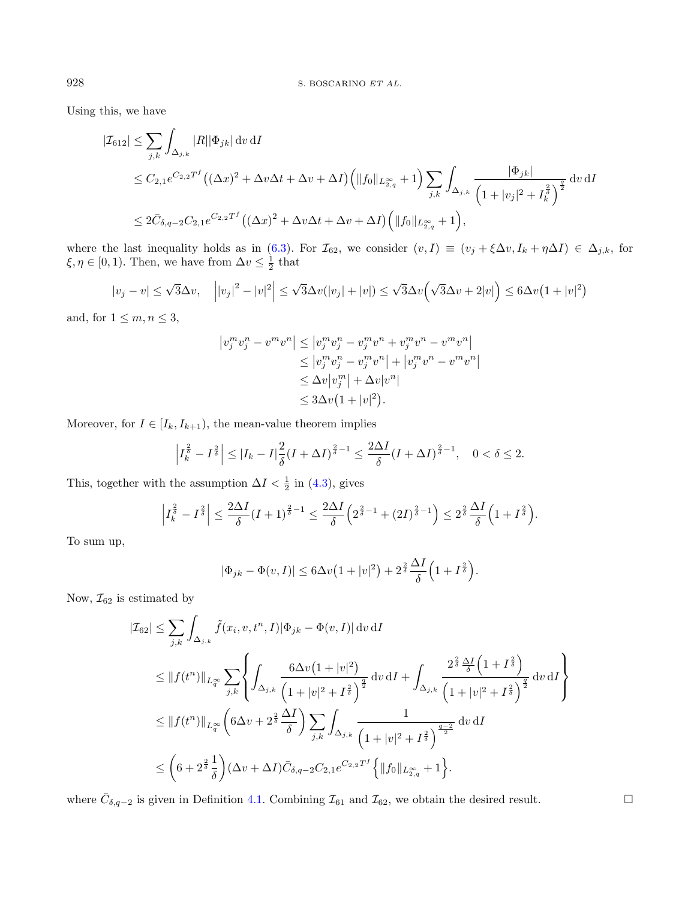Using this, we have

$$
\begin{split} |\mathcal{I}_{612}| &\leq \sum_{j,k} \int_{\Delta_{j,k}} |R| |\Phi_{jk}| \, \mathrm{d}v \, \mathrm{d}I \\ &\leq C_{2,1} e^{C_{2,2}T^f} \big( (\Delta x)^2 + \Delta v \Delta t + \Delta v + \Delta I \big) \Big( \|f_0\|_{L^{\infty}_{2,q}} + 1 \Big) \sum_{j,k} \int_{\Delta_{j,k}} \frac{|\Phi_{jk}|}{\left( 1 + |v_j|^2 + I_k^{\frac{2}{\delta}} \right)^{\frac{q}{2}}} \, \mathrm{d}v \, \mathrm{d}I \\ &\leq 2 \bar{C}_{\delta,q-2} C_{2,1} e^{C_{2,2}T^f} \big( (\Delta x)^2 + \Delta v \Delta t + \Delta v + \Delta I \big) \Big( \|f_0\|_{L^{\infty}_{2,q}} + 1 \Big), \end{split}
$$

where the last inequality holds as in [\(6.3\)](#page-34-0). For  $\mathcal{I}_{62}$ , we consider  $(v, I) \equiv (v_j + \xi \Delta v, I_k + \eta \Delta I) \in \Delta_{j,k}$ , for  $\xi, \eta \in [0, 1)$ . Then, we have from  $\Delta v \leq \frac{1}{2}$  that

$$
|v_j - v| \le \sqrt{3}\Delta v, \quad \left| |v_j|^2 - |v|^2 \right| \le \sqrt{3}\Delta v(|v_j| + |v|) \le \sqrt{3}\Delta v \left( \sqrt{3}\Delta v + 2|v| \right) \le 6\Delta v \left( 1 + |v|^2 \right)
$$

and, for  $1 \leq m, n \leq 3$ ,

$$
\begin{aligned} \left| v_j^m v_j^n - v^m v^n \right| &\leq \left| v_j^m v_j^n - v_j^m v^n + v_j^m v^n - v^m v^n \right| \\ &\leq \left| v_j^m v_j^n - v_j^m v^n \right| + \left| v_j^m v^n - v^m v^n \right| \\ &\leq \Delta v \left| v_j^m \right| + \Delta v \left| v^n \right| \\ &\leq 3\Delta v \left( 1 + \left| v \right|^2 \right). \end{aligned}
$$

Moreover, for  $I \in [I_k, I_{k+1})$ , the mean-value theorem implies

$$
\left|I_{k}^{\frac{2}{\delta}} - I^{\frac{2}{\delta}}\right| \leq |I_{k} - I| \frac{2}{\delta} (I + \Delta I)^{\frac{2}{\delta} - 1} \leq \frac{2\Delta I}{\delta} (I + \Delta I)^{\frac{2}{\delta} - 1}, \quad 0 < \delta \leq 2.
$$

This, together with the assumption  $\Delta I < \frac{1}{2}$  in [\(4.3\)](#page-14-1), gives

$$
\left|I_{k}^{\frac{2}{\delta}}-I^{\frac{2}{\delta}}\right| \leq \frac{2\Delta I}{\delta}(I+1)^{\frac{2}{\delta}-1} \leq \frac{2\Delta I}{\delta}\left(2^{\frac{2}{\delta}-1}+(2I)^{\frac{2}{\delta}-1}\right) \leq 2^{\frac{2}{\delta}}\frac{\Delta I}{\delta}\left(1+I^{\frac{2}{\delta}}\right).
$$

To sum up,

$$
|\Phi_{jk} - \Phi(v, I)| \leq 6\Delta v \left(1 + |v|^2\right) + 2^{\frac{2}{\delta}} \frac{\Delta I}{\delta} \left(1 + I^{\frac{2}{\delta}}\right).
$$

Now,  $\mathcal{I}_{62}$  is estimated by

$$
\begin{split} |\mathcal{I}_{62}| &\leq \sum_{j,k} \int_{\Delta_{j,k}} \tilde{f}(x_i, v, t^n, I) |\Phi_{jk} - \Phi(v, I)| \, \mathrm{d}v \, \mathrm{d}I \\ &\leq \|f(t^n)\|_{L^\infty_q} \sum_{j,k} \left\{ \int_{\Delta_{j,k}} \frac{6\Delta v \big(1+|v|^2\big)}{\big(1+|v|^2+I^{\frac{2}{\delta}}\big)^{\frac{q}{2}}} \, \mathrm{d}v \, \mathrm{d}I + \int_{\Delta_{j,k}} \frac{2^{\frac{2}{\delta}} \frac{\Delta I}{\delta} \big(1+I^{\frac{2}{\delta}}\big)}{\big(1+|v|^2+I^{\frac{2}{\delta}}\big)^{\frac{q}{2}}} \, \mathrm{d}v \, \mathrm{d}I \right\} \\ &\leq \|f(t^n)\|_{L^\infty_q} \left(6\Delta v + 2^{\frac{2}{\delta}} \frac{\Delta I}{\delta}\right) \sum_{j,k} \int_{\Delta_{j,k}} \frac{1}{\big(1+|v|^2+I^{\frac{2}{\delta}}\big)^{\frac{q-2}{2}}} \, \mathrm{d}v \, \mathrm{d}I \\ &\leq \bigg(6+2^{\frac{2}{\delta}} \frac{1}{\delta}\bigg) (\Delta v + \Delta I) \bar{C}_{\delta,q-2} C_{2,1} e^{C_{2,2}T^f} \Big\{ \|f_0\|_{L^\infty_{2,q}} + 1 \Big\}. \end{split}
$$

where  $\bar{C}_{\delta,q-2}$  is given in Definition [4.1.](#page-12-2) Combining  $\mathcal{I}_{61}$  and  $\mathcal{I}_{62}$ , we obtain the desired result.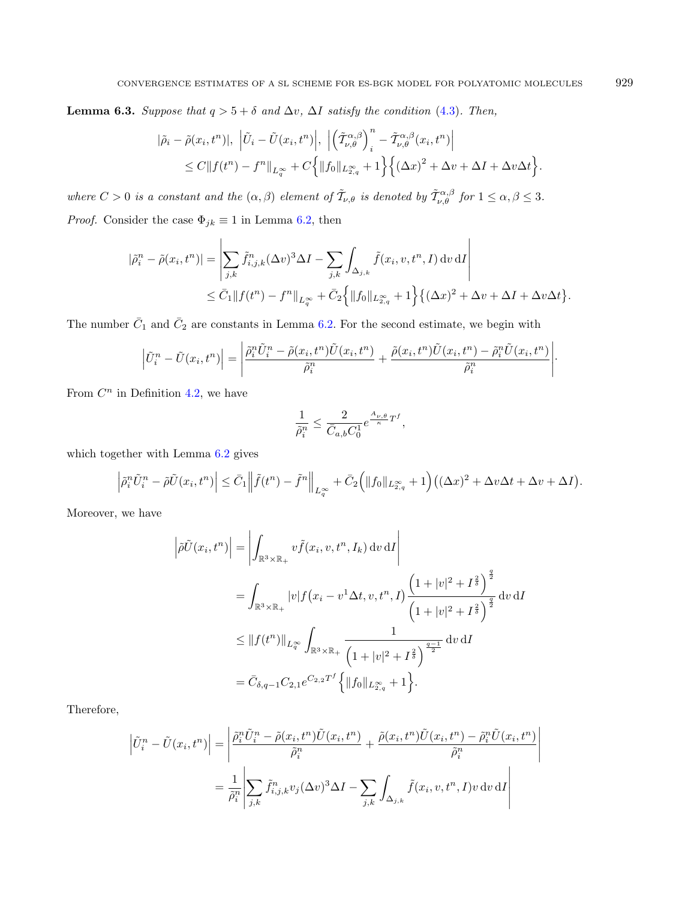<span id="page-36-0"></span>Lemma 6.3. Suppose that  $q > 5 + \delta$  and  $\Delta v$ ,  $\Delta I$  satisfy the condition [\(4.3\)](#page-14-1). Then,

$$
\begin{split} |\tilde{\rho}_{i} - \tilde{\rho}(x_{i}, t^{n})|, \ \left| \tilde{U}_{i} - \tilde{U}(x_{i}, t^{n}) \right|, \ \left| \left( \tilde{\mathcal{T}}_{\nu, \theta}^{\alpha, \beta} \right)_{i}^{n} - \tilde{\mathcal{T}}_{\nu, \theta}^{\alpha, \beta}(x_{i}, t^{n}) \right| \\ \leq C \| f(t^{n}) - f^{n} \|_{L^{\infty}_{q}} + C \Big\{ \| f_{0} \|_{L^{\infty}_{2,q}} + 1 \Big\} \Big\{ \big(\Delta x \big)^{2} + \Delta v + \Delta I + \Delta v \Delta t \Big\}. \end{split}
$$

where  $C > 0$  is a constant and the  $(\alpha, \beta)$  element of  $\tilde{T}_{\nu,\theta}$  is denoted by  $\tilde{T}_{\nu,\theta}^{\alpha,\beta}$  for  $1 \leq \alpha, \beta \leq 3$ .

*Proof.* Consider the case  $\Phi_{jk} \equiv 1$  in Lemma [6.2,](#page-33-1) then

$$
\begin{split} |\tilde{\rho}_i^n - \tilde{\rho}(x_i, t^n)| &= \left| \sum_{j,k} \tilde{f}_{i,j,k}^n (\Delta v)^3 \Delta I - \sum_{j,k} \int_{\Delta_{j,k}} \tilde{f}(x_i, v, t^n, I) \, \mathrm{d}v \, \mathrm{d}I \right| \\ &\leq \bar{C}_1 \|f(t^n) - f^n\|_{L^\infty_q} + \bar{C}_2 \Big\{ \|f_0\|_{L^\infty_{2,q}} + 1 \Big\} \big\{ (\Delta x)^2 + \Delta v + \Delta I + \Delta v \Delta t \big\}. \end{split}
$$

The number  $\bar{C}_1$  and  $\bar{C}_2$  are constants in Lemma [6.2.](#page-33-1) For the second estimate, we begin with

$$
\left|\tilde{U}_i^n - \tilde{U}(x_i, t^n)\right| = \left|\frac{\tilde{\rho}_i^n \tilde{U}_i^n - \tilde{\rho}(x_i, t^n)\tilde{U}(x_i, t^n)}{\tilde{\rho}_i^n} + \frac{\tilde{\rho}(x_i, t^n)\tilde{U}(x_i, t^n) - \tilde{\rho}_i^n \tilde{U}(x_i, t^n)}{\tilde{\rho}_i^n}\right|.
$$

From  $C^n$  in Definition [4.2,](#page-13-1) we have

$$
\frac{1}{\tilde{\rho}^n_i} \leq \frac{2}{\bar{C}_{a,b}C_0^1}e^{\frac{A_{\nu,\theta}}{\kappa}T^f},
$$

which together with Lemma [6.2](#page-33-1) gives

$$
\left|\tilde{\rho}_i^n \tilde{U}_i^n - \tilde{\rho}\tilde{U}(x_i, t^n)\right| \leq \bar{C}_1 \left\|\tilde{f}(t^n) - \tilde{f}^n\right\|_{L_q^{\infty}} + \bar{C}_2\Big(\|f_0\|_{L_{2,q}^{\infty}} + 1\Big)\big((\Delta x)^2 + \Delta v \Delta t + \Delta v + \Delta I\big).
$$

Moreover, we have

$$
\left| \tilde{\rho} \tilde{U}(x_i, t^n) \right| = \left| \int_{\mathbb{R}^3 \times \mathbb{R}_+} v \tilde{f}(x_i, v, t^n, I_k) \, dv \, dI \right|
$$
  
\n
$$
= \int_{\mathbb{R}^3 \times \mathbb{R}_+} |v| f(x_i - v^1 \Delta t, v, t^n, I) \frac{\left(1 + |v|^2 + I^{\frac{2}{\delta}}\right)^{\frac{q}{2}}}{\left(1 + |v|^2 + I^{\frac{2}{\delta}}\right)^{\frac{q}{2}}} dv \, dI
$$
  
\n
$$
\leq \|f(t^n)\|_{L_q^{\infty}} \int_{\mathbb{R}^3 \times \mathbb{R}_+} \frac{1}{\left(1 + |v|^2 + I^{\frac{2}{\delta}}\right)^{\frac{q-1}{2}}} dv \, dI
$$
  
\n
$$
= \bar{C}_{\delta, q-1} C_{2,1} e^{C_{2,2}T^f} \left\{ \|f_0\|_{L_{2,q}^{\infty}} + 1 \right\}.
$$

Therefore,

$$
\left| \tilde{U}_i^n - \tilde{U}(x_i, t^n) \right| = \left| \frac{\tilde{\rho}_i^n \tilde{U}_i^n - \tilde{\rho}(x_i, t^n) \tilde{U}(x_i, t^n)}{\tilde{\rho}_i^n} + \frac{\tilde{\rho}(x_i, t^n) \tilde{U}(x_i, t^n) - \tilde{\rho}_i^n \tilde{U}(x_i, t^n)}{\tilde{\rho}_i^n} \right|
$$
  

$$
= \frac{1}{\tilde{\rho}_i^n} \left| \sum_{j,k} \tilde{f}_{i,j,k}^n v_j (\Delta v)^3 \Delta I - \sum_{j,k} \int_{\Delta_{j,k}} \tilde{f}(x_i, v, t^n, I) v \, dv \, dI \right|
$$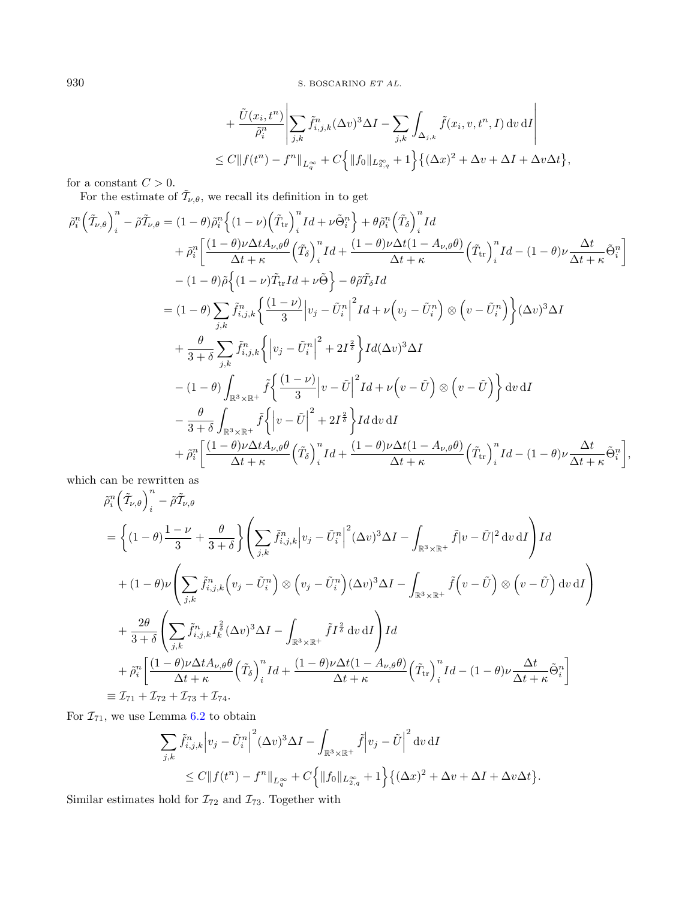$$
+\frac{\tilde{U}(x_i,t^n)}{\tilde{\rho}_i^n} \left| \sum_{j,k} \tilde{f}_{i,j,k}^n (\Delta v)^3 \Delta I - \sum_{j,k} \int_{\Delta_{j,k}} \tilde{f}(x_i,v,t^n,I) dv dI \right|
$$
  
\n
$$
\leq C \| f(t^n) - f^n \|_{L^\infty_t} + C \left\{ \| f_0 \|_{L^\infty_{2,q}} + 1 \right\} \left\{ (\Delta x)^2 + \Delta v + \Delta I + \Delta v \Delta t \right\},
$$

for a constant  ${\cal C}>0.$ 

For the estimate of  $\tilde{\mathcal{T}}_{\nu,\theta}$ , we recall its definition in to get

$$
\tilde{\rho}_{i}^{n} \left( \tilde{T}_{\nu,\theta} \right)_{i}^{n} - \tilde{\rho} \tilde{T}_{\nu,\theta} = (1 - \theta) \tilde{\rho}_{i}^{n} \left\{ (1 - \nu) \left( \tilde{T}_{tr} \right)_{i}^{n} Id + \nu \tilde{\Theta}_{i}^{n} \right\} + \theta \tilde{\rho}_{i}^{n} \left( \tilde{T}_{\delta} \right)_{i}^{n} Id \n+ \tilde{\rho}_{i}^{n} \left[ \frac{(1 - \theta) \nu \Delta t A_{\nu,\theta} \theta}{\Delta t + \kappa} \left( \tilde{T}_{\delta} \right)_{i}^{n} Id + \frac{(1 - \theta) \nu \Delta t (1 - A_{\nu,\theta} \theta)}{\Delta t + \kappa} \left( \tilde{T}_{tr} \right)_{i}^{n} Id - (1 - \theta) \nu \frac{\Delta t}{\Delta t + \kappa} \tilde{\Theta}_{i}^{n} \right] \n- (1 - \theta) \tilde{\rho} \left\{ (1 - \nu) \tilde{T}_{tr} Id + \nu \tilde{\Theta} \right\} - \theta \tilde{\rho} \tilde{T}_{\delta} Id \n= (1 - \theta) \sum_{j,k} \tilde{f}_{i,j,k}^{n} \left\{ \frac{(1 - \nu)}{3} \left| v_{j} - \tilde{U}_{i}^{n} \right|^{2} Id + \nu \left( v_{j} - \tilde{U}_{i}^{n} \right) \otimes \left( v - \tilde{U}_{i}^{n} \right) \right\} (\Delta v)^{3} \Delta I \n+ \frac{\theta}{3 + \delta} \sum_{j,k} \tilde{f}_{i,j,k}^{n} \left\{ \left| v_{j} - \tilde{U}_{i}^{n} \right|^{2} + 2I^{\frac{2}{\delta}} \right\} Id(\Delta v)^{3} \Delta I \n- (1 - \theta) \int_{\mathbb{R}^{3} \times \mathbb{R}^{+}} \tilde{f} \left\{ \frac{(1 - \nu)}{3} \left| v - \tilde{U} \right|^{2} Id + \nu \left( v - \tilde{U} \right) \otimes \left( v - \tilde{U} \right) \right\} dv \, dI \n- \frac{\theta}{3 + \delta} \int_{\mathbb{R}^{3} \times \mathbb{R}^{+}} \tilde
$$

which can be rewritten as

$$
\tilde{\rho}_{i}^{n} \left( \tilde{T}_{\nu,\theta} \right)_{i}^{n} - \tilde{\rho} \tilde{T}_{\nu,\theta}
$$
\n
$$
= \left\{ (1 - \theta) \frac{1 - \nu}{3} + \frac{\theta}{3 + \delta} \right\} \left( \sum_{j,k} \tilde{f}_{i,j,k}^{n} \left| v_{j} - \tilde{U}_{i}^{n} \right|^{2} (\Delta v)^{3} \Delta I - \int_{\mathbb{R}^{3} \times \mathbb{R}^{+}} \tilde{f} \left| v - \tilde{U} \right|^{2} dv \, \mathrm{d}I \right) I d
$$
\n
$$
+ (1 - \theta) \nu \left( \sum_{j,k} \tilde{f}_{i,j,k}^{n} \left( v_{j} - \tilde{U}_{i}^{n} \right) \otimes \left( v_{j} - \tilde{U}_{i}^{n} \right) (\Delta v)^{3} \Delta I - \int_{\mathbb{R}^{3} \times \mathbb{R}^{+}} \tilde{f} \left( v - \tilde{U} \right) \otimes \left( v - \tilde{U} \right) \mathrm{d}v \, \mathrm{d}I \right)
$$
\n
$$
+ \frac{2\theta}{3 + \delta} \left( \sum_{j,k} \tilde{f}_{i,j,k}^{n} I_{k}^{\frac{2}{3}} (\Delta v)^{3} \Delta I - \int_{\mathbb{R}^{3} \times \mathbb{R}^{+}} \tilde{f} I^{\frac{2}{3}} dv \, \mathrm{d}I \right) I d
$$
\n
$$
+ \tilde{\rho}_{i}^{n} \left[ \frac{(1 - \theta) \nu \Delta t A_{\nu,\theta} \theta}{\Delta t + \kappa} \left( \tilde{T}_{\delta} \right)_{i}^{n} I d + \frac{(1 - \theta) \nu \Delta t (1 - A_{\nu,\theta} \theta)}{\Delta t + \kappa} \left( \tilde{T}_{i} \right)_{i}^{n} I d - (1 - \theta) \nu \frac{\Delta t}{\Delta t + \kappa} \tilde{\Theta}_{i}^{n} \right]
$$
\n
$$
\equiv \mathcal{I}_{71} + \mathcal{I}_{72} + \mathcal{I}_{73} + \mathcal{I}_{74}.
$$

For  $\mathcal{I}_{71}$ , we use Lemma [6.2](#page-33-1) to obtain

$$
\sum_{j,k} \tilde{f}_{i,j,k}^n \Big| v_j - \tilde{U}_i^n \Big|^2 (\Delta v)^3 \Delta I - \int_{\mathbb{R}^3 \times \mathbb{R}^+} \tilde{f} \Big| v_j - \tilde{U} \Big|^2 dv dI
$$
  
\n
$$
\leq C \| f(t^n) - f^n \|_{L_q^\infty} + C \Big\{ \| f_0 \|_{L_{2,q}^\infty} + 1 \Big\} \big\{ (\Delta x)^2 + \Delta v + \Delta I + \Delta v \Delta t \big\}.
$$

Similar estimates hold for  $\mathcal{I}_{72}$  and  $\mathcal{I}_{73}.$  Together with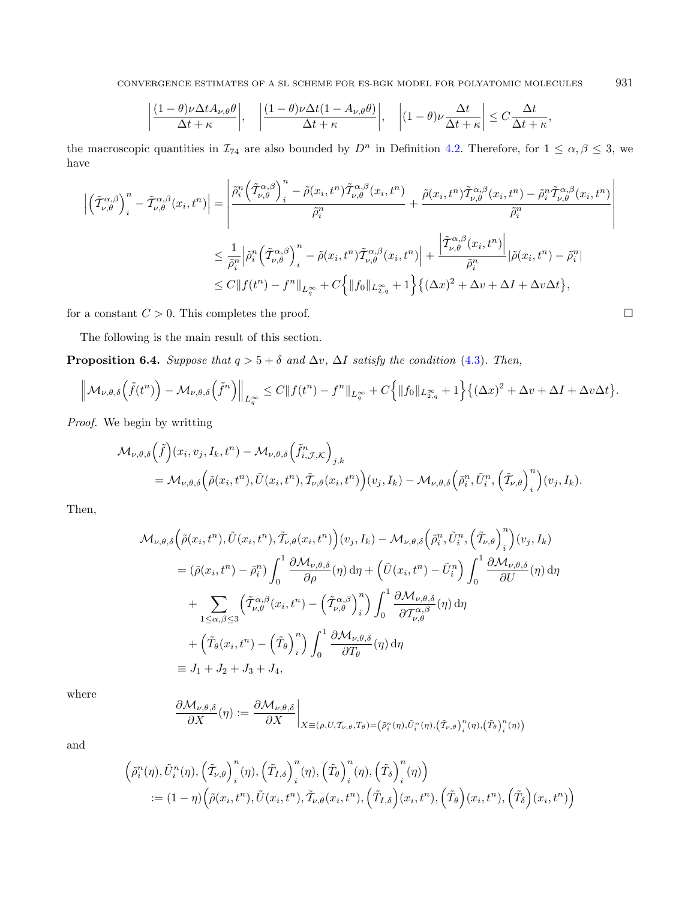CONVERGENCE ESTIMATES OF A SL SCHEME FOR ES-BGK MODEL FOR POLYATOMIC MOLECULES 931

<span id="page-38-0"></span>
$$
\left|\frac{(1-\theta)\nu\Delta t A_{\nu,\theta}\theta}{\Delta t+\kappa}\right|,\quad \left|\frac{(1-\theta)\nu\Delta t(1-A_{\nu,\theta}\theta)}{\Delta t+\kappa}\right|,\quad \left|(1-\theta)\nu\frac{\Delta t}{\Delta t+\kappa}\right|\leq C\frac{\Delta t}{\Delta t+\kappa},
$$

the macroscopic quantities in  $\mathcal{I}_{74}$  are also bounded by  $D^n$  in Definition [4.2.](#page-13-1) Therefore, for  $1 \leq \alpha, \beta \leq 3$ , we have

$$
\left| \left( \tilde{\mathcal{T}}^{\alpha,\beta}_{\nu,\theta} \right)^n_i - \tilde{\mathcal{T}}^{\alpha,\beta}_{\nu,\theta} (x_i, t^n) \right| = \left| \frac{\tilde{\rho}_i^n \left( \tilde{\mathcal{T}}^{\alpha,\beta}_{\nu,\theta} \right)^n_i - \tilde{\rho}(x_i, t^n) \tilde{\mathcal{T}}^{\alpha,\beta}_{\nu,\theta} (x_i, t^n)}{\tilde{\rho}_i^n} + \frac{\tilde{\rho}(x_i, t^n) \tilde{\mathcal{T}}^{\alpha,\beta}_{\nu,\theta} (x_i, t^n) - \tilde{\rho}_i^n \tilde{\mathcal{T}}^{\alpha,\beta}_{\nu,\theta} (x_i, t^n)}{\tilde{\rho}_i^n} \right|
$$
  

$$
\leq \frac{1}{\tilde{\rho}_i^n} \left| \tilde{\rho}_i^n \left( \tilde{\mathcal{T}}^{\alpha,\beta}_{\nu,\theta} \right)^n_i - \tilde{\rho}(x_i, t^n) \tilde{\mathcal{T}}^{\alpha,\beta}_{\nu,\theta} (x_i, t^n) \right| + \frac{\left| \tilde{\mathcal{T}}^{\alpha,\beta}_{\nu,\theta} (x_i, t^n) \right|}{\tilde{\rho}_i^n} \left| \tilde{\rho}(x_i, t^n) - \tilde{\rho}_i^n \right|
$$
  

$$
\leq C \| f(t^n) - f^n \|_{L^\infty_q} + C \left\{ \| f_0 \|_{L^\infty_{2,q}} + 1 \right\} \{ (\Delta x)^2 + \Delta v + \Delta I + \Delta v \Delta t \},
$$

for a constant  $C > 0$ . This completes the proof.

The following is the main result of this section.

**Proposition 6.4.** Suppose that  $q > 5 + \delta$  and  $\Delta v$ ,  $\Delta I$  satisfy the condition [\(4.3\)](#page-14-1). Then,

$$
\left\|\mathcal{M}_{\nu,\theta,\delta}\left(\tilde{f}(t^n)\right)-\mathcal{M}_{\nu,\theta,\delta}\left(\tilde{f}^n\right)\right\|_{L_q^{\infty}}\leq C\|f(t^n)-f^n\|_{L_q^{\infty}}+C\Big\{\|f_0\|_{L_{2,q}^{\infty}}+1\Big\}\big\{(\Delta x)^2+\Delta v+\Delta I+\Delta v\Delta t\big\}.
$$

Proof. We begin by writting

$$
\mathcal{M}_{\nu,\theta,\delta}(\tilde{f})(x_i, v_j, I_k, t^n) - \mathcal{M}_{\nu,\theta,\delta}(\tilde{f}_{i,\mathcal{J},\mathcal{K}}^n)_{j,k}
$$
  
=  $\mathcal{M}_{\nu,\theta,\delta}(\tilde{\rho}(x_i, t^n), \tilde{U}(x_i, t^n), \tilde{\mathcal{T}}_{\nu,\theta}(x_i, t^n)) (v_j, I_k) - \mathcal{M}_{\nu,\theta,\delta}(\tilde{\rho}_i^n, \tilde{U}_i^n, (\tilde{\mathcal{T}}_{\nu,\theta})_{i}^n) (v_j, I_k).$ 

Then,

$$
\mathcal{M}_{\nu,\theta,\delta}\Big(\tilde{\rho}(x_i,t^n),\tilde{U}(x_i,t^n),\tilde{\mathcal{T}}_{\nu,\theta}(x_i,t^n)\Big)(v_j,I_k) - \mathcal{M}_{\nu,\theta,\delta}\Big(\tilde{\rho}_i^n,\tilde{U}_i^n,\Big(\tilde{\mathcal{T}}_{\nu,\theta}\Big)_i^n\Big)(v_j,I_k) \n= (\tilde{\rho}(x_i,t^n) - \tilde{\rho}_i^n) \int_0^1 \frac{\partial \mathcal{M}_{\nu,\theta,\delta}}{\partial \rho}(\eta) d\eta + \Big(\tilde{U}(x_i,t^n) - \tilde{U}_i^n\Big) \int_0^1 \frac{\partial \mathcal{M}_{\nu,\theta,\delta}}{\partial U}(\eta) d\eta \n+ \sum_{1 \le \alpha,\beta \le 3} \Big(\tilde{\mathcal{T}}_{\nu,\theta}^{\alpha,\beta}(x_i,t^n) - \Big(\tilde{\mathcal{T}}_{\nu,\theta}^{\alpha,\beta}\Big)_i^n\Big) \int_0^1 \frac{\partial \mathcal{M}_{\nu,\theta,\delta}}{\partial \mathcal{T}_{\nu,\theta}^{\alpha,\beta}}(\eta) d\eta \n+ \Big(\tilde{T}_{\theta}(x_i,t^n) - \Big(\tilde{T}_{\theta}\Big)_i^n\Big) \int_0^1 \frac{\partial \mathcal{M}_{\nu,\theta,\delta}}{\partial T_{\theta}}(\eta) d\eta \n\equiv J_1 + J_2 + J_3 + J_4,
$$

where

$$
\frac{\partial \mathcal{M}_{\nu,\theta,\delta}}{\partial X}(\eta) := \frac{\partial \mathcal{M}_{\nu,\theta,\delta}}{\partial X}\bigg|_{X \equiv (\rho,U,T_{\nu,\theta},T_{\theta}) = (\tilde{\rho}_i^n(\eta),\tilde{U}_i^n(\eta),(\tilde{T}_{\nu,\theta})_i^n(\eta),(\tilde{T}_{\theta})_i^n(\eta))}
$$

and

$$
\begin{aligned}\n&\left(\tilde{\rho}_i^n(\eta), \tilde{U}_i^n(\eta), \left(\tilde{T}_{\nu,\theta}\right)_i^n(\eta), \left(\tilde{T}_{I,\delta}\right)_i^n(\eta), \left(\tilde{T}_{\theta}\right)_i^n(\eta), \left(\tilde{T}_{\delta}\right)_i^n(\eta)\right) \\
&:= (1 - \eta) \Big(\tilde{\rho}(x_i, t^n), \tilde{U}(x_i, t^n), \tilde{T}_{\nu,\theta}(x_i, t^n), \left(\tilde{T}_{I,\delta}\right)(x_i, t^n), \left(\tilde{T}_{\theta}\right)(x_i, t^n), \left(\tilde{T}_{\delta}\right)(x_i, t^n)\Big)\n\end{aligned}
$$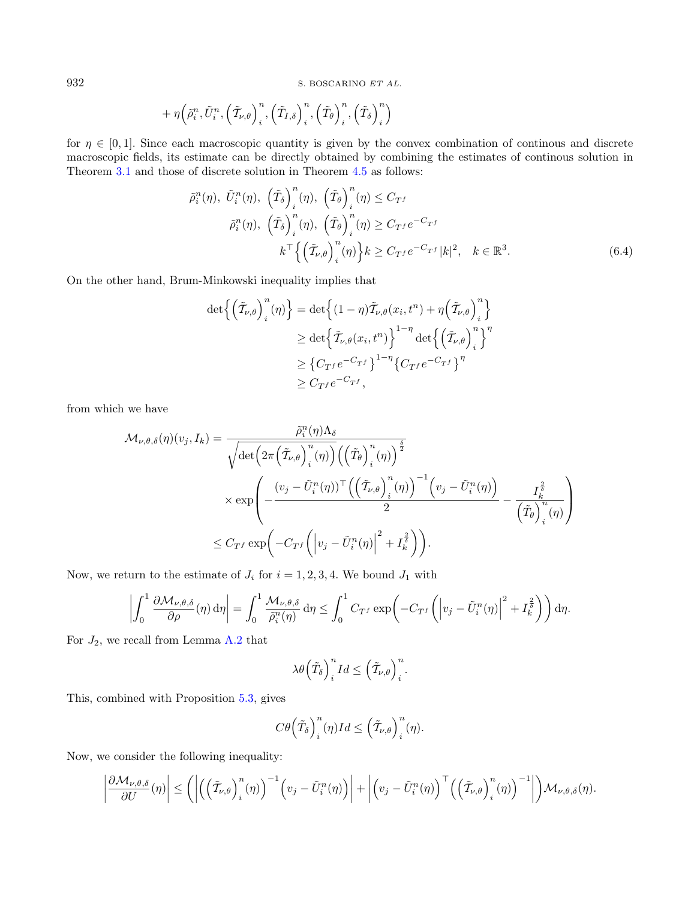$$
+\eta \left(\tilde{\rho}^n_i,\tilde{U}^n_i,\left(\tilde{T}_{\nu,\theta}\right)^n_i,\left(\tilde{T}_{I,\delta}\right)^n_i,\left(\tilde{T}_{\theta}\right)^n_i,\left(\tilde{T}_{\delta}\right)^n_i\right)
$$

for  $\eta \in [0, 1]$ . Since each macroscopic quantity is given by the convex combination of continous and discrete macroscopic fields, its estimate can be directly obtained by combining the estimates of continous solution in Theorem [3.1](#page-11-1) and those of discrete solution in Theorem [4.5](#page-13-0) as follows:

<span id="page-39-0"></span>
$$
\tilde{\rho}_i^n(\eta), \ \tilde{U}_i^n(\eta), \ \left(\tilde{T}_\delta\right)_i^n(\eta), \ \left(\tilde{T}_\theta\right)_i^n(\eta) \le C_{T^f}
$$
\n
$$
\tilde{\rho}_i^n(\eta), \ \left(\tilde{T}_\delta\right)_i^n(\eta), \ \left(\tilde{T}_\theta\right)_i^n(\eta) \ge C_{T^f} e^{-C_{T^f}}
$$
\n
$$
k^\top \left\{ \left(\tilde{T}_{\nu,\theta}\right)_i^n(\eta) \right\} k \ge C_{T^f} e^{-C_{T^f}} |k|^2, \ \ k \in \mathbb{R}^3. \tag{6.4}
$$

On the other hand, Brum-Minkowski inequality implies that

 $\overline{a}$ 

$$
\det \left\{ \left( \tilde{\mathcal{T}}_{\nu,\theta} \right)_i^n(\eta) \right\} = \det \left\{ (1-\eta) \tilde{\mathcal{T}}_{\nu,\theta}(x_i, t^n) + \eta \left( \tilde{\mathcal{T}}_{\nu,\theta} \right)_i^n \right\}
$$
  
\n
$$
\geq \det \left\{ \tilde{\mathcal{T}}_{\nu,\theta}(x_i, t^n) \right\}^{1-\eta} \det \left\{ \left( \tilde{\mathcal{T}}_{\nu,\theta} \right)_i^n \right\}^{\eta}
$$
  
\n
$$
\geq \left\{ C_{Tf} e^{-C_{Tf}} \right\}^{1-\eta} \left\{ C_{Tf} e^{-C_{Tf}} \right\}^{\eta}
$$
  
\n
$$
\geq C_{Tf} e^{-C_{Tf}},
$$

from which we have

$$
\mathcal{M}_{\nu,\theta,\delta}(\eta)(v_j,I_k) = \frac{\tilde{\rho}_i^n(\eta)\Lambda_{\delta}}{\sqrt{\det\left(2\pi\left(\tilde{\mathcal{I}}_{\nu,\theta}\right)_i^n(\eta)\right)\left(\left(\tilde{\mathcal{I}}_{\theta}\right)_i^n(\eta)\right)^{\frac{\delta}{2}}}} \times \exp\left(-\frac{(v_j-\tilde{U}_i^n(\eta))^\top\left(\left(\tilde{\mathcal{I}}_{\nu,\theta}\right)_i^n(\eta)\right)^{-1}\left(v_j-\tilde{U}_i^n(\eta)\right)}{2} - \frac{I_k^{\frac{2}{\delta}}}{\left(\tilde{\mathcal{I}}_{\theta}\right)_i^n(\eta)}\right) \leq C_{T^f} \exp\left(-C_{T^f}\left(\left|v_j-\tilde{U}_i^n(\eta)\right|^2+I_k^{\frac{2}{\delta}}\right)\right).
$$

Now, we return to the estimate of  $J_i$  for  $i = 1, 2, 3, 4$ . We bound  $J_1$  with

$$
\left| \int_0^1 \frac{\partial \mathcal{M}_{\nu,\theta,\delta}}{\partial \rho}(\eta) d\eta \right| = \int_0^1 \frac{\mathcal{M}_{\nu,\theta,\delta}}{\tilde{\rho}_i^n(\eta)} d\eta \le \int_0^1 C_{T^f} \exp\left( -C_{T^f} \left( \left| v_j - \tilde{U}_i^n(\eta) \right|^2 + I_k^{\frac{2}{\delta}} \right) \right) d\eta.
$$

For  $J_2$ , we recall from Lemma [A.2](#page-45-0) that

$$
\lambda \theta \left(\tilde{T}_{\delta}\right)^n_i Id \leq \left(\tilde{T}_{\nu,\theta}\right)^n_i.
$$

This, combined with Proposition [5.3,](#page-27-4) gives

$$
C\theta\left(\tilde{T}_{\delta}\right)^n_{i}(\eta)Id \leq \left(\tilde{T}_{\nu,\theta}\right)^n_{i}(\eta).
$$

Now, we consider the following inequality:

$$
\left|\frac{\partial \mathcal{M}_{\nu,\theta,\delta}}{\partial U}(\eta)\right| \leq \left(\left|\left(\left(\tilde{\mathcal{T}}_{\nu,\theta}\right)_i^n(\eta)\right)^{-1}\left(v_j-\tilde{U}_i^n(\eta)\right)\right|+\left|\left(v_j-\tilde{U}_i^n(\eta)\right)^{\top}\left(\left(\tilde{\mathcal{T}}_{\nu,\theta}\right)_i^n(\eta)\right)^{-1}\right|\right) \mathcal{M}_{\nu,\theta,\delta}(\eta).
$$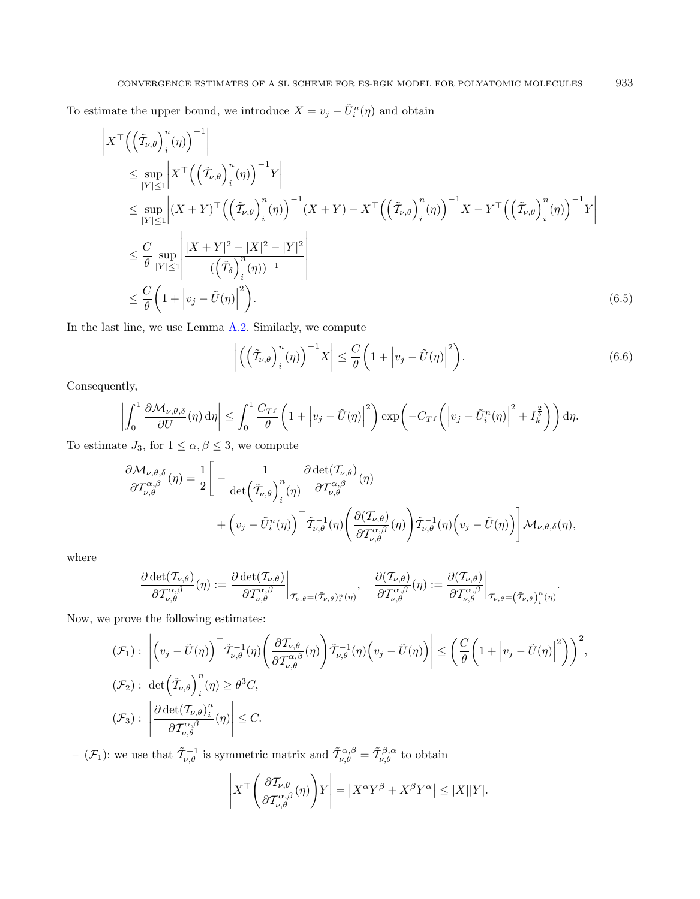To estimate the upper bound, we introduce  $X = v_j - \tilde{U}_i^n(\eta)$  and obtain

$$
\begin{split}\n&\left|X^{\top}\Big(\Big(\tilde{\mathcal{I}}_{\nu,\theta}\Big)^{n}_{i}(\eta)\Big)^{-1}\right| \\
&\leq \sup_{|Y|\leq 1}\left|X^{\top}\Big(\Big(\tilde{\mathcal{I}}_{\nu,\theta}\Big)^{n}_{i}(\eta)\Big)^{-1}Y\right| \\
&\leq \sup_{|Y|\leq 1}\left|(X+Y)^{\top}\Big(\Big(\tilde{\mathcal{I}}_{\nu,\theta}\Big)^{n}_{i}(\eta)\Big)^{-1}(X+Y)-X^{\top}\Big(\Big(\tilde{\mathcal{I}}_{\nu,\theta}\Big)^{n}_{i}(\eta)\Big)^{-1}X-Y^{\top}\Big(\Big(\tilde{\mathcal{I}}_{\nu,\theta}\Big)^{n}_{i}(\eta)\Big)^{-1}Y\right| \\
&\leq \frac{C}{\theta}\sup_{|Y|\leq 1}\left|\frac{|X+Y|^{2}-|X|^{2}-|Y|^{2}}{(\Big(\tilde{\mathcal{I}}_{\delta}\Big)^{n}_{i}(\eta))^{-1}}\right| \\
&\leq \frac{C}{\theta}\Big(1+\Big|v_{j}-\tilde{U}(\eta)\Big|^{2}\Big). \n\end{split} \tag{6.5}
$$

In the last line, we use Lemma [A.2.](#page-45-0) Similarly, we compute

<span id="page-40-1"></span><span id="page-40-0"></span>
$$
\left| \left( \left( \tilde{\mathcal{T}}_{\nu,\theta} \right)_i^n (\eta) \right)^{-1} X \right| \leq \frac{C}{\theta} \left( 1 + \left| v_j - \tilde{U}(\eta) \right|^2 \right). \tag{6.6}
$$

Consequently,

$$
\left| \int_0^1 \frac{\partial \mathcal{M}_{\nu,\theta,\delta}}{\partial U}(\eta) d\eta \right| \leq \int_0^1 \frac{C_{T^f}}{\theta} \left( 1 + \left| v_j - \tilde{U}(\eta) \right|^2 \right) \exp\left( -C_{T^f} \left( \left| v_j - \tilde{U}_i^n(\eta) \right|^2 + I_k^{\frac{2}{\delta}} \right) \right) d\eta.
$$

To estimate  $J_3$ , for  $1 \leq \alpha, \beta \leq 3$ , we compute

$$
\frac{\partial \mathcal{M}_{\nu,\theta,\delta}}{\partial \mathcal{T}_{\nu,\theta}^{\alpha,\beta}}(\eta) = \frac{1}{2} \Bigg[ -\frac{1}{\det \Big(\tilde{\mathcal{T}}_{\nu,\theta}\Big)^n_{i}(\eta)} \frac{\partial \det(\mathcal{T}_{\nu,\theta})}{\partial \mathcal{T}_{\nu,\theta}^{\alpha,\beta}}(\eta) + \Big(v_j - \tilde{U}_i^n(\eta)\Big)^{\top} \tilde{\mathcal{T}}_{\nu,\theta}^{-1}(\eta) \Big(\frac{\partial(\mathcal{T}_{\nu,\theta})}{\partial \mathcal{T}_{\nu,\theta}^{\alpha,\beta}}(\eta)\Big) \tilde{\mathcal{T}}_{\nu,\theta}^{-1}(\eta) \Big(v_j - \tilde{U}(\eta)\Big) \Bigg] \mathcal{M}_{\nu,\theta,\delta}(\eta),
$$

where

$$
\left.\frac{{\partial}\det(T_{\nu,\theta})}{{\partial} T_{\nu,\theta}^{\alpha,\beta}}(\eta):=\frac{{\partial}\det(T_{\nu,\theta})}{{\partial} T_{\nu,\theta}^{\alpha,\beta}}\right|_{T_{\nu,\theta}=(\tilde{T}_{\nu,\theta})_i^n(\eta)},\quad \frac{{\partial}(T_{\nu,\theta})}{{\partial} T_{\nu,\theta}^{\alpha,\beta}}(\eta):=\frac{{\partial}(T_{\nu,\theta})}{{\partial} T_{\nu,\theta}^{\alpha,\beta}}\right|_{T_{\nu,\theta}=(\tilde{T}_{\nu,\theta})_i^n(\eta)}.
$$

Now, we prove the following estimates:

$$
\begin{split}\n(\mathcal{F}_1): \quad & \left| \left( v_j - \tilde{U}(\eta) \right)^{\top} \tilde{T}_{\nu,\theta}^{-1}(\eta) \left( \frac{\partial \mathcal{T}_{\nu,\theta}}{\partial \mathcal{T}_{\nu,\theta}^{\alpha,\beta}}(\eta) \right) \tilde{T}_{\nu,\theta}^{-1}(\eta) \left( v_j - \tilde{U}(\eta) \right) \right| \leq \left( \frac{C}{\theta} \left( 1 + \left| v_j - \tilde{U}(\eta) \right|^2 \right) \right)^2, \\
(\mathcal{F}_2): \quad & \det \left( \tilde{\mathcal{T}}_{\nu,\theta} \right)_i^n(\eta) \geq \theta^3 C, \\
(\mathcal{F}_3): \quad & \left| \frac{\partial \det (\mathcal{T}_{\nu,\theta})_i^n}{\partial \mathcal{T}_{\nu,\theta}^{\alpha,\beta}}(\eta) \right| \leq C.\n\end{split}
$$

 $(\mathcal{F}_1)$ : we use that  $\tilde{\mathcal{T}}_{\nu,\theta}^{-1}$  is symmetric matrix and  $\tilde{\mathcal{T}}_{\nu,\theta}^{\alpha,\beta} = \tilde{\mathcal{T}}_{\nu,\theta}^{\beta,\alpha}$  to obtain

$$
\left| X^{\top} \left( \frac{\partial T_{\nu,\theta}}{\partial T_{\nu,\theta}^{\alpha,\beta}} (\eta) \right) Y \right| = \left| X^{\alpha} Y^{\beta} + X^{\beta} Y^{\alpha} \right| \leq |X| |Y|.
$$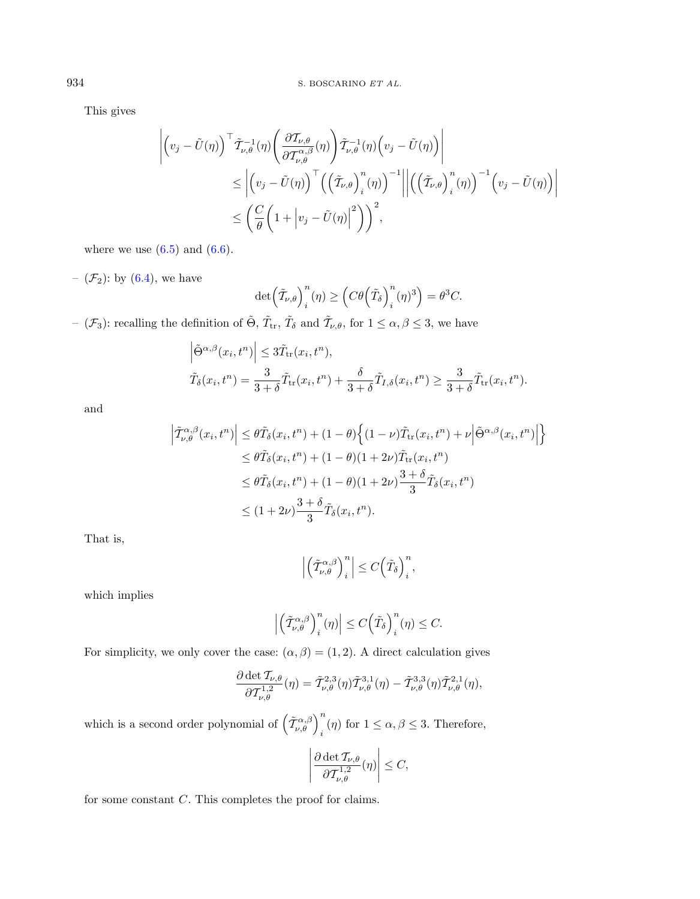This gives

$$
\left| \left( v_j - \tilde{U}(\eta) \right)^{\top} \tilde{T}_{\nu,\theta}^{-1}(\eta) \left( \frac{\partial \mathcal{T}_{\nu,\theta}}{\partial \mathcal{T}_{\nu,\theta}^{\alpha,\beta}}(\eta) \right) \tilde{T}_{\nu,\theta}^{-1}(\eta) \left( v_j - \tilde{U}(\eta) \right) \right|
$$
  
\$\leq\$ 
$$
\left| \left( v_j - \tilde{U}(\eta) \right)^{\top} \left( \left( \tilde{\mathcal{T}}_{\nu,\theta} \right)_i^n(\eta) \right)^{-1} \middle| \left| \left( \left( \tilde{\mathcal{T}}_{\nu,\theta} \right)_i^n(\eta) \right)^{-1} \left( v_j - \tilde{U}(\eta) \right) \right|
$$
  
\$\leq\$ 
$$
\left( \frac{C}{\theta} \left( 1 + \left| v_j - \tilde{U}(\eta) \right|^2 \right) \right)^2,
$$

where we use  $(6.5)$  and  $(6.6)$ .

–  $(\mathcal{F}_2)$ : by  $(6.4)$ , we have

$$
\det\left(\tilde{T}_{\nu,\theta}\right)_i^n(\eta) \ge \left(C\theta\left(\tilde{T}_{\delta}\right)_i^n(\eta)^3\right) = \theta^3 C.
$$

 $-$  ( $\mathcal{F}_3$ ): recalling the definition of  $\tilde{\Theta}$ ,  $\tilde{T}_{tr}$ ,  $\tilde{T}_{\delta}$  and  $\tilde{T}_{\nu,\theta}$ , for  $1 \leq \alpha, \beta \leq 3$ , we have

$$
\left| \tilde{\Theta}^{\alpha,\beta}(x_i, t^n) \right| \leq 3\tilde{T}_{\text{tr}}(x_i, t^n),
$$
  

$$
\tilde{T}_{\delta}(x_i, t^n) = \frac{3}{3+\delta} \tilde{T}_{\text{tr}}(x_i, t^n) + \frac{\delta}{3+\delta} \tilde{T}_{I,\delta}(x_i, t^n) \geq \frac{3}{3+\delta} \tilde{T}_{\text{tr}}(x_i, t^n).
$$

and

$$
\left| \tilde{\mathcal{I}}^{\alpha,\beta}_{\nu,\theta}(x_i, t^n) \right| \leq \theta \tilde{T}_{\delta}(x_i, t^n) + (1 - \theta) \left\{ (1 - \nu) \tilde{T}_{\text{tr}}(x_i, t^n) + \nu \Big| \tilde{\Theta}^{\alpha,\beta}(x_i, t^n) \Big| \right\}
$$
  
\n
$$
\leq \theta \tilde{T}_{\delta}(x_i, t^n) + (1 - \theta)(1 + 2\nu) \tilde{T}_{\text{tr}}(x_i, t^n)
$$
  
\n
$$
\leq \theta \tilde{T}_{\delta}(x_i, t^n) + (1 - \theta)(1 + 2\nu) \frac{3 + \delta}{3} \tilde{T}_{\delta}(x_i, t^n)
$$
  
\n
$$
\leq (1 + 2\nu) \frac{3 + \delta}{3} \tilde{T}_{\delta}(x_i, t^n).
$$

That is,

$$
\left| \left( \tilde{T}_{\nu,\theta}^{\alpha,\beta} \right)_i^n \right| \leq C \left( \tilde{T}_{\delta} \right)_i^n,
$$

which implies

$$
\left| \left( \tilde{T}_{\nu,\theta}^{\alpha,\beta} \right)_i^n (\eta) \right| \le C \left( \tilde{T}_{\delta} \right)_i^n (\eta) \le C.
$$

For simplicity, we only cover the case:  $(\alpha, \beta) = (1, 2)$ . A direct calculation gives

$$
\frac{\partial \det \mathcal{T}_{\nu,\theta}}{\partial \mathcal{T}_{\nu,\theta}^{1,2}}(\eta) = \tilde{\mathcal{T}}_{\nu,\theta}^{2,3}(\eta) \tilde{\mathcal{T}}_{\nu,\theta}^{3,1}(\eta) - \tilde{\mathcal{T}}_{\nu,\theta}^{3,3}(\eta) \tilde{\mathcal{T}}_{\nu,\theta}^{2,1}(\eta),
$$

which is a second order polynomial of  $(\tilde{\mathcal{T}}_{\nu,\theta}^{\alpha,\beta})_{i}^{n}(\eta)$  for  $1 \leq \alpha,\beta \leq 3$ . Therefore,

$$
\left| \frac{\partial \det T_{\nu,\theta}}{\partial T^{1,2}_{\nu,\theta}}(\eta) \right| \leq C,
$$

for some constant  $C$ . This completes the proof for claims.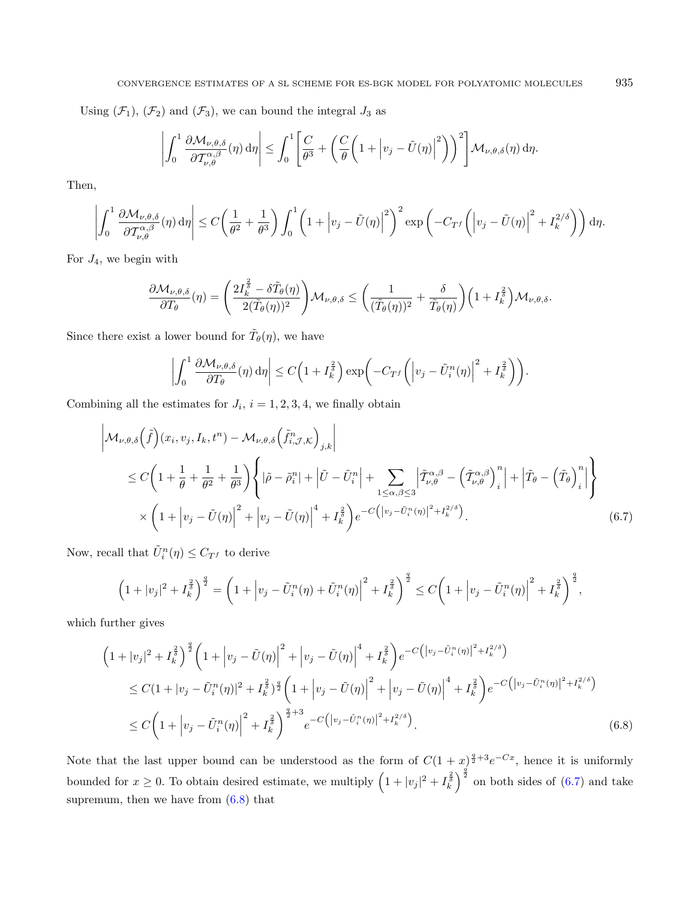Using  $(\mathcal{F}_1)$ ,  $(\mathcal{F}_2)$  and  $(\mathcal{F}_3)$ , we can bound the integral  $J_3$  as

$$
\left| \int_0^1 \frac{\partial \mathcal{M}_{\nu,\theta,\delta}}{\partial \mathcal{T}_{\nu,\theta}^{\alpha,\beta}}(\eta) d\eta \right| \leq \int_0^1 \left[ \frac{C}{\theta^3} + \left( \frac{C}{\theta} \left( 1 + \left| v_j - \tilde{U}(\eta) \right|^2 \right) \right)^2 \right] \mathcal{M}_{\nu,\theta,\delta}(\eta) d\eta.
$$

Then,

$$
\left| \int_0^1 \frac{\partial \mathcal{M}_{\nu,\theta,\delta}}{\partial \mathcal{T}^{\alpha,\beta}_{\nu,\theta}}(\eta) d\eta \right| \leq C \bigg( \frac{1}{\theta^2} + \frac{1}{\theta^3} \bigg) \int_0^1 \bigg( 1 + \Big| v_j - \tilde{U}(\eta) \Big|^2 \bigg)^2 \exp \bigg( -C_{T^f} \bigg( \Big| v_j - \tilde{U}(\eta) \Big|^2 + I_k^{2/\delta} \bigg) \bigg) d\eta.
$$

For  $J_4$ , we begin with

$$
\frac{\partial \mathcal{M}_{\nu,\theta,\delta}}{\partial T_{\theta}}(\eta) = \left(\frac{2I_{k}^{\frac{2}{\delta}} - \delta \tilde{T}_{\theta}(\eta)}{2(\tilde{T}_{\theta}(\eta))^{2}}\right) \mathcal{M}_{\nu,\theta,\delta} \leq \left(\frac{1}{(\tilde{T}_{\theta}(\eta))^{2}} + \frac{\delta}{\tilde{T}_{\theta}(\eta)}\right) \left(1 + I_{k}^{\frac{2}{\delta}}\right) \mathcal{M}_{\nu,\theta,\delta}.
$$

Since there exist a lower bound for  $\tilde{T}_{\theta}(\eta)$ , we have

$$
\left| \int_0^1 \frac{\partial \mathcal{M}_{\nu,\theta,\delta}}{\partial T_{\theta}}(\eta) d\eta \right| \le C \Big( 1 + I_k^{\frac{2}{\delta}} \Big) \exp \bigg( -C_{T} f \bigg( \Big| v_j - \tilde{U}_i^n(\eta) \Big|^2 + I_k^{\frac{2}{\delta}} \bigg) \bigg).
$$

Combining all the estimates for  $J_i$ ,  $i = 1, 2, 3, 4$ , we finally obtain

$$
\left| \mathcal{M}_{\nu,\theta,\delta}(\tilde{f})(x_i, v_j, I_k, t^n) - \mathcal{M}_{\nu,\theta,\delta}(\tilde{f}_{i,\mathcal{J},\mathcal{K}}^n)_{j,k} \right|
$$
\n
$$
\leq C \left( 1 + \frac{1}{\theta} + \frac{1}{\theta^2} + \frac{1}{\theta^3} \right) \left\{ |\tilde{\rho} - \tilde{\rho}_i^n| + |\tilde{U} - \tilde{U}_i^n| + \sum_{1 \leq \alpha, \beta \leq 3} \left| \tilde{\mathcal{I}}_{\nu,\theta}^{\alpha,\beta} - \left( \tilde{\mathcal{I}}_{\nu,\theta}^{\alpha,\beta} \right)_i^n \right| + \left| \tilde{T}_{\theta} - \left( \tilde{T}_{\theta} \right)_i^n \right| \right\}
$$
\n
$$
\times \left( 1 + \left| v_j - \tilde{U}(\eta) \right|^2 + \left| v_j - \tilde{U}(\eta) \right|^4 + I_k^{\frac{2}{\theta}} \right) e^{-C \left( \left| v_j - \tilde{U}_i^n(\eta) \right|^2 + I_k^{2/\delta} \right)}.
$$
\n(6.7)

Now, recall that  $\tilde{U}_i^n(\eta) \leq C_{Tf}$  to derive

$$
\left(1+|v_j|^2+I_k^{\frac{2}{\delta}}\right)^{\frac{q}{2}}=\left(1+\left|v_j-\tilde{U}_i^n(\eta)+\tilde{U}_i^n(\eta)\right|^2+I_k^{\frac{2}{\delta}}\right)^{\frac{q}{2}}\leq C\left(1+\left|v_j-\tilde{U}_i^n(\eta)\right|^2+I_k^{\frac{2}{\delta}}\right)^{\frac{q}{2}},
$$

which further gives

$$
\begin{split}\n&\left(1+|v_j|^2+I_k^{\frac{2}{\delta}}\right)^{\frac{q}{2}}\left(1+|v_j-\tilde{U}(\eta)|^2+|v_j-\tilde{U}(\eta)|^4+I_k^{\frac{2}{\delta}}\right)e^{-C\left(|v_j-\tilde{U}_i^n(\eta)|^2+I_k^{2/\delta}\right)} \\
&\leq C(1+|v_j-\tilde{U}_i^n(\eta)|^2+I_k^{\frac{2}{\delta}})^{\frac{q}{2}}\left(1+|v_j-\tilde{U}(\eta)|^2+|v_j-\tilde{U}(\eta)|^4+I_k^{\frac{2}{\delta}}\right)e^{-C\left(|v_j-\tilde{U}_i^n(\eta)|^2+I_k^{2/\delta}\right)} \\
&\leq C\left(1+|v_j-\tilde{U}_i^n(\eta)|^2+I_k^{\frac{2}{\delta}}\right)^{\frac{q}{2}+3}e^{-C\left(|v_j-\tilde{U}_i^n(\eta)|^2+I_k^{2/\delta}\right)}.\n\end{split} \tag{6.8}
$$

Note that the last upper bound can be understood as the form of  $C(1 + x)^{\frac{q}{2}+3}e^{-Cx}$ , hence it is uniformly bounded for  $x \ge 0$ . To obtain desired estimate, we multiply  $\left(1+|v_j|^2+\overline{I_k^2}\right)^{\frac{q}{2}}$  on both sides of  $(6.7)$  and take supremum, then we have from  $(6.8)$  that

<span id="page-42-1"></span><span id="page-42-0"></span>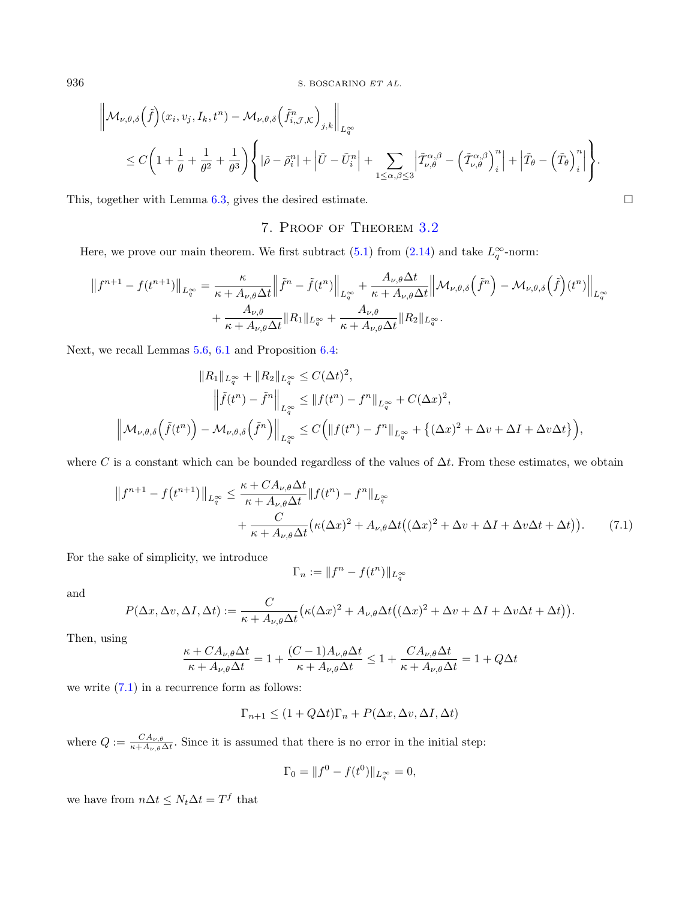$$
\mathcal{M}_{\nu,\theta,\delta}\left(\tilde{f}\right)(x_i, v_j, I_k, t^n) - \mathcal{M}_{\nu,\theta,\delta}\left(\tilde{f}_{i,\mathcal{J},\mathcal{K}}^n\right)_{j,k}\Big\|_{L^{\infty}_{\tilde{q}}}
$$
\n
$$
\leq C\left(1 + \frac{1}{\theta} + \frac{1}{\theta^2} + \frac{1}{\theta^3}\right) \left\{|\tilde{\rho} - \tilde{\rho}_i^n| + \left|\tilde{U} - \tilde{U}_i^n\right| + \sum_{1 \leq \alpha,\beta \leq 3} \left|\tilde{\mathcal{I}}_{\nu,\theta}^{\alpha,\beta} - \left(\tilde{\mathcal{I}}_{\nu,\theta}^{\alpha,\beta}\right)_i^n\right| + \left|\tilde{\mathcal{I}}_{\theta} - \left(\tilde{\mathcal{I}}_{\theta}\right)_i^n\right|\right\}.
$$

<span id="page-43-0"></span>This, together with Lemma [6.3,](#page-36-0) gives the desired estimate.  $\Box$ 

# 7. Proof of Theorem [3.2](#page-12-0)

Here, we prove our main theorem. We first subtract  $(5.1)$  from  $(2.14)$  and take  $L_q^{\infty}$ -norm:

$$
||f^{n+1} - f(t^{n+1})||_{L_q^{\infty}} = \frac{\kappa}{\kappa + A_{\nu,\theta}\Delta t} ||\tilde{f}^n - \tilde{f}(t^n)||_{L_q^{\infty}} + \frac{A_{\nu,\theta}\Delta t}{\kappa + A_{\nu,\theta}\Delta t} ||\mathcal{M}_{\nu,\theta,\delta}(\tilde{f}^n) - \mathcal{M}_{\nu,\theta,\delta}(\tilde{f})(t^n)||_{L_q^{\infty}}
$$
  
+ 
$$
\frac{A_{\nu,\theta}}{\kappa + A_{\nu,\theta}\Delta t} ||R_1||_{L_q^{\infty}} + \frac{A_{\nu,\theta}}{\kappa + A_{\nu,\theta}\Delta t} ||R_2||_{L_q^{\infty}}.
$$

Next, we recall Lemmas [5.6,](#page-31-0) [6.1](#page-32-1) and Proposition [6.4:](#page-38-0)

$$
||R_1||_{L_q^{\infty}} + ||R_2||_{L_q^{\infty}} \le C(\Delta t)^2,
$$
  

$$
\left\|\tilde{f}(t^n) - \tilde{f}^n\right\|_{L_q^{\infty}} \le ||f(t^n) - f^n||_{L_q^{\infty}} + C(\Delta x)^2,
$$
  

$$
\left\|\mathcal{M}_{\nu,\theta,\delta}\left(\tilde{f}(t^n)\right) - \mathcal{M}_{\nu,\theta,\delta}\left(\tilde{f}^n\right)\right\|_{L_q^{\infty}} \le C\Big(\|f(t^n) - f^n\|_{L_q^{\infty}} + \{(\Delta x)^2 + \Delta v + \Delta I + \Delta v \Delta t\}\Big),
$$

where C is a constant which can be bounded regardless of the values of  $\Delta t$ . From these estimates, we obtain

$$
||f^{n+1} - f(t^{n+1})||_{L_q^{\infty}} \le \frac{\kappa + CA_{\nu,\theta}\Delta t}{\kappa + A_{\nu,\theta}\Delta t} ||f(t^n) - f^n||_{L_q^{\infty}}
$$
  
+ 
$$
\frac{C}{\kappa + A_{\nu,\theta}\Delta t} (\kappa(\Delta x)^2 + A_{\nu,\theta}\Delta t((\Delta x)^2 + \Delta v + \Delta I + \Delta v\Delta t + \Delta t)). \tag{7.1}
$$

For the sake of simplicity, we introduce

$$
\Gamma_n := \|f^n - f(t^n)\|_{L_q^{\infty}}
$$

and

$$
P(\Delta x, \Delta v, \Delta I, \Delta t) := \frac{C}{\kappa + A_{\nu,\theta}\Delta t} \big(\kappa(\Delta x)^2 + A_{\nu,\theta}\Delta t\big((\Delta x)^2 + \Delta v + \Delta I + \Delta v\Delta t + \Delta t\big)\big).
$$

Then, using

$$
\frac{\kappa + CA_{\nu,\theta}\Delta t}{\kappa + A_{\nu,\theta}\Delta t} = 1 + \frac{(C-1)A_{\nu,\theta}\Delta t}{\kappa + A_{\nu,\theta}\Delta t} \le 1 + \frac{CA_{\nu,\theta}\Delta t}{\kappa + A_{\nu,\theta}\Delta t} = 1 + Q\Delta t
$$

we write [\(7.1\)](#page-43-1) in a recurrence form as follows:

$$
\Gamma_{n+1} \le (1 + Q\Delta t)\Gamma_n + P(\Delta x, \Delta v, \Delta I, \Delta t)
$$

where  $Q := \frac{CA_{\nu,\theta}}{A_{\nu,\theta}}$  $\frac{CA_{\nu,\theta}}{\kappa+A_{\nu,\theta}\Delta t}$ . Since it is assumed that there is no error in the initial step:

$$
\Gamma_0 = ||f^0 - f(t^0)||_{L_q^{\infty}} = 0,
$$

we have from  $n\Delta t \leq N_t \Delta t = T^f$  that

 $\blacksquare$ 

<span id="page-43-1"></span>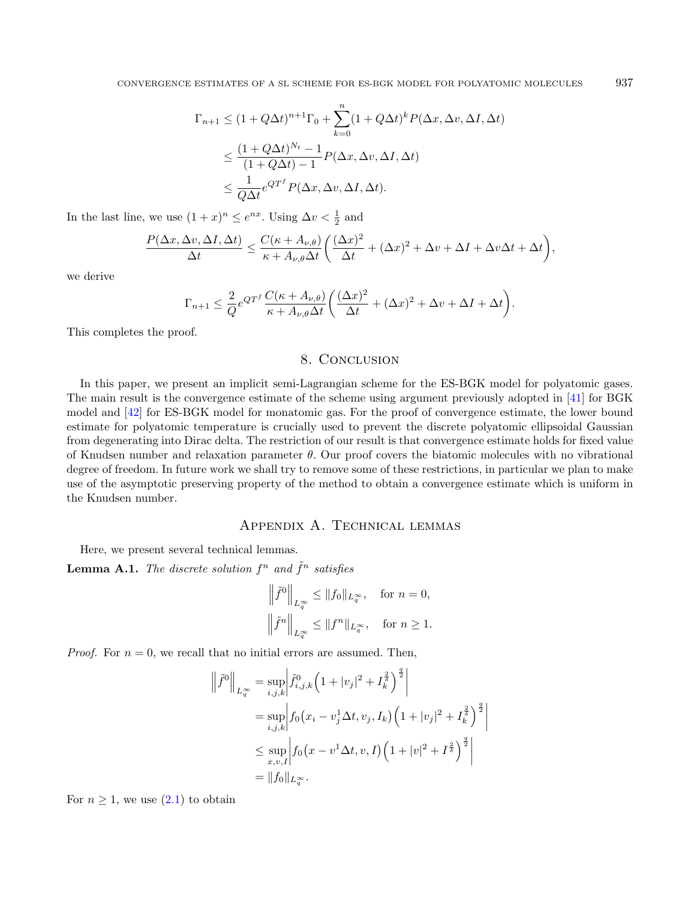$$
\Gamma_{n+1} \le (1 + Q\Delta t)^{n+1} \Gamma_0 + \sum_{k=0}^n (1 + Q\Delta t)^k P(\Delta x, \Delta v, \Delta I, \Delta t)
$$
  

$$
\le \frac{(1 + Q\Delta t)^{N_t} - 1}{(1 + Q\Delta t) - 1} P(\Delta x, \Delta v, \Delta I, \Delta t)
$$
  

$$
\le \frac{1}{Q\Delta t} e^{Q^{T^f}} P(\Delta x, \Delta v, \Delta I, \Delta t).
$$

In the last line, we use  $(1+x)^n \le e^{nx}$ . Using  $\Delta v < \frac{1}{2}$  and

$$
\frac{P(\Delta x, \Delta v, \Delta I, \Delta t)}{\Delta t} \le \frac{C(\kappa + A_{\nu,\theta})}{\kappa + A_{\nu,\theta}\Delta t} \bigg( \frac{(\Delta x)^2}{\Delta t} + (\Delta x)^2 + \Delta v + \Delta I + \Delta v \Delta t + \Delta t \bigg),
$$

we derive

$$
\Gamma_{n+1} \leq \frac{2}{Q} e^{Q T^f} \frac{C(\kappa + A_{\nu,\theta})}{\kappa + A_{\nu,\theta} \Delta t} \left( \frac{(\Delta x)^2}{\Delta t} + (\Delta x)^2 + \Delta v + \Delta I + \Delta t \right).
$$

This completes the proof.

## <span id="page-44-0"></span>8. Conclusion

In this paper, we present an implicit semi-Lagrangian scheme for the ES-BGK model for polyatomic gases. The main result is the convergence estimate of the scheme using argument previously adopted in [\[41\]](#page-49-6) for BGK model and [\[42\]](#page-49-4) for ES-BGK model for monatomic gas. For the proof of convergence estimate, the lower bound estimate for polyatomic temperature is crucially used to prevent the discrete polyatomic ellipsoidal Gaussian from degenerating into Dirac delta. The restriction of our result is that convergence estimate holds for fixed value of Knudsen number and relaxation parameter  $\theta$ . Our proof covers the biatomic molecules with no vibrational degree of freedom. In future work we shall try to remove some of these restrictions, in particular we plan to make use of the asymptotic preserving property of the method to obtain a convergence estimate which is uniform in the Knudsen number.

## Appendix A. Technical lemmas

Here, we present several technical lemmas.

**Lemma A.1.** The discrete solution  $f^n$  and  $\tilde{f}^n$  satisfies

$$
\left\|\tilde{f}^0\right\|_{L^\infty_q}\leq \|f_0\|_{L^\infty_q},\quad\text{for }n=0,
$$
  

$$
\left\|\tilde{f}^n\right\|_{L^\infty_q}\leq \|f^n\|_{L^\infty_q},\quad\text{for }n\geq 1.
$$

*Proof.* For  $n = 0$ , we recall that no initial errors are assumed. Then,

$$
\left\| \tilde{f}^{0} \right\|_{L^{\infty}_{q}} = \sup_{i,j,k} \left| \tilde{f}_{i,j,k}^{0} \left( 1 + |v_{j}|^{2} + I_{k}^{\frac{2}{\delta}} \right)^{\frac{q}{2}} \right|
$$
  
\n
$$
= \sup_{i,j,k} \left| f_{0} (x_{i} - v_{j}^{1} \Delta t, v_{j}, I_{k}) \left( 1 + |v_{j}|^{2} + I_{k}^{\frac{2}{\delta}} \right)^{\frac{q}{2}} \right|
$$
  
\n
$$
\leq \sup_{x,v,I} \left| f_{0} (x - v^{1} \Delta t, v, I) \left( 1 + |v|^{2} + I^{\frac{2}{\delta}} \right)^{\frac{q}{2}} \right|
$$
  
\n
$$
= \| f_{0} \|_{L^{\infty}_{q}}.
$$

For  $n \geq 1$ , we use  $(2.1)$  to obtain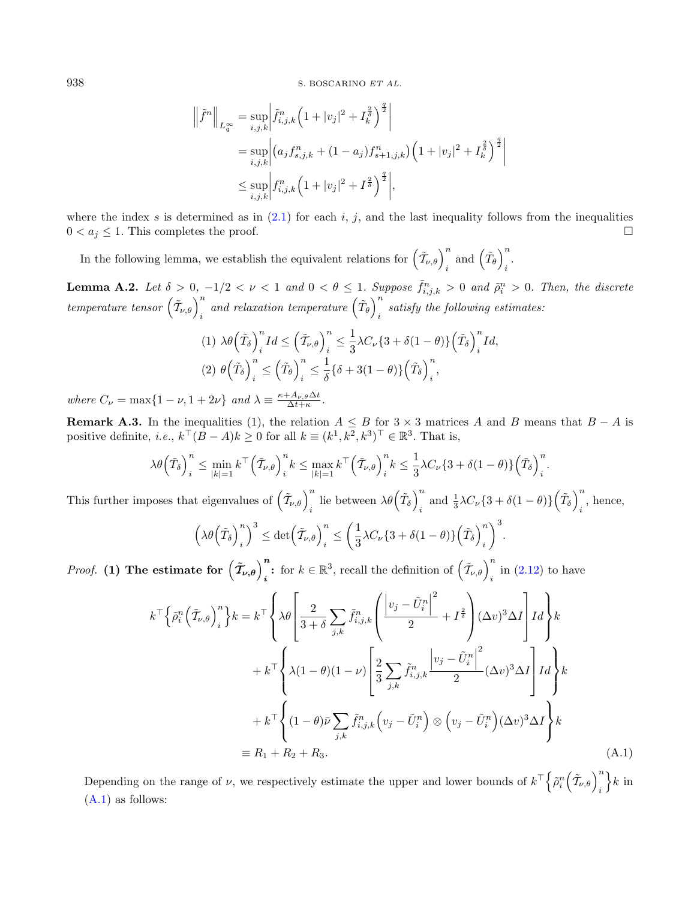$$
\left\| \tilde{f}^{n} \right\|_{L_{q}^{\infty}} = \sup_{i,j,k} \left| \tilde{f}_{i,j,k}^{n} \left( 1 + |v_{j}|^{2} + I_{k}^{\frac{2}{\delta}} \right)^{\frac{q}{2}} \right|
$$
  
\n
$$
= \sup_{i,j,k} \left| \left( a_{j} f_{s,j,k}^{n} + (1 - a_{j}) f_{s+1,j,k}^{n} \right) \left( 1 + |v_{j}|^{2} + I_{k}^{\frac{2}{\delta}} \right)^{\frac{q}{2}} \right|
$$
  
\n
$$
\leq \sup_{i,j,k} \left| f_{i,j,k}^{n} \left( 1 + |v_{j}|^{2} + I^{\frac{2}{\delta}} \right)^{\frac{q}{2}} \right|,
$$

where the index s is determined as in  $(2.1)$  for each i, j, and the last inequality follows from the inequalities  $0 < a_j \leq 1$ . This completes the proof.

In the following lemma, we establish the equivalent relations for  $(\tilde{\mathcal{T}}_{\nu,\theta})_{i}^{n}$  and  $(\tilde{\mathcal{T}}_{\theta})_{i}^{n}$ .

<span id="page-45-0"></span>**Lemma A.2.** Let  $\delta > 0$ ,  $-1/2 < \nu < 1$  and  $0 < \theta \le 1$ . Suppose  $\tilde{f}_{i,j,k}^n > 0$  and  $\tilde{\rho}_i^n > 0$ . Then, the discrete  $temperature\,\, tensor\,\left(\tilde{\mathcal{I}}_{\nu,\theta}\right)_i^n\,\,and\,\,relaxation\,\,temperature\,\left(\tilde{T}_{\theta}\right)_i^n$ satisfy the following estimates:<br> $i$ 

$$
(1) \ \lambda \theta \left(\tilde{T}_{\delta}\right)_{i}^{n} I d \leq \left(\tilde{T}_{\nu,\theta}\right)_{i}^{n} \leq \frac{1}{3} \lambda C_{\nu} \{3 + \delta(1-\theta)\} \left(\tilde{T}_{\delta}\right)_{i}^{n} I d,
$$
\n
$$
(2) \ \theta \left(\tilde{T}_{\delta}\right)_{i}^{n} \leq \left(\tilde{T}_{\theta}\right)_{i}^{n} \leq \frac{1}{\delta} \{ \delta + 3(1-\theta) \} \left(\tilde{T}_{\delta}\right)_{i}^{n},
$$

where  $C_{\nu} = \max\{1 - \nu, 1 + 2\nu\}$  and  $\lambda \equiv \frac{\kappa + A_{\nu,\theta} \Delta t}{\Delta t + \kappa}$ .

**Remark A.3.** In the inequalities (1), the relation  $A \leq B$  for  $3 \times 3$  matrices A and B means that  $B - A$  is positive definite, *i.e.*,  $k^{\top} (B - A) k \geq 0$  for all  $k \equiv (k^1, k^2, k^3)^{\top} \in \mathbb{R}^3$ . That is,

$$
\lambda \theta \left(\tilde{T}_{\delta}\right)_i^n \leq \min_{|k|=1} k^{\top} \left(\tilde{T}_{\nu,\theta}\right)_i^n k \leq \max_{|k|=1} k^{\top} \left(\tilde{T}_{\nu,\theta}\right)_i^n k \leq \frac{1}{3} \lambda C_{\nu} \left\{3 + \delta(1-\theta)\right\} \left(\tilde{T}_{\delta}\right)_i^n.
$$

This further imposes that eigenvalues of  $\left(\tilde{T}_{\nu,\theta}\right)_i^n$  lie between  $\lambda\theta\left(\tilde{T}_\delta\right)_i^n$  $\int_{i}^{n}$  and  $\frac{1}{3}\lambda C_{\nu}\left\{3+\delta(1-\theta)\right\}\left(\tilde{T}_{\delta}\right)_{i}^{n}$  $i$ , hence,

$$
\left(\lambda\theta\left(\tilde{T}_{\delta}\right)_{i}^{n}\right)^{3} \leq \det\left(\tilde{T}_{\nu,\theta}\right)_{i}^{n} \leq \left(\frac{1}{3}\lambda C_{\nu}\left\{3+\delta(1-\theta)\right\}\left(\tilde{T}_{\delta}\right)_{i}^{n}\right)^{3}
$$

*Proof.* (1) The estimate for  $(\tilde{\mathcal{T}}_{\nu,\theta})_i^n$ : for  $k \in \mathbb{R}^3$ , recall the definition of  $(\tilde{\mathcal{T}}_{\nu,\theta})_i^n$  in [\(2.12\)](#page-10-0) to have

$$
k^{\top} \Big\{ \tilde{\rho}_i^n \Big( \tilde{\mathcal{T}}_{\nu,\theta} \Big)_i^n \Big\} k = k^{\top} \Bigg\{ \lambda \theta \Bigg[ \frac{2}{3+\delta} \sum_{j,k} \tilde{f}_{i,j,k}^n \Bigg( \frac{\big| v_j - \tilde{U}_i^n \big|^2}{2} + I^{\frac{2}{\delta}} \Bigg) (\Delta v)^3 \Delta I \Bigg] I d \Bigg\} k + k^{\top} \Bigg\{ \lambda (1-\theta)(1-\nu) \Bigg[ \frac{2}{3} \sum_{j,k} \tilde{f}_{i,j,k}^n \frac{\big| v_j - \tilde{U}_i^n \big|^2}{2} (\Delta v)^3 \Delta I \Bigg] I d \Bigg\} k + k^{\top} \Bigg\{ (1-\theta) \bar{\nu} \sum_{j,k} \tilde{f}_{i,j,k}^n \Big( v_j - \tilde{U}_i^n \Big) \otimes \Big( v_j - \tilde{U}_i^n \Big) (\Delta v)^3 \Delta I \Bigg\} k \equiv R_1 + R_2 + R_3.
$$
\n(A.1)

<span id="page-45-1"></span>.

Depending on the range of  $\nu$ , we respectively estimate the upper and lower bounds of  $k^{\top} \Big\{\tilde{\rho}_i^n \Big(\tilde{\mathcal{T}}_{\nu,\theta}\Big)_i^n$  $\}k$  in [\(A.1\)](#page-45-1) as follows: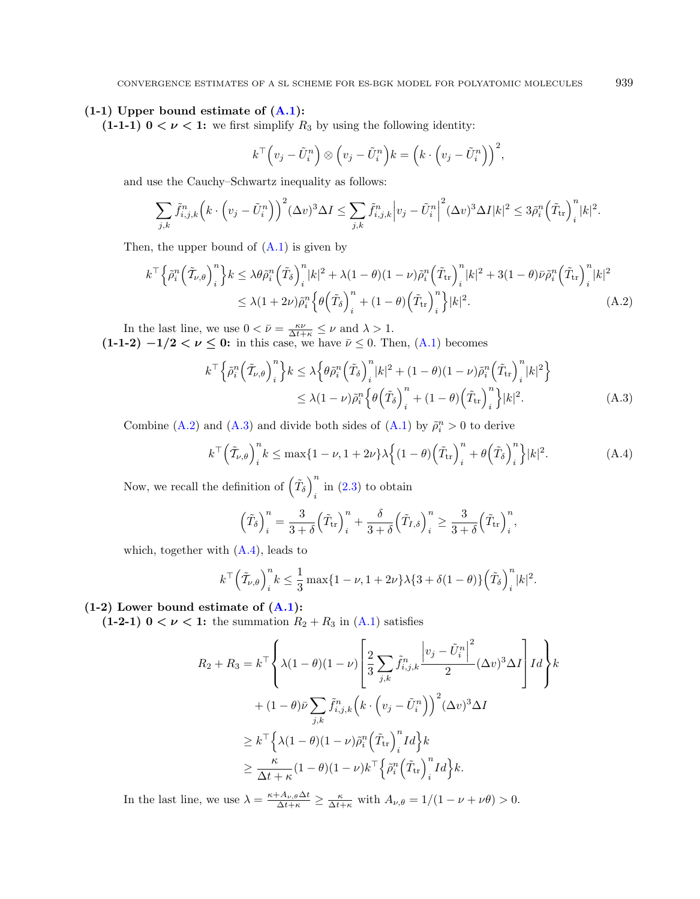#### $(1-1)$  Upper bound estimate of  $(A.1)$ :

(1-1-1)  $0 < \nu < 1$ : we first simplify  $R_3$  by using the following identity:

$$
k^{\top} \left(v_j - \tilde{U}_i^n\right) \otimes \left(v_j - \tilde{U}_i^n\right) k = \left(k \cdot \left(v_j - \tilde{U}_i^n\right)\right)^2,
$$

and use the Cauchy–Schwartz inequality as follows:

$$
\sum_{j,k} \tilde{f}_{i,j,k}^n \left( k \cdot \left( v_j - \tilde{U}_i^n \right) \right)^2 (\Delta v)^3 \Delta I \le \sum_{j,k} \tilde{f}_{i,j,k}^n \left| v_j - \tilde{U}_i^n \right|^2 (\Delta v)^3 \Delta I |k|^2 \le 3 \tilde{\rho}_i^n \left( \tilde{T}_{\text{tr}} \right)_i^n |k|^2.
$$

Then, the upper bound of  $(A.1)$  is given by

$$
k^{\top} \Big\{ \tilde{\rho}_i^n \Big( \tilde{T}_{\nu,\theta} \Big)^n_i \Big\} k \leq \lambda \theta \tilde{\rho}_i^n \Big( \tilde{T}_{\delta} \Big)^n_i |k|^2 + \lambda (1 - \theta)(1 - \nu) \tilde{\rho}_i^n \Big( \tilde{T}_{\rm tr} \Big)^n_i |k|^2 + 3(1 - \theta) \bar{\nu} \tilde{\rho}_i^n \Big( \tilde{T}_{\rm tr} \Big)^n_i |k|^2
$$
  

$$
\leq \lambda (1 + 2\nu) \tilde{\rho}_i^n \Big\{ \theta \Big( \tilde{T}_{\delta} \Big)^n_i + (1 - \theta) \Big( \tilde{T}_{\rm tr} \Big)^n_i \Big\} |k|^2.
$$
 (A.2)

In the last line, we use  $0 < \bar{\nu} = \frac{\kappa \nu}{\Delta t + \kappa} \leq \nu$  and  $\lambda > 1$ .  $(1-1-2)$   $-1/2 < \nu \leq 0$ : in this case, we have  $\bar{\nu} \leq 0$ . Then,  $(A.1)$  becomes

$$
k^{\top} \left\{ \tilde{\rho}_i^n \left( \tilde{\mathcal{T}}_{\nu,\theta} \right)_i^n \right\} k \leq \lambda \left\{ \theta \tilde{\rho}_i^n \left( \tilde{\mathcal{T}}_{\delta} \right)_i^n |k|^2 + (1 - \theta)(1 - \nu) \tilde{\rho}_i^n \left( \tilde{\mathcal{T}}_{\text{tr}} \right)_i^n |k|^2 \right\}
$$
  

$$
\leq \lambda (1 - \nu) \tilde{\rho}_i^n \left\{ \theta \left( \tilde{\mathcal{T}}_{\delta} \right)_i^n + (1 - \theta) \left( \tilde{\mathcal{T}}_{\text{tr}} \right)_i^n \right\} |k|^2.
$$
 (A.3)

Combine [\(A.2\)](#page-46-0) and [\(A.3\)](#page-46-1) and divide both sides of [\(A.1\)](#page-45-1) by  $\tilde{\rho}_i^n > 0$  to derive

$$
k^{\top} \left(\tilde{T}_{\nu,\theta}\right)_i^n k \le \max\{1-\nu, 1+2\nu\} \lambda \left\{ (1-\theta) \left(\tilde{T}_{\rm tr}\right)_i^n + \theta \left(\tilde{T}_{\delta}\right)_i^n \right\} |k|^2. \tag{A.4}
$$

Now, we recall the definition of  $(\tilde{T}_{\delta})^n$ in  $(2.3)$  to obtain

$$
\left(\tilde{T}_{\delta}\right)^n_{i} = \frac{3}{3+\delta} \left(\tilde{T}_{tr}\right)^n_{i} + \frac{\delta}{3+\delta} \left(\tilde{T}_{I,\delta}\right)^n_{i} \ge \frac{3}{3+\delta} \left(\tilde{T}_{tr}\right)^n_{i},
$$

which, together with  $(A.4)$ , leads to

$$
k^{\top} \left(\tilde{T}_{\nu,\theta}\right)_i^n k \leq \frac{1}{3} \max\{1-\nu, 1+2\nu\} \lambda \{3+\delta(1-\theta)\} \left(\tilde{T}_{\delta}\right)_i^n |k|^2.
$$

#### $(1-2)$  Lower bound estimate of  $(A.1)$ :

(1-2-1)  $0 < \nu < 1$ : the summation  $R_2 + R_3$  in [\(A.1\)](#page-45-1) satisfies

$$
R_2 + R_3 = k^{\top} \left\{ \lambda (1 - \theta)(1 - \nu) \left[ \frac{2}{3} \sum_{j,k} \tilde{f}_{i,j,k}^n \frac{\left| v_j - \tilde{U}_i^n \right|^2}{2} (\Delta v)^3 \Delta I \right] I d \right\} k
$$
  
+ 
$$
(1 - \theta) \bar{\nu} \sum_{j,k} \tilde{f}_{i,j,k}^n \left( k \cdot \left( v_j - \tilde{U}_i^n \right) \right)^2 (\Delta v)^3 \Delta I
$$
  

$$
\geq k^{\top} \left\{ \lambda (1 - \theta)(1 - \nu) \tilde{\rho}_i^n \left( \tilde{T}_{tr} \right)_i^n I d \right\} k
$$
  

$$
\geq \frac{\kappa}{\Delta t + \kappa} (1 - \theta)(1 - \nu) k^{\top} \left\{ \tilde{\rho}_i^n \left( \tilde{T}_{tr} \right)_i^n I d \right\} k.
$$

In the last line, we use  $\lambda = \frac{\kappa + A_{\nu,\theta} \Delta t}{\Delta t + \kappa} \ge \frac{\kappa}{\Delta t + \kappa}$  with  $A_{\nu,\theta} = 1/(1 - \nu + \nu\theta) > 0$ .

<span id="page-46-2"></span><span id="page-46-1"></span><span id="page-46-0"></span>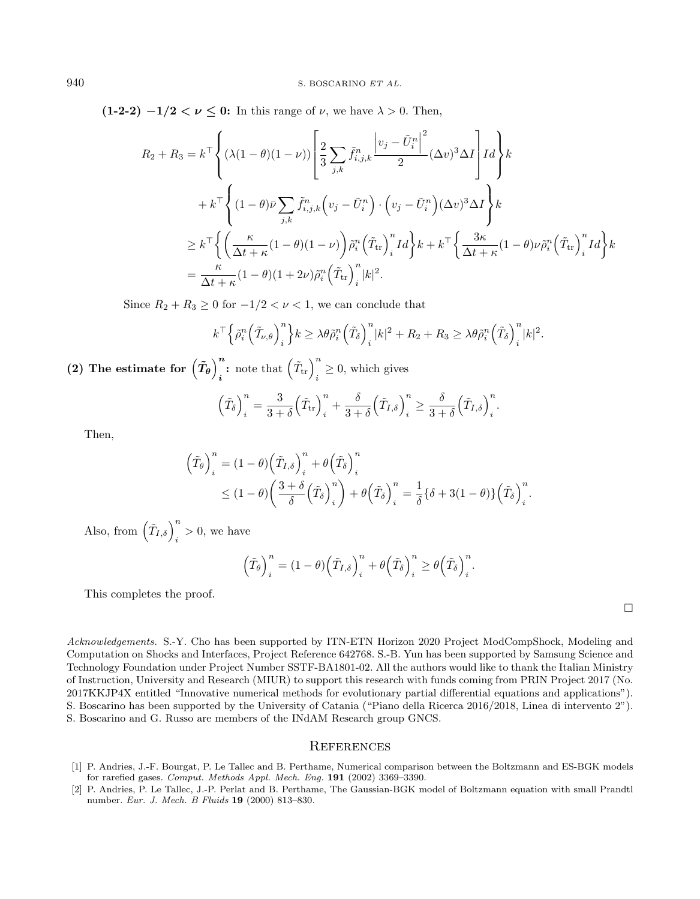$(1-2-2)$   $-1/2 < \nu \leq 0$ : In this range of  $\nu$ , we have  $\lambda > 0$ . Then,

$$
R_2 + R_3 = k^{\top} \left\{ (\lambda(1 - \theta)(1 - \nu)) \left[ \frac{2}{3} \sum_{j,k} \tilde{f}_{i,j,k}^n \frac{\left| v_j - \tilde{U}_i^n \right|^2}{2} (\Delta v)^3 \Delta I \right] I d \right\} k
$$
  
+ 
$$
k^{\top} \left\{ (1 - \theta) \bar{\nu} \sum_{j,k} \tilde{f}_{i,j,k}^n \left( v_j - \tilde{U}_i^n \right) \cdot \left( v_j - \tilde{U}_i^n \right) (\Delta v)^3 \Delta I \right\} k
$$
  

$$
\geq k^{\top} \left\{ \left( \frac{\kappa}{\Delta t + \kappa} (1 - \theta)(1 - \nu) \right) \tilde{\rho}_i^n \left( \tilde{T}_{tr} \right)_i^n I d \right\} k + k^{\top} \left\{ \frac{3\kappa}{\Delta t + \kappa} (1 - \theta) \nu \tilde{\rho}_i^n \left( \tilde{T}_{tr} \right)_i^n I d \right\} k
$$
  

$$
= \frac{\kappa}{\Delta t + \kappa} (1 - \theta)(1 + 2\nu) \tilde{\rho}_i^n \left( \tilde{T}_{tr} \right)_i^n |k|^2.
$$

Since  $R_2 + R_3 \geq 0$  for  $-1/2 < \nu < 1$ , we can conclude that

$$
k^{\top} \Big\{ \tilde{\rho}_i^n \Big( \tilde{T}_{\nu,\theta} \Big)^n_i \Big\} k \geq \lambda \theta \tilde{\rho}_i^n \Big( \tilde{T}_{\delta} \Big)^n_i |k|^2 + R_2 + R_3 \geq \lambda \theta \tilde{\rho}_i^n \Big( \tilde{T}_{\delta} \Big)^n_i |k|^2.
$$

(2) The estimate for  $\left(\tilde{T}_{\theta}\right)^n$ **<sup>n</sup>**: note that  $(\tilde{T}_{tr})_i^n \geq 0$ , which gives

$$
\left(\tilde{T}_{\delta}\right)_{i}^{n} = \frac{3}{3+\delta} \left(\tilde{T}_{tr}\right)_{i}^{n} + \frac{\delta}{3+\delta} \left(\tilde{T}_{I,\delta}\right)_{i}^{n} \ge \frac{\delta}{3+\delta} \left(\tilde{T}_{I,\delta}\right)_{i}^{n}.
$$

Then,

$$
\left(\tilde{T}_{\theta}\right)_{i}^{n} = (1 - \theta)\left(\tilde{T}_{I,\delta}\right)_{i}^{n} + \theta\left(\tilde{T}_{\delta}\right)_{i}^{n}
$$
\n
$$
\leq (1 - \theta)\left(\frac{3 + \delta}{\delta}\left(\tilde{T}_{\delta}\right)_{i}^{n}\right) + \theta\left(\tilde{T}_{\delta}\right)_{i}^{n} = \frac{1}{\delta}\left\{\delta + 3(1 - \theta)\right\}\left(\tilde{T}_{\delta}\right)_{i}^{n}.
$$

Also, from  $(\tilde{T}_{I,\delta})_i^n > 0$ , we have

$$
\left(\tilde{T}_{\theta}\right)^n_i = (1-\theta)\left(\tilde{T}_{I,\delta}\right)^n_i + \theta\left(\tilde{T}_{\delta}\right)^n_i \ge \theta\left(\tilde{T}_{\delta}\right)^n_i.
$$

<span id="page-47-1"></span>This completes the proof.

 $\Box$ 

<span id="page-47-0"></span>Acknowledgements. S.-Y. Cho has been supported by ITN-ETN Horizon 2020 Project ModCompShock, Modeling and Computation on Shocks and Interfaces, Project Reference 642768. S.-B. Yun has been supported by Samsung Science and Technology Foundation under Project Number SSTF-BA1801-02. All the authors would like to thank the Italian Ministry of Instruction, University and Research (MIUR) to support this research with funds coming from PRIN Project 2017 (No. 2017KKJP4X entitled "Innovative numerical methods for evolutionary partial differential equations and applications"). S. Boscarino has been supported by the University of Catania ("Piano della Ricerca 2016/2018, Linea di intervento 2"). S. Boscarino and G. Russo are members of the INdAM Research group GNCS.

#### **REFERENCES**

- [1] P. Andries, J.-F. Bourgat, P. Le Tallec and B. Perthame, Numerical comparison between the Boltzmann and ES-BGK models for rarefied gases. Comput. Methods Appl. Mech. Eng. 191 (2002) 3369–3390.
- [2] P. Andries, P. Le Tallec, J.-P. Perlat and B. Perthame, The Gaussian-BGK model of Boltzmann equation with small Prandtl number. Eur. J. Mech. B Fluids 19 (2000) 813–830.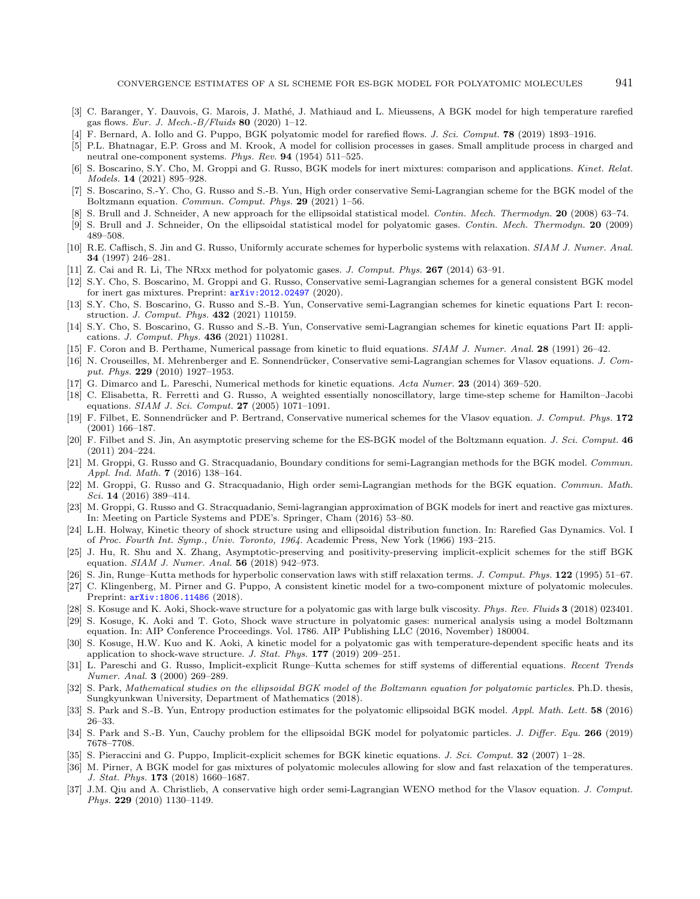- <span id="page-48-25"></span><span id="page-48-24"></span><span id="page-48-21"></span><span id="page-48-15"></span><span id="page-48-14"></span><span id="page-48-7"></span><span id="page-48-5"></span><span id="page-48-2"></span><span id="page-48-1"></span><span id="page-48-0"></span>[3] C. Baranger, Y. Dauvois, G. Marois, J. Mathé, J. Mathiaud and L. Mieussens, A BGK model for high temperature rarefied gas flows. Eur. J. Mech.- $B/Fluids$  80 (2020) 1–12.
- <span id="page-48-23"></span>[4] F. Bernard, A. Iollo and G. Puppo, BGK polyatomic model for rarefied flows. J. Sci. Comput. **78** (2019) 1893-1916.
- [5] P.L. Bhatnagar, E.P. Gross and M. Krook, A model for collision processes in gases. Small amplitude process in charged and neutral one-component systems. Phys. Rev. 94 (1954) 511–525.
- <span id="page-48-22"></span>[6] S. Boscarino, S.Y. Cho, M. Groppi and G. Russo, BGK models for inert mixtures: comparison and applications. Kinet. Relat. Models. 14 (2021) 895–928.
- <span id="page-48-32"></span><span id="page-48-27"></span>[7] S. Boscarino, S.-Y. Cho, G. Russo and S.-B. Yun, High order conservative Semi-Lagrangian scheme for the BGK model of the Boltzmann equation. *Commun. Comput. Phys.* 29 (2021) 1–56.
- <span id="page-48-30"></span>[8] S. Brull and J. Schneider, A new approach for the ellipsoidal statistical model. Contin. Mech. Thermodyn. 20 (2008) 63–74.
- <span id="page-48-19"></span>[9] S. Brull and J. Schneider, On the ellipsoidal statistical model for polyatomic gases. Contin. Mech. Thermodyn. 20 (2009) 489–508.
- <span id="page-48-28"></span>[10] R.E. Caflisch, S. Jin and G. Russo, Uniformly accurate schemes for hyperbolic systems with relaxation. SIAM J. Numer. Anal. 34 (1997) 246–281.
- <span id="page-48-33"></span>[11] Z. Cai and R. Li, The NRxx method for polyatomic gases. J. Comput. Phys. 267 (2014) 63–91.
- [12] S.Y. Cho, S. Boscarino, M. Groppi and G. Russo, Conservative semi-Lagrangian schemes for a general consistent BGK model for inert gas mixtures. Preprint: [arXiv:2012.02497](https://arxiv.org/abs/2012.02497) (2020).
- <span id="page-48-20"></span>[13] S.Y. Cho, S. Boscarino, G. Russo and S.-B. Yun, Conservative semi-Lagrangian schemes for kinetic equations Part I: reconstruction. J. Comput. Phys. 432 (2021) 110159.
- <span id="page-48-17"></span>[14] S.Y. Cho, S. Boscarino, G. Russo and S.-B. Yun, Conservative semi-Lagrangian schemes for kinetic equations Part II: applications. J. Comput. Phys. 436 (2021) 110281.
- <span id="page-48-26"></span>[15] F. Coron and B. Perthame, Numerical passage from kinetic to fluid equations. SIAM J. Numer. Anal. 28 (1991) 26–42.
- <span id="page-48-6"></span>[16] N. Crouseilles, M. Mehrenberger and E. Sonnendrücker, Conservative semi-Lagrangian schemes for Vlasov equations. J. Comput. Phys. 229 (2010) 1927–1953.
- <span id="page-48-34"></span>[17] G. Dimarco and L. Pareschi, Numerical methods for kinetic equations. Acta Numer. 23 (2014) 369–520.
- <span id="page-48-16"></span>[18] C. Elisabetta, R. Ferretti and G. Russo, A weighted essentially nonoscillatory, large time-step scheme for Hamilton–Jacobi equations. SIAM J. Sci. Comput. 27 (2005) 1071–1091.
- <span id="page-48-3"></span>[19] F. Filbet, E. Sonnendrücker and P. Bertrand, Conservative numerical schemes for the Vlasov equation. J. Comput. Phys. 172 (2001) 166–187.
- <span id="page-48-11"></span>[20] F. Filbet and S. Jin, An asymptotic preserving scheme for the ES-BGK model of the Boltzmann equation. J. Sci. Comput. 46 (2011) 204–224.
- <span id="page-48-13"></span>[21] M. Groppi, G. Russo and G. Stracquadanio, Boundary conditions for semi-Lagrangian methods for the BGK model. Commun. Appl. Ind. Math. 7 (2016) 138–164.
- <span id="page-48-12"></span>[22] M. Groppi, G. Russo and G. Stracquadanio, High order semi-Lagrangian methods for the BGK equation. Commun. Math. Sci. 14 (2016) 389–414.
- <span id="page-48-18"></span>[23] M. Groppi, G. Russo and G. Stracquadanio, Semi-lagrangian approximation of BGK models for inert and reactive gas mixtures. In: Meeting on Particle Systems and PDE's. Springer, Cham (2016) 53–80.
- <span id="page-48-9"></span>[24] L.H. Holway, Kinetic theory of shock structure using and ellipsoidal distribution function. In: Rarefied Gas Dynamics. Vol. I of Proc. Fourth Int. Symp., Univ. Toronto, 1964. Academic Press, New York (1966) 193–215.
- <span id="page-48-8"></span>[25] J. Hu, R. Shu and X. Zhang, Asymptotic-preserving and positivity-preserving implicit-explicit schemes for the stiff BGK equation. SIAM J. Numer. Anal. 56 (2018) 942–973.
- <span id="page-48-10"></span>[26] S. Jin, Runge–Kutta methods for hyperbolic conservation laws with stiff relaxation terms. J. Comput. Phys. 122 (1995) 51–67.
- <span id="page-48-31"></span>[27] C. Klingenberg, M. Pirner and G. Puppo, A consistent kinetic model for a two-component mixture of polyatomic molecules. Preprint:  $arXiv:1806.11486$  (2018).
- <span id="page-48-4"></span>[28] S. Kosuge and K. Aoki, Shock-wave structure for a polyatomic gas with large bulk viscosity. Phys. Rev. Fluids 3 (2018) 023401.
- <span id="page-48-29"></span>[29] S. Kosuge, K. Aoki and T. Goto, Shock wave structure in polyatomic gases: numerical analysis using a model Boltzmann equation. In: AIP Conference Proceedings. Vol. 1786. AIP Publishing LLC (2016, November) 180004.
- [30] S. Kosuge, H.W. Kuo and K. Aoki, A kinetic model for a polyatomic gas with temperature-dependent specific heats and its application to shock-wave structure. J. Stat. Phys. 177 (2019) 209–251.
- [31] L. Pareschi and G. Russo, Implicit-explicit Runge–Kutta schemes for stiff systems of differential equations. Recent Trends Numer. Anal. 3 (2000) 269–289.
- [32] S. Park, Mathematical studies on the ellipsoidal BGK model of the Boltzmann equation for polyatomic particles. Ph.D. thesis, Sungkyunkwan University, Department of Mathematics (2018).
- [33] S. Park and S.-B. Yun, Entropy production estimates for the polyatomic ellipsoidal BGK model. Appl. Math. Lett. 58 (2016) 26–33.
- [34] S. Park and S.-B. Yun, Cauchy problem for the ellipsoidal BGK model for polyatomic particles. J. Differ. Equ. 266 (2019) 7678–7708.
- [35] S. Pieraccini and G. Puppo, Implicit-explicit schemes for BGK kinetic equations. *J. Sci. Comput.* **32** (2007) 1–28.
- [36] M. Pirner, A BGK model for gas mixtures of polyatomic molecules allowing for slow and fast relaxation of the temperatures. J. Stat. Phys. 173 (2018) 1660–1687.
- [37] J.M. Qiu and A. Christlieb, A conservative high order semi-Lagrangian WENO method for the Vlasov equation. J. Comput. Phys. 229 (2010) 1130–1149.